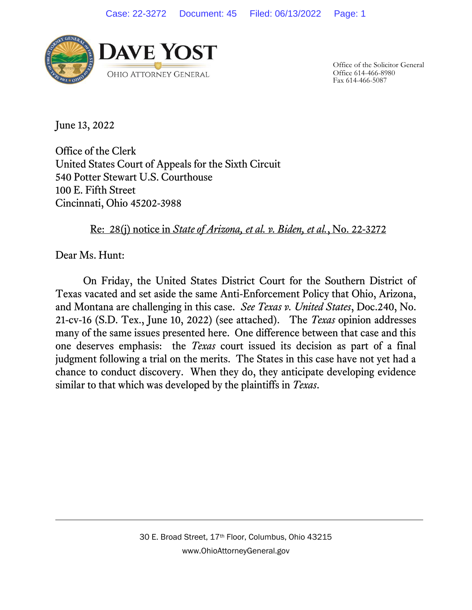

Office of the Solicitor General Office 614-466-8980 Fax 614-466-5087

June 13, 2022

Office of the Clerk United States Court of Appeals for the Sixth Circuit 540 Potter Stewart U.S. Courthouse 100 E. Fifth Street Cincinnati, Ohio 45202-3988

Re: 28(j) notice in *State of Arizona, et al. v. Biden, et al.*, No. 22-3272

Dear Ms. Hunt:

On Friday, the United States District Court for the Southern District of Texas vacated and set aside the same Anti-Enforcement Policy that Ohio, Arizona, and Montana are challenging in this case. *See Texas v. United States*, Doc.240, No. 21-cv-16 (S.D. Tex., June 10, 2022) (see attached). The *Texas* opinion addresses many of the same issues presented here. One difference between that case and this one deserves emphasis: the *Texas* court issued its decision as part of a final judgment following a trial on the merits. The States in this case have not yet had a chance to conduct discovery. When they do, they anticipate developing evidence similar to that which was developed by the plaintiffs in *Texas*.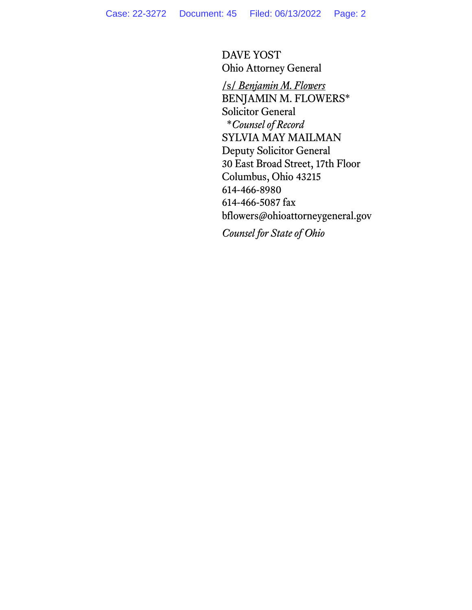DAVE YOST Ohio Attorney General

/s/ *Benjamin M. Flowers* BENJAMIN M. FLOWERS\* Solicitor General \**Counsel of Record* SYLVIA MAY MAILMAN Deputy Solicitor General 30 East Broad Street, 17th Floor Columbus, Ohio 43215 614-466-8980 614-466-5087 fax bflowers@ohioattorneygeneral.gov

*Counsel for State of Ohio*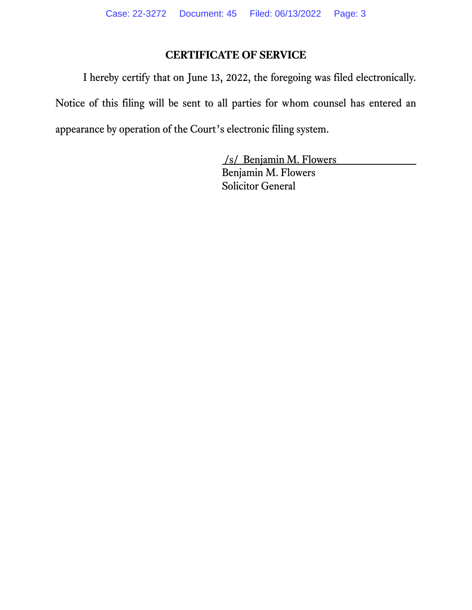# **CERTIFICATE OF SERVICE**

I hereby certify that on June 13, 2022, the foregoing was filed electronically.

Notice of this filing will be sent to all parties for whom counsel has entered an appearance by operation of the Court's electronic filing system.

> /s/ Benjamin M. Flowers Benjamin M. Flowers Solicitor General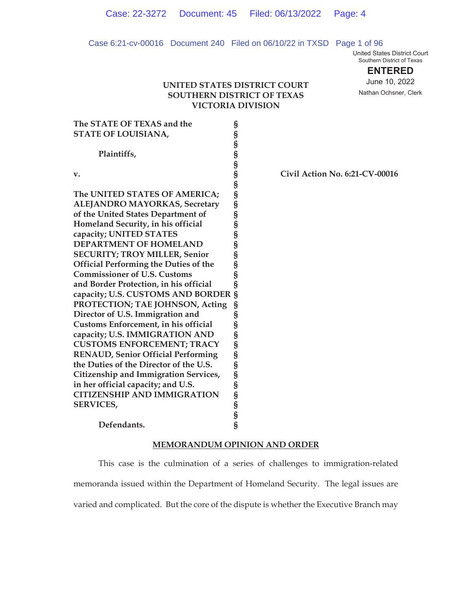## Case 6:21-cv-00016 Document 240 Filed on 06/10/22 in TXSD Page 1 of 96

United States District Court Southern District of Texas

**ENTERED**

# **UNITED STATES DISTRICT COURT SOUTHERN DISTRICT OF TEXAS VICTORIA DIVISION**

June 10, 2022 Nathan Ochsner, Clerk

| The STATE OF TEXAS and the                   |                             |   |
|----------------------------------------------|-----------------------------|---|
| <b>STATE OF LOUISIANA,</b>                   |                             |   |
|                                              |                             |   |
| Plaintiffs,                                  |                             |   |
|                                              |                             |   |
| v.                                           |                             | ( |
|                                              |                             |   |
| The UNITED STATES OF AMERICA;                |                             |   |
| ALEJANDRO MAYORKAS, Secretary                |                             |   |
| of the United States Department of           |                             |   |
| Homeland Security, in his official           |                             |   |
| capacity; UNITED STATES                      |                             |   |
| <b>DEPARTMENT OF HOMELAND</b>                |                             |   |
| <b>SECURITY; TROY MILLER, Senior</b>         |                             |   |
| <b>Official Performing the Duties of the</b> |                             |   |
| <b>Commissioner of U.S. Customs</b>          | S<br>S<br>S                 |   |
| and Border Protection, in his official       | Ŝ                           |   |
| capacity; U.S. CUSTOMS AND BORDER            | Ŝ                           |   |
| PROTECTION; TAE JOHNSON, Acting              | S                           |   |
| Director of U.S. Immigration and             |                             |   |
| <b>Customs Enforcement, in his official</b>  |                             |   |
| capacity; U.S. IMMIGRATION AND               |                             |   |
| <b>CUSTOMS ENFORCEMENT; TRACY</b>            |                             |   |
| <b>RENAUD, Senior Official Performing</b>    |                             |   |
| the Duties of the Director of the U.S.       |                             |   |
| <b>Citizenship and Immigration Services,</b> |                             |   |
| in her official capacity; and U.S.           |                             |   |
| <b>CITIZENSHIP AND IMMIGRATION</b>           |                             |   |
| <b>SERVICES,</b>                             |                             |   |
|                                              | ៃ ១ ៣ ៣ ៣ ៣ ៣ ៣ ៣ ៣ ៣ ៣ ៣ ៣ |   |
| Defendants.                                  |                             |   |
|                                              |                             |   |
|                                              |                             |   |

# **v. § Civil Action No. 6:21-CV-00016**

## **MEMORANDUM OPINION AND ORDER**

 This case is the culmination of a series of challenges to immigration-related memoranda issued within the Department of Homeland Security. The legal issues are varied and complicated. But the core of the dispute is whether the Executive Branch may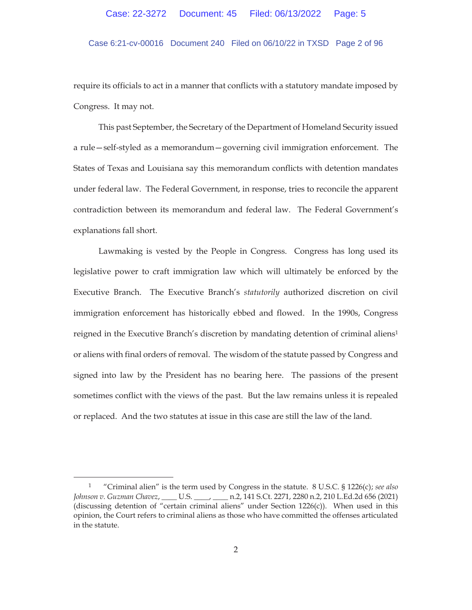# Case 6:21-cv-00016 Document 240 Filed on 06/10/22 in TXSD Page 2 of 96

require its officials to act in a manner that conflicts with a statutory mandate imposed by Congress. It may not.

This past September, the Secretary of the Department of Homeland Security issued a rule—self-styled as a memorandum—governing civil immigration enforcement. The States of Texas and Louisiana say this memorandum conflicts with detention mandates under federal law. The Federal Government, in response, tries to reconcile the apparent contradiction between its memorandum and federal law. The Federal Government's explanations fall short.

Lawmaking is vested by the People in Congress. Congress has long used its legislative power to craft immigration law which will ultimately be enforced by the Executive Branch. The Executive Branch's *statutorily* authorized discretion on civil immigration enforcement has historically ebbed and flowed. In the 1990s, Congress reigned in the Executive Branch's discretion by mandating detention of criminal aliens<sup>1</sup> or aliens with final orders of removal. The wisdom of the statute passed by Congress and signed into law by the President has no bearing here. The passions of the present sometimes conflict with the views of the past. But the law remains unless it is repealed or replaced. And the two statutes at issue in this case are still the law of the land.

<sup>1 &</sup>quot;Criminal alien" is the term used by Congress in the statute. 8 U.S.C. § 1226(c); *see also Johnson v. Guzman Chavez*, \_\_\_\_ U.S. \_\_\_\_, \_\_\_\_ n.2, 141 S.Ct. 2271, 2280 n.2, 210 L.Ed.2d 656 (2021) (discussing detention of "certain criminal aliens" under Section 1226(c)). When used in this opinion, the Court refers to criminal aliens as those who have committed the offenses articulated in the statute.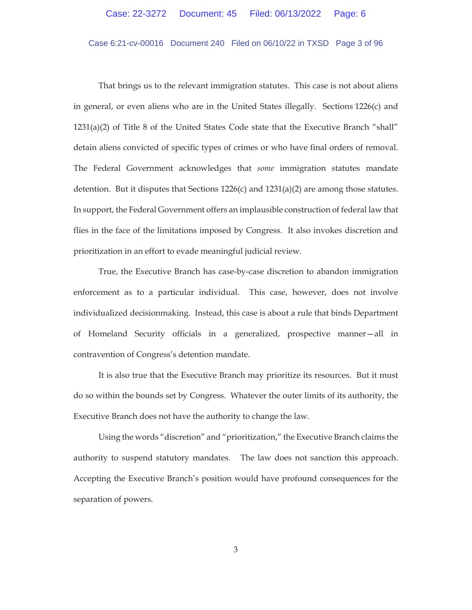# Case 6:21-cv-00016 Document 240 Filed on 06/10/22 in TXSD Page 3 of 96

That brings us to the relevant immigration statutes. This case is not about aliens in general, or even aliens who are in the United States illegally. Sections 1226(c) and 1231(a)(2) of Title 8 of the United States Code state that the Executive Branch "shall" detain aliens convicted of specific types of crimes or who have final orders of removal. The Federal Government acknowledges that *some* immigration statutes mandate detention. But it disputes that Sections  $1226(c)$  and  $1231(a)(2)$  are among those statutes. In support, the Federal Government offers an implausible construction of federal law that flies in the face of the limitations imposed by Congress. It also invokes discretion and prioritization in an effort to evade meaningful judicial review.

True, the Executive Branch has case-by-case discretion to abandon immigration enforcement as to a particular individual. This case, however, does not involve individualized decisionmaking. Instead, this case is about a rule that binds Department of Homeland Security officials in a generalized, prospective manner—all in contravention of Congress's detention mandate.

It is also true that the Executive Branch may prioritize its resources. But it must do so within the bounds set by Congress. Whatever the outer limits of its authority, the Executive Branch does not have the authority to change the law.

Using the words "discretion" and "prioritization," the Executive Branch claims the authority to suspend statutory mandates. The law does not sanction this approach. Accepting the Executive Branch's position would have profound consequences for the separation of powers.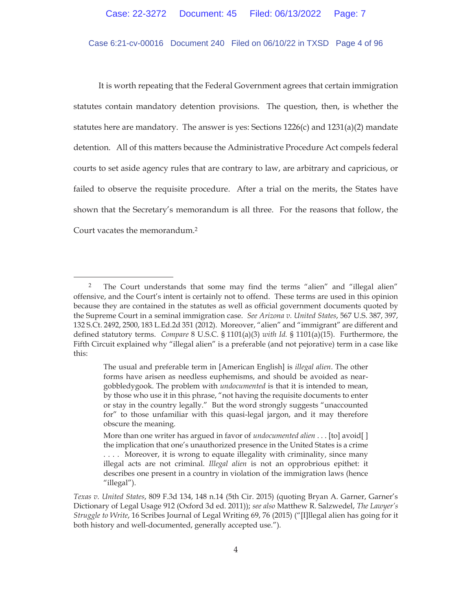## Case 6:21-cv-00016 Document 240 Filed on 06/10/22 in TXSD Page 4 of 96

It is worth repeating that the Federal Government agrees that certain immigration statutes contain mandatory detention provisions. The question, then, is whether the statutes here are mandatory. The answer is yes: Sections  $1226(c)$  and  $1231(a)(2)$  mandate detention. All of this matters because the Administrative Procedure Act compels federal courts to set aside agency rules that are contrary to law, are arbitrary and capricious, or failed to observe the requisite procedure. After a trial on the merits, the States have shown that the Secretary's memorandum is all three. For the reasons that follow, the Court vacates the memorandum.2

<sup>&</sup>lt;sup>2</sup> The Court understands that some may find the terms "alien" and "illegal alien" offensive, and the Court's intent is certainly not to offend. These terms are used in this opinion because they are contained in the statutes as well as official government documents quoted by the Supreme Court in a seminal immigration case. *See Arizona v. United States*, 567 U.S. 387, 397, 132 S.Ct. 2492, 2500, 183 L.Ed.2d 351 (2012). Moreover, "alien" and "immigrant" are different and defined statutory terms. *Compare* 8 U.S.C. § 1101(a)(3) *with Id.* § 1101(a)(15). Furthermore, the Fifth Circuit explained why "illegal alien" is a preferable (and not pejorative) term in a case like this:

The usual and preferable term in [American English] is *illegal alien*. The other forms have arisen as needless euphemisms, and should be avoided as neargobbledygook. The problem with *undocumented* is that it is intended to mean, by those who use it in this phrase, "not having the requisite documents to enter or stay in the country legally." But the word strongly suggests "unaccounted for" to those unfamiliar with this quasi-legal jargon, and it may therefore obscure the meaning.

More than one writer has argued in favor of *undocumented alien* . . . [to] avoid[ ] the implication that one's unauthorized presence in the United States is a crime .... Moreover, it is wrong to equate illegality with criminality, since many illegal acts are not criminal. *Illegal alien* is not an opprobrious epithet: it describes one present in a country in violation of the immigration laws (hence "illegal").

*Texas v. United States*, 809 F.3d 134, 148 n.14 (5th Cir. 2015) (quoting Bryan A. Garner, Garner's Dictionary of Legal Usage 912 (Oxford 3d ed. 2011)); *see also* Matthew R. Salzwedel, *The Lawyer's Struggle to Write*, 16 Scribes Journal of Legal Writing 69, 76 (2015) ("[I]llegal alien has going for it both history and well-documented, generally accepted use.").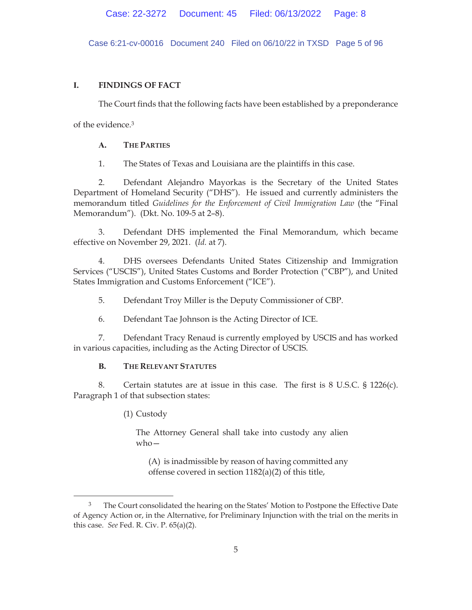Case 6:21-cv-00016 Document 240 Filed on 06/10/22 in TXSD Page 5 of 96

# **I. FINDINGS OF FACT**

The Court finds that the following facts have been established by a preponderance

of the evidence.3

# **A. THE PARTIES**

1. The States of Texas and Louisiana are the plaintiffs in this case.

2. Defendant Alejandro Mayorkas is the Secretary of the United States Department of Homeland Security ("DHS"). He issued and currently administers the memorandum titled *Guidelines for the Enforcement of Civil Immigration Law* (the "Final Memorandum"). (Dkt. No. 109-5 at 2–8).

3. Defendant DHS implemented the Final Memorandum, which became effective on November 29, 2021. (*Id.* at 7).

4. DHS oversees Defendants United States Citizenship and Immigration Services ("USCIS"), United States Customs and Border Protection ("CBP"), and United States Immigration and Customs Enforcement ("ICE").

5. Defendant Troy Miller is the Deputy Commissioner of CBP.

6. Defendant Tae Johnson is the Acting Director of ICE.

7. Defendant Tracy Renaud is currently employed by USCIS and has worked in various capacities, including as the Acting Director of USCIS.

# **B. THE RELEVANT STATUTES**

8. Certain statutes are at issue in this case. The first is 8 U.S.C. § 1226(c). Paragraph 1 of that subsection states:

(1) Custody

The Attorney General shall take into custody any alien who—

(A) is inadmissible by reason of having committed any offense covered in section 1182(a)(2) of this title,

<sup>3</sup> The Court consolidated the hearing on the States' Motion to Postpone the Effective Date of Agency Action or, in the Alternative, for Preliminary Injunction with the trial on the merits in this case. *See* Fed. R. Civ. P. 65(a)(2).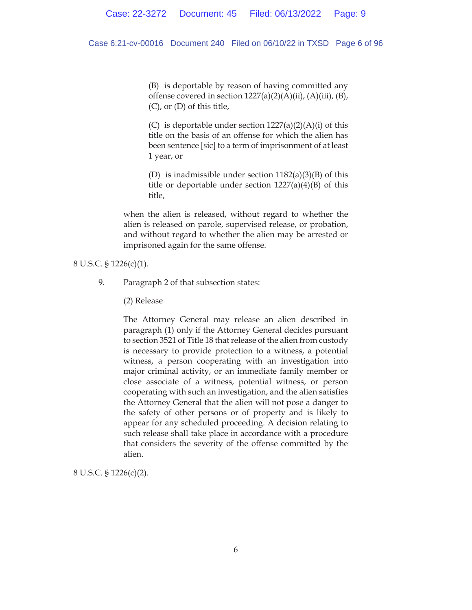## Case 6:21-cv-00016 Document 240 Filed on 06/10/22 in TXSD Page 6 of 96

(B) is deportable by reason of having committed any offense covered in section  $1227(a)(2)(A)(ii)$ ,  $(A)(iii)$ ,  $(B)$ , (C), or (D) of this title,

(C) is deportable under section  $1227(a)(2)(A)(i)$  of this title on the basis of an offense for which the alien has been sentence [sic] to a term of imprisonment of at least 1 year, or

(D) is inadmissible under section  $1182(a)(3)(B)$  of this title or deportable under section  $1227(a)(4)(B)$  of this title,

when the alien is released, without regard to whether the alien is released on parole, supervised release, or probation, and without regard to whether the alien may be arrested or imprisoned again for the same offense.

8 U.S.C. § 1226(c)(1).

9. Paragraph 2 of that subsection states:

(2) Release

The Attorney General may release an alien described in paragraph (1) only if the Attorney General decides pursuant to section 3521 of Title 18 that release of the alien from custody is necessary to provide protection to a witness, a potential witness, a person cooperating with an investigation into major criminal activity, or an immediate family member or close associate of a witness, potential witness, or person cooperating with such an investigation, and the alien satisfies the Attorney General that the alien will not pose a danger to the safety of other persons or of property and is likely to appear for any scheduled proceeding. A decision relating to such release shall take place in accordance with a procedure that considers the severity of the offense committed by the alien.

8 U.S.C. § 1226(c)(2).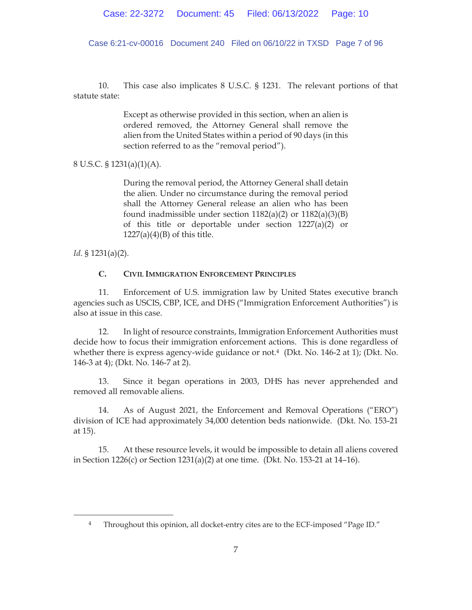Case 6:21-cv-00016 Document 240 Filed on 06/10/22 in TXSD Page 7 of 96

10. This case also implicates 8 U.S.C. § 1231. The relevant portions of that statute state:

> Except as otherwise provided in this section, when an alien is ordered removed, the Attorney General shall remove the alien from the United States within a period of 90 days (in this section referred to as the "removal period").

8 U.S.C. § 1231(a)(1)(A).

During the removal period, the Attorney General shall detain the alien. Under no circumstance during the removal period shall the Attorney General release an alien who has been found inadmissible under section  $1182(a)(2)$  or  $1182(a)(3)(B)$ of this title or deportable under section 1227(a)(2) or  $1227(a)(4)(B)$  of this title.

*Id*. § 1231(a)(2).

# **C. CIVIL IMMIGRATION ENFORCEMENT PRINCIPLES**

11. Enforcement of U.S. immigration law by United States executive branch agencies such as USCIS, CBP, ICE, and DHS ("Immigration Enforcement Authorities") is also at issue in this case.

12. In light of resource constraints, Immigration Enforcement Authorities must decide how to focus their immigration enforcement actions. This is done regardless of whether there is express agency-wide guidance or not.<sup>4</sup> (Dkt. No. 146-2 at 1); (Dkt. No. 146-3 at 4); (Dkt. No. 146-7 at 2).

13. Since it began operations in 2003, DHS has never apprehended and removed all removable aliens.

14. As of August 2021, the Enforcement and Removal Operations ("ERO") division of ICE had approximately 34,000 detention beds nationwide. (Dkt. No. 153-21 at 15).

15. At these resource levels, it would be impossible to detain all aliens covered in Section 1226(c) or Section 1231(a)(2) at one time. (Dkt. No. 153-21 at 14–16).

<sup>4</sup> Throughout this opinion, all docket-entry cites are to the ECF-imposed "Page ID."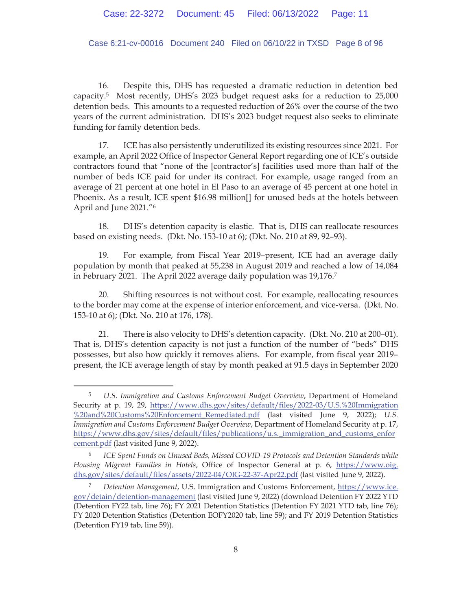Case 6:21-cv-00016 Document 240 Filed on 06/10/22 in TXSD Page 8 of 96

16. Despite this, DHS has requested a dramatic reduction in detention bed capacity.5 Most recently, DHS's 2023 budget request asks for a reduction to 25,000 detention beds. This amounts to a requested reduction of 26% over the course of the two years of the current administration. DHS's 2023 budget request also seeks to eliminate funding for family detention beds.

17. ICE has also persistently underutilized its existing resources since 2021. For example, an April 2022 Office of Inspector General Report regarding one of ICE's outside contractors found that "none of the [contractor's] facilities used more than half of the number of beds ICE paid for under its contract. For example, usage ranged from an average of 21 percent at one hotel in El Paso to an average of 45 percent at one hotel in Phoenix. As a result, ICE spent \$16.98 million[] for unused beds at the hotels between April and June 2021."6

18. DHS's detention capacity is elastic. That is, DHS can reallocate resources based on existing needs. (Dkt. No. 153-10 at 6); (Dkt. No. 210 at 89, 92–93).

19. For example, from Fiscal Year 2019–present, ICE had an average daily population by month that peaked at 55,238 in August 2019 and reached a low of 14,084 in February 2021. The April 2022 average daily population was 19,176.7

20. Shifting resources is not without cost. For example, reallocating resources to the border may come at the expense of interior enforcement, and vice-versa. (Dkt. No. 153-10 at 6); (Dkt. No. 210 at 176, 178).

21. There is also velocity to DHS's detention capacity. (Dkt. No. 210 at 200–01). That is, DHS's detention capacity is not just a function of the number of "beds" DHS possesses, but also how quickly it removes aliens. For example, from fiscal year 2019– present, the ICE average length of stay by month peaked at 91.5 days in September 2020

<sup>5</sup> *U.S. Immigration and Customs Enforcement Budget Overview*, Department of Homeland Security at p. 19, 29, https://www.dhs.gov/sites/default/files/2022-03/U.S.%20Immigration %20and%20Customs%20Enforcement\_Remediated.pdf (last visited June 9, 2022); *U.S. Immigration and Customs Enforcement Budget Overview*, Department of Homeland Security at p. 17, https://www.dhs.gov/sites/default/files/publications/u.s.\_immigration\_and\_customs\_enfor cement.pdf (last visited June 9, 2022).

<sup>6</sup> *ICE Spent Funds on Unused Beds, Missed COVID-19 Protocols and Detention Standards while Housing Migrant Families in Hotels*, Office of Inspector General at p. 6, https://www.oig. dhs.gov/sites/default/files/assets/2022-04/OIG-22-37-Apr22.pdf (last visited June 9, 2022).

<sup>7</sup> *Detention Management*, U.S. Immigration and Customs Enforcement, https://www.ice. gov/detain/detention-management (last visited June 9, 2022) (download Detention FY 2022 YTD (Detention FY22 tab, line 76); FY 2021 Detention Statistics (Detention FY 2021 YTD tab, line 76); FY 2020 Detention Statistics (Detention EOFY2020 tab, line 59); and FY 2019 Detention Statistics (Detention FY19 tab, line 59)).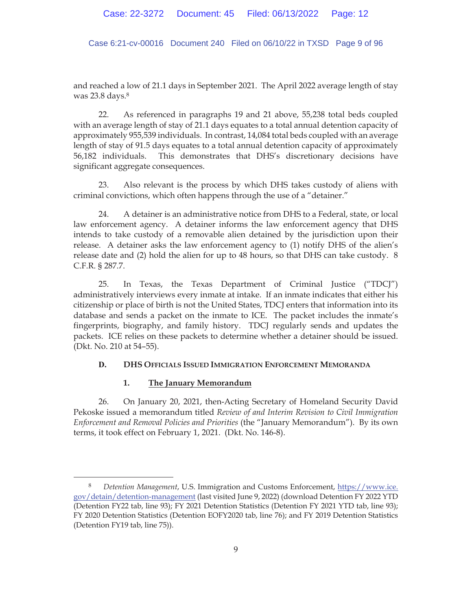Case 6:21-cv-00016 Document 240 Filed on 06/10/22 in TXSD Page 9 of 96

and reached a low of 21.1 days in September 2021. The April 2022 average length of stay was 23.8 days.8

22. As referenced in paragraphs 19 and 21 above, 55,238 total beds coupled with an average length of stay of 21.1 days equates to a total annual detention capacity of approximately 955,539 individuals. In contrast, 14,084 total beds coupled with an average length of stay of 91.5 days equates to a total annual detention capacity of approximately 56,182 individuals. This demonstrates that DHS's discretionary decisions have significant aggregate consequences.

23. Also relevant is the process by which DHS takes custody of aliens with criminal convictions, which often happens through the use of a "detainer."

24. A detainer is an administrative notice from DHS to a Federal, state, or local law enforcement agency. A detainer informs the law enforcement agency that DHS intends to take custody of a removable alien detained by the jurisdiction upon their release. A detainer asks the law enforcement agency to (1) notify DHS of the alien's release date and (2) hold the alien for up to 48 hours, so that DHS can take custody. 8 C.F.R. § 287.7.

25. In Texas, the Texas Department of Criminal Justice ("TDCJ") administratively interviews every inmate at intake. If an inmate indicates that either his citizenship or place of birth is not the United States, TDCJ enters that information into its database and sends a packet on the inmate to ICE. The packet includes the inmate's fingerprints, biography, and family history. TDCJ regularly sends and updates the packets. ICE relies on these packets to determine whether a detainer should be issued. (Dkt. No. 210 at 54–55).

# **D. DHS OFFICIALS ISSUED IMMIGRATION ENFORCEMENT MEMORANDA**

# **1. The January Memorandum**

26. On January 20, 2021, then-Acting Secretary of Homeland Security David Pekoske issued a memorandum titled *Review of and Interim Revision to Civil Immigration Enforcement and Removal Policies and Priorities* (the "January Memorandum"). By its own terms, it took effect on February 1, 2021. (Dkt. No. 146-8).

<sup>8</sup> *Detention Management*, U.S. Immigration and Customs Enforcement, https://www.ice. gov/detain/detention-management (last visited June 9, 2022) (download Detention FY 2022 YTD (Detention FY22 tab, line 93); FY 2021 Detention Statistics (Detention FY 2021 YTD tab, line 93); FY 2020 Detention Statistics (Detention EOFY2020 tab, line 76); and FY 2019 Detention Statistics (Detention FY19 tab, line 75)).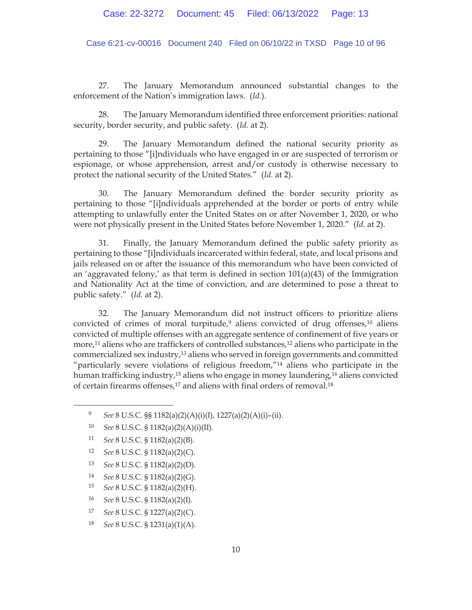Case 6:21-cv-00016 Document 240 Filed on 06/10/22 in TXSD Page 10 of 96

27. The January Memorandum announced substantial changes to the enforcement of the Nation's immigration laws. (*Id.*).

28. The January Memorandum identified three enforcement priorities: national security, border security, and public safety. (*Id.* at 2).

29. The January Memorandum defined the national security priority as pertaining to those "[i]ndividuals who have engaged in or are suspected of terrorism or espionage, or whose apprehension, arrest and/or custody is otherwise necessary to protect the national security of the United States." (*Id.* at 2).

The January Memorandum defined the border security priority as pertaining to those "[i]ndividuals apprehended at the border or ports of entry while attempting to unlawfully enter the United States on or after November 1, 2020, or who were not physically present in the United States before November 1, 2020." (*Id.* at 2).

31. Finally, the January Memorandum defined the public safety priority as pertaining to those "[i]ndividuals incarcerated within federal, state, and local prisons and jails released on or after the issuance of this memorandum who have been convicted of an 'aggravated felony,' as that term is defined in section  $101(a)(43)$  of the Immigration and Nationality Act at the time of conviction, and are determined to pose a threat to public safety." (*Id.* at 2).

32. The January Memorandum did not instruct officers to prioritize aliens convicted of crimes of moral turpitude, $9$  aliens convicted of drug offenses, $10$  aliens convicted of multiple offenses with an aggregate sentence of confinement of five years or more,<sup>11</sup> aliens who are traffickers of controlled substances,<sup>12</sup> aliens who participate in the commercialized sex industry,13 aliens who served in foreign governments and committed "particularly severe violations of religious freedom,"<sup>14</sup> aliens who participate in the human trafficking industry,<sup>15</sup> aliens who engage in money laundering,<sup>16</sup> aliens convicted of certain firearms offenses,<sup>17</sup> and aliens with final orders of removal.<sup>18</sup>

- 14 *See* 8 U.S.C. § 1182(a)(2)(G).
- 15 *See* 8 U.S.C. § 1182(a)(2)(H).
- 16 *See* 8 U.S.C. § 1182(a)(2)(I).
- 17 *See* 8 U.S.C. § 1227(a)(2)(C).

18 *See* 8 U.S.C. § 1231(a)(1)(A).

<sup>9</sup> *See* 8 U.S.C. §§ 1182(a)(2)(A)(i)(I), 1227(a)(2)(A)(i)–(ii).

<sup>10</sup> *See* 8 U.S.C. § 1182(a)(2)(A)(i)(II).

<sup>11</sup> *See* 8 U.S.C. § 1182(a)(2)(B).

<sup>12</sup> *See* 8 U.S.C. § 1182(a)(2)(C).

<sup>13</sup> *See* 8 U.S.C. § 1182(a)(2)(D).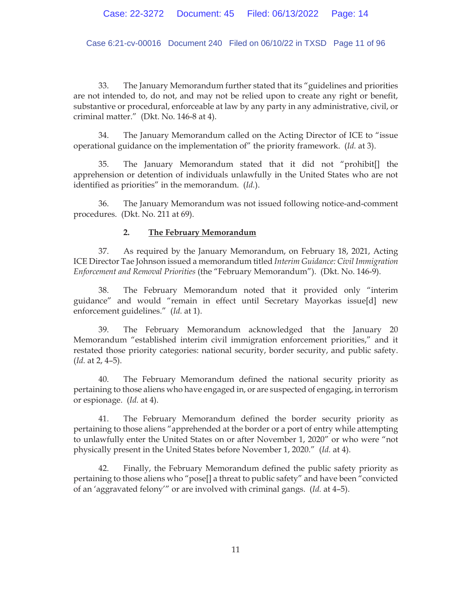Case 6:21-cv-00016 Document 240 Filed on 06/10/22 in TXSD Page 11 of 96

33. The January Memorandum further stated that its "guidelines and priorities are not intended to, do not, and may not be relied upon to create any right or benefit, substantive or procedural, enforceable at law by any party in any administrative, civil, or criminal matter." (Dkt. No. 146-8 at 4).

34. The January Memorandum called on the Acting Director of ICE to "issue operational guidance on the implementation of" the priority framework. (*Id.* at 3).

35. The January Memorandum stated that it did not "prohibit[] the apprehension or detention of individuals unlawfully in the United States who are not identified as priorities" in the memorandum. (*Id.*).

36. The January Memorandum was not issued following notice-and-comment procedures. (Dkt. No. 211 at 69).

## **2. The February Memorandum**

37. As required by the January Memorandum, on February 18, 2021, Acting ICE Director Tae Johnson issued a memorandum titled *Interim Guidance: Civil Immigration Enforcement and Removal Priorities* (the "February Memorandum"). (Dkt. No. 146-9).

38. The February Memorandum noted that it provided only "interim guidance" and would "remain in effect until Secretary Mayorkas issue[d] new enforcement guidelines." (*Id.* at 1).

39. The February Memorandum acknowledged that the January 20 Memorandum "established interim civil immigration enforcement priorities," and it restated those priority categories: national security, border security, and public safety. (*Id.* at 2, 4–5).

40. The February Memorandum defined the national security priority as pertaining to those aliens who have engaged in, or are suspected of engaging, in terrorism or espionage. (*Id.* at 4).

41. The February Memorandum defined the border security priority as pertaining to those aliens "apprehended at the border or a port of entry while attempting to unlawfully enter the United States on or after November 1, 2020" or who were "not physically present in the United States before November 1, 2020." (*Id.* at 4).

42. Finally, the February Memorandum defined the public safety priority as pertaining to those aliens who "pose[] a threat to public safety" and have been "convicted of an 'aggravated felony'" or are involved with criminal gangs. (*Id.* at 4–5).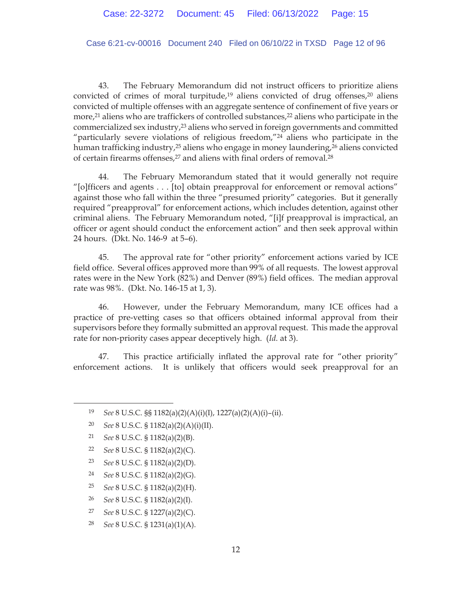Case 6:21-cv-00016 Document 240 Filed on 06/10/22 in TXSD Page 12 of 96

43. The February Memorandum did not instruct officers to prioritize aliens convicted of crimes of moral turpitude, $19$  aliens convicted of drug offenses, $20$  aliens convicted of multiple offenses with an aggregate sentence of confinement of five years or more,<sup>21</sup> aliens who are traffickers of controlled substances,<sup>22</sup> aliens who participate in the commercialized sex industry,23 aliens who served in foreign governments and committed "particularly severe violations of religious freedom,"24 aliens who participate in the human trafficking industry,<sup>25</sup> aliens who engage in money laundering,<sup>26</sup> aliens convicted of certain firearms offenses,<sup>27</sup> and aliens with final orders of removal.<sup>28</sup>

44. The February Memorandum stated that it would generally not require "[o]fficers and agents . . . [to] obtain preapproval for enforcement or removal actions" against those who fall within the three "presumed priority" categories. But it generally required "preapproval" for enforcement actions, which includes detention, against other criminal aliens. The February Memorandum noted, "[i]f preapproval is impractical, an officer or agent should conduct the enforcement action" and then seek approval within 24 hours. (Dkt. No. 146-9 at 5–6).

45. The approval rate for "other priority" enforcement actions varied by ICE field office. Several offices approved more than 99% of all requests. The lowest approval rates were in the New York (82%) and Denver (89%) field offices. The median approval rate was 98%. (Dkt. No. 146-15 at 1, 3).

46. However, under the February Memorandum, many ICE offices had a practice of pre-vetting cases so that officers obtained informal approval from their supervisors before they formally submitted an approval request. This made the approval rate for non-priority cases appear deceptively high. (*Id.* at 3).

47. This practice artificially inflated the approval rate for "other priority" enforcement actions. It is unlikely that officers would seek preapproval for an

- 22 *See* 8 U.S.C. § 1182(a)(2)(C).
- 23 *See* 8 U.S.C. § 1182(a)(2)(D).
- 24 *See* 8 U.S.C. § 1182(a)(2)(G).
- 25 *See* 8 U.S.C. § 1182(a)(2)(H).
- 26 *See* 8 U.S.C. § 1182(a)(2)(I).
- 27 *See* 8 U.S.C. § 1227(a)(2)(C).
- 28 *See* 8 U.S.C. § 1231(a)(1)(A).

<sup>19</sup> *See* 8 U.S.C. §§ 1182(a)(2)(A)(i)(I), 1227(a)(2)(A)(i)–(ii).

<sup>20</sup> *See* 8 U.S.C. § 1182(a)(2)(A)(i)(II).

<sup>21</sup> *See* 8 U.S.C. § 1182(a)(2)(B).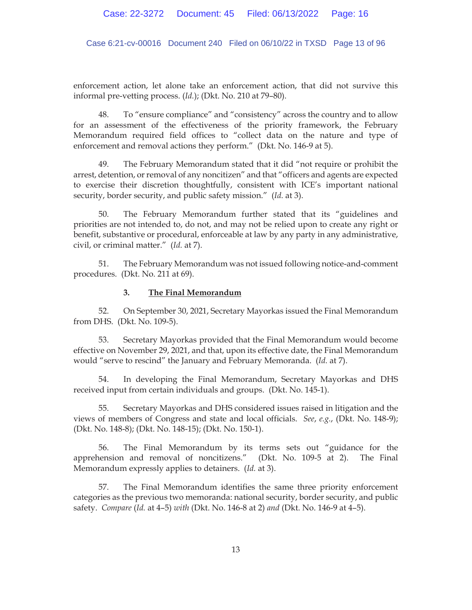Case 6:21-cv-00016 Document 240 Filed on 06/10/22 in TXSD Page 13 of 96

enforcement action, let alone take an enforcement action, that did not survive this informal pre-vetting process. (*Id.*); (Dkt. No. 210 at 79–80).

48. To "ensure compliance" and "consistency" across the country and to allow for an assessment of the effectiveness of the priority framework, the February Memorandum required field offices to "collect data on the nature and type of enforcement and removal actions they perform." (Dkt. No. 146-9 at 5).

49. The February Memorandum stated that it did "not require or prohibit the arrest, detention, or removal of any noncitizen" and that "officers and agents are expected to exercise their discretion thoughtfully, consistent with ICE's important national security, border security, and public safety mission." (*Id.* at 3).

50. The February Memorandum further stated that its "guidelines and priorities are not intended to, do not, and may not be relied upon to create any right or benefit, substantive or procedural, enforceable at law by any party in any administrative, civil, or criminal matter." (*Id.* at 7).

51. The February Memorandum was not issued following notice-and-comment procedures. (Dkt. No. 211 at 69).

## **3. The Final Memorandum**

52. On September 30, 2021, Secretary Mayorkas issued the Final Memorandum from DHS. (Dkt. No. 109-5).

53. Secretary Mayorkas provided that the Final Memorandum would become effective on November 29, 2021, and that, upon its effective date, the Final Memorandum would "serve to rescind" the January and February Memoranda. (*Id.* at 7).

54. In developing the Final Memorandum, Secretary Mayorkas and DHS received input from certain individuals and groups. (Dkt. No. 145-1).

55. Secretary Mayorkas and DHS considered issues raised in litigation and the views of members of Congress and state and local officials. *See*, *e.g.*, (Dkt. No. 148-9); (Dkt. No. 148-8); (Dkt. No. 148-15); (Dkt. No. 150-1).

56. The Final Memorandum by its terms sets out "guidance for the apprehension and removal of noncitizens." (Dkt. No. 109-5 at 2). The Final Memorandum expressly applies to detainers. (*Id.* at 3).

57. The Final Memorandum identifies the same three priority enforcement categories as the previous two memoranda: national security, border security, and public safety. *Compare* (*Id.* at 4–5) *with* (Dkt. No. 146-8 at 2) *and* (Dkt. No. 146-9 at 4–5).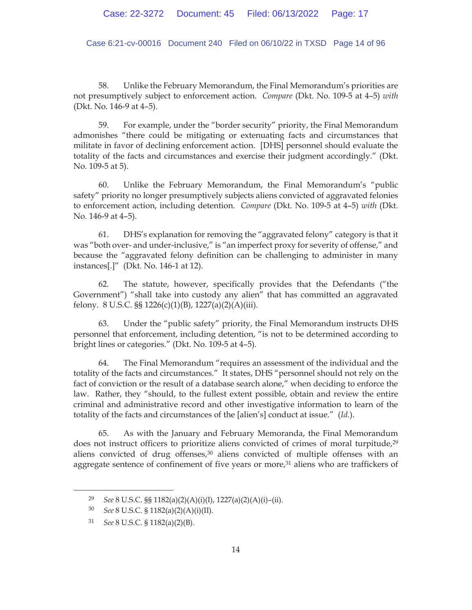Case 6:21-cv-00016 Document 240 Filed on 06/10/22 in TXSD Page 14 of 96

58. Unlike the February Memorandum, the Final Memorandum's priorities are not presumptively subject to enforcement action. *Compare* (Dkt. No. 109-5 at 4–5) *with* (Dkt. No. 146-9 at 4–5).

59. For example, under the "border security" priority, the Final Memorandum admonishes "there could be mitigating or extenuating facts and circumstances that militate in favor of declining enforcement action. [DHS] personnel should evaluate the totality of the facts and circumstances and exercise their judgment accordingly." (Dkt. No. 109-5 at 5).

60. Unlike the February Memorandum, the Final Memorandum's "public safety" priority no longer presumptively subjects aliens convicted of aggravated felonies to enforcement action, including detention. *Compare* (Dkt. No. 109-5 at 4–5) *with* (Dkt. No. 146-9 at 4–5).

61. DHS's explanation for removing the "aggravated felony" category is that it was "both over- and under-inclusive," is "an imperfect proxy for severity of offense," and because the "aggravated felony definition can be challenging to administer in many instances[.]" (Dkt. No. 146-1 at 12).

62. The statute, however, specifically provides that the Defendants ("the Government") "shall take into custody any alien" that has committed an aggravated felony. 8 U.S.C. §§ 1226(c)(1)(B), 1227(a)(2)(A)(iii).

63. Under the "public safety" priority, the Final Memorandum instructs DHS personnel that enforcement, including detention, "is not to be determined according to bright lines or categories." (Dkt. No. 109-5 at 4–5).

64. The Final Memorandum "requires an assessment of the individual and the totality of the facts and circumstances." It states, DHS "personnel should not rely on the fact of conviction or the result of a database search alone," when deciding to enforce the law. Rather, they "should, to the fullest extent possible, obtain and review the entire criminal and administrative record and other investigative information to learn of the totality of the facts and circumstances of the [alien's] conduct at issue." (*Id.*).

65. As with the January and February Memoranda, the Final Memorandum does not instruct officers to prioritize aliens convicted of crimes of moral turpitude,<sup>29</sup> aliens convicted of drug offenses,<sup>30</sup> aliens convicted of multiple offenses with an aggregate sentence of confinement of five years or more, $31$  aliens who are traffickers of

<sup>29</sup> *See* 8 U.S.C. §§ 1182(a)(2)(A)(i)(I), 1227(a)(2)(A)(i)–(ii).

<sup>30</sup> *See* 8 U.S.C. § 1182(a)(2)(A)(i)(II).

<sup>31</sup> *See* 8 U.S.C. § 1182(a)(2)(B).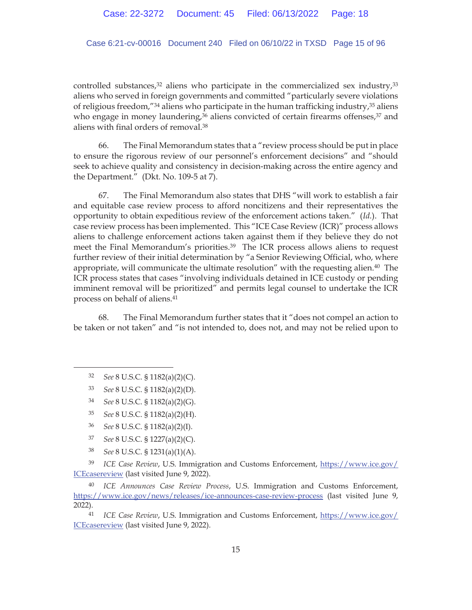Case 6:21-cv-00016 Document 240 Filed on 06/10/22 in TXSD Page 15 of 96

controlled substances, $32$  aliens who participate in the commercialized sex industry, $33$ aliens who served in foreign governments and committed "particularly severe violations of religious freedom,"<sup>34</sup> aliens who participate in the human trafficking industry,<sup>35</sup> aliens who engage in money laundering, $36$  aliens convicted of certain firearms offenses, $37$  and aliens with final orders of removal.38

66. The Final Memorandum states that a "review process should be put in place to ensure the rigorous review of our personnel's enforcement decisions" and "should seek to achieve quality and consistency in decision-making across the entire agency and the Department." (Dkt. No. 109-5 at 7).

67. The Final Memorandum also states that DHS "will work to establish a fair and equitable case review process to afford noncitizens and their representatives the opportunity to obtain expeditious review of the enforcement actions taken." (*Id.*). That case review process has been implemented. This "ICE Case Review (ICR)" process allows aliens to challenge enforcement actions taken against them if they believe they do not meet the Final Memorandum's priorities.39 The ICR process allows aliens to request further review of their initial determination by "a Senior Reviewing Official, who, where appropriate, will communicate the ultimate resolution" with the requesting alien.40 The ICR process states that cases "involving individuals detained in ICE custody or pending imminent removal will be prioritized" and permits legal counsel to undertake the ICR process on behalf of aliens.41

68. The Final Memorandum further states that it "does not compel an action to be taken or not taken" and "is not intended to, does not, and may not be relied upon to

- 35 *See* 8 U.S.C. § 1182(a)(2)(H).
- 36 *See* 8 U.S.C. § 1182(a)(2)(I).
- 37 *See* 8 U.S.C. § 1227(a)(2)(C).
- 38 *See* 8 U.S.C. § 1231(a)(1)(A).

39 *ICE Case Review*, U.S. Immigration and Customs Enforcement, https://www.ice.gov/ ICEcasereview (last visited June 9, 2022).

40 *ICE Announces Case Review Process*, U.S. Immigration and Customs Enforcement, https://www.ice.gov/news/releases/ice-announces-case-review-process (last visited June 9, 2022).

41 *ICE Case Review*, U.S. Immigration and Customs Enforcement, https://www.ice.gov/ ICEcasereview (last visited June 9, 2022).

<sup>32</sup> *See* 8 U.S.C. § 1182(a)(2)(C).

<sup>33</sup> *See* 8 U.S.C. § 1182(a)(2)(D).

<sup>34</sup> *See* 8 U.S.C. § 1182(a)(2)(G).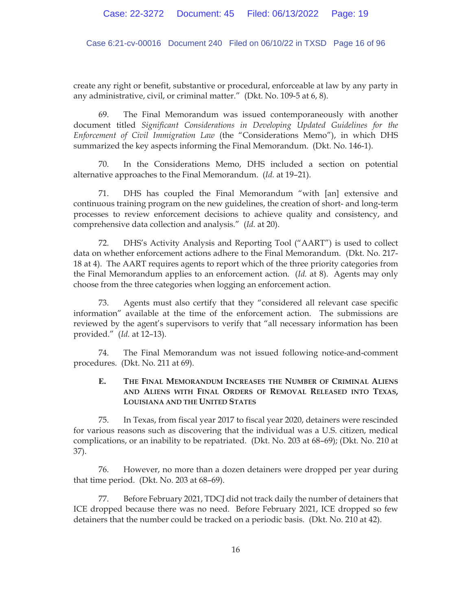Case 6:21-cv-00016 Document 240 Filed on 06/10/22 in TXSD Page 16 of 96

create any right or benefit, substantive or procedural, enforceable at law by any party in any administrative, civil, or criminal matter." (Dkt. No. 109-5 at 6, 8).

69. The Final Memorandum was issued contemporaneously with another document titled *Significant Considerations in Developing Updated Guidelines for the Enforcement of Civil Immigration Law* (the "Considerations Memo"), in which DHS summarized the key aspects informing the Final Memorandum. (Dkt. No. 146-1).

70. In the Considerations Memo, DHS included a section on potential alternative approaches to the Final Memorandum. (*Id.* at 19–21).

71. DHS has coupled the Final Memorandum "with [an] extensive and continuous training program on the new guidelines, the creation of short- and long-term processes to review enforcement decisions to achieve quality and consistency, and comprehensive data collection and analysis." (*Id.* at 20).

72. DHS's Activity Analysis and Reporting Tool ("AART") is used to collect data on whether enforcement actions adhere to the Final Memorandum. (Dkt. No. 217- 18 at 4). The AART requires agents to report which of the three priority categories from the Final Memorandum applies to an enforcement action. (*Id.* at 8). Agents may only choose from the three categories when logging an enforcement action.

73. Agents must also certify that they "considered all relevant case specific information" available at the time of the enforcement action. The submissions are reviewed by the agent's supervisors to verify that "all necessary information has been provided." (*Id.* at 12–13).

74. The Final Memorandum was not issued following notice-and-comment procedures. (Dkt. No. 211 at 69).

# **E. THE FINAL MEMORANDUM INCREASES THE NUMBER OF CRIMINAL ALIENS AND ALIENS WITH FINAL ORDERS OF REMOVAL RELEASED INTO TEXAS, LOUISIANA AND THE UNITED STATES**

75. In Texas, from fiscal year 2017 to fiscal year 2020, detainers were rescinded for various reasons such as discovering that the individual was a U.S. citizen, medical complications, or an inability to be repatriated. (Dkt. No. 203 at 68–69); (Dkt. No. 210 at 37).

76. However, no more than a dozen detainers were dropped per year during that time period. (Dkt. No. 203 at 68–69).

77. Before February 2021, TDCJ did not track daily the number of detainers that ICE dropped because there was no need. Before February 2021, ICE dropped so few detainers that the number could be tracked on a periodic basis. (Dkt. No. 210 at 42).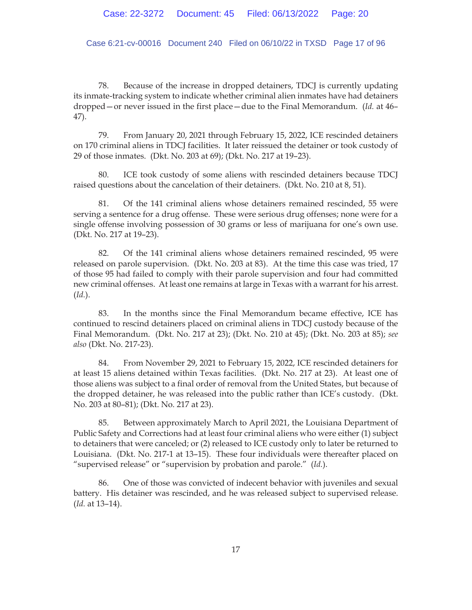Case 6:21-cv-00016 Document 240 Filed on 06/10/22 in TXSD Page 17 of 96

78. Because of the increase in dropped detainers, TDCJ is currently updating its inmate-tracking system to indicate whether criminal alien inmates have had detainers dropped—or never issued in the first place—due to the Final Memorandum. (*Id.* at 46– 47).

79. From January 20, 2021 through February 15, 2022, ICE rescinded detainers on 170 criminal aliens in TDCJ facilities. It later reissued the detainer or took custody of 29 of those inmates. (Dkt. No. 203 at 69); (Dkt. No. 217 at 19–23).

80. ICE took custody of some aliens with rescinded detainers because TDCJ raised questions about the cancelation of their detainers. (Dkt. No. 210 at 8, 51).

81. Of the 141 criminal aliens whose detainers remained rescinded, 55 were serving a sentence for a drug offense. These were serious drug offenses; none were for a single offense involving possession of 30 grams or less of marijuana for one's own use. (Dkt. No. 217 at 19–23).

82. Of the 141 criminal aliens whose detainers remained rescinded, 95 were released on parole supervision. (Dkt. No. 203 at 83). At the time this case was tried, 17 of those 95 had failed to comply with their parole supervision and four had committed new criminal offenses. At least one remains at large in Texas with a warrant for his arrest. (*Id.*).

83. In the months since the Final Memorandum became effective, ICE has continued to rescind detainers placed on criminal aliens in TDCJ custody because of the Final Memorandum. (Dkt. No. 217 at 23); (Dkt. No. 210 at 45); (Dkt. No. 203 at 85); *see also* (Dkt. No. 217-23).

84. From November 29, 2021 to February 15, 2022, ICE rescinded detainers for at least 15 aliens detained within Texas facilities. (Dkt. No. 217 at 23). At least one of those aliens was subject to a final order of removal from the United States, but because of the dropped detainer, he was released into the public rather than ICE's custody. (Dkt. No. 203 at 80–81); (Dkt. No. 217 at 23).

85. Between approximately March to April 2021, the Louisiana Department of Public Safety and Corrections had at least four criminal aliens who were either (1) subject to detainers that were canceled; or (2) released to ICE custody only to later be returned to Louisiana. (Dkt. No. 217-1 at 13–15). These four individuals were thereafter placed on "supervised release" or "supervision by probation and parole." (*Id.*).

86. One of those was convicted of indecent behavior with juveniles and sexual battery. His detainer was rescinded, and he was released subject to supervised release. (*Id.* at 13–14).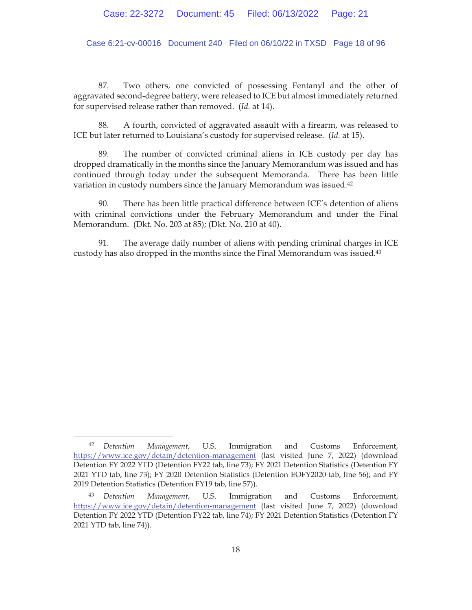Case 6:21-cv-00016 Document 240 Filed on 06/10/22 in TXSD Page 18 of 96

87. Two others, one convicted of possessing Fentanyl and the other of aggravated second-degree battery, were released to ICE but almost immediately returned for supervised release rather than removed. (*Id.* at 14).

88. A fourth, convicted of aggravated assault with a firearm, was released to ICE but later returned to Louisiana's custody for supervised release. (*Id.* at 15).

89. The number of convicted criminal aliens in ICE custody per day has dropped dramatically in the months since the January Memorandum was issued and has continued through today under the subsequent Memoranda. There has been little variation in custody numbers since the January Memorandum was issued.42

90. There has been little practical difference between ICE's detention of aliens with criminal convictions under the February Memorandum and under the Final Memorandum. (Dkt. No. 203 at 85); (Dkt. No. 210 at 40).

91. The average daily number of aliens with pending criminal charges in ICE custody has also dropped in the months since the Final Memorandum was issued.43

<sup>42</sup> *Detention Management*, U.S. Immigration and Customs Enforcement, https://www.ice.gov/detain/detention-management (last visited June 7, 2022) (download Detention FY 2022 YTD (Detention FY22 tab, line 73); FY 2021 Detention Statistics (Detention FY 2021 YTD tab, line 73); FY 2020 Detention Statistics (Detention EOFY2020 tab, line 56); and FY 2019 Detention Statistics (Detention FY19 tab, line 57)).

<sup>43</sup> *Detention Management*, U.S. Immigration and Customs Enforcement, https://www.ice.gov/detain/detention-management (last visited June 7, 2022) (download Detention FY 2022 YTD (Detention FY22 tab, line 74); FY 2021 Detention Statistics (Detention FY 2021 YTD tab, line 74)).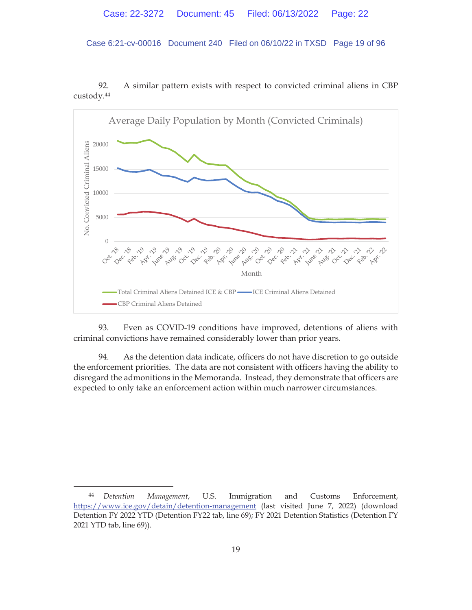Case 6:21-cv-00016 Document 240 Filed on 06/10/22 in TXSD Page 19 of 96

92. A similar pattern exists with respect to convicted criminal aliens in CBP custody.44



93. Even as COVID-19 conditions have improved, detentions of aliens with criminal convictions have remained considerably lower than prior years.

94. As the detention data indicate, officers do not have discretion to go outside the enforcement priorities. The data are not consistent with officers having the ability to disregard the admonitions in the Memoranda. Instead, they demonstrate that officers are expected to only take an enforcement action within much narrower circumstances.

<sup>44</sup> *Detention Management*, U.S. Immigration and Customs Enforcement, https://www.ice.gov/detain/detention-management (last visited June 7, 2022) (download Detention FY 2022 YTD (Detention FY22 tab, line 69); FY 2021 Detention Statistics (Detention FY 2021 YTD tab, line 69)).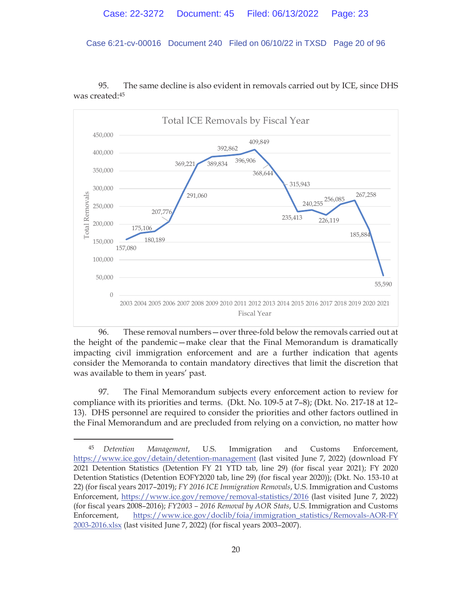Case 6:21-cv-00016 Document 240 Filed on 06/10/22 in TXSD Page 20 of 96



95. The same decline is also evident in removals carried out by ICE, since DHS was created:45

96. These removal numbers—over three-fold below the removals carried out at the height of the pandemic—make clear that the Final Memorandum is dramatically impacting civil immigration enforcement and are a further indication that agents consider the Memoranda to contain mandatory directives that limit the discretion that was available to them in years' past.

97. The Final Memorandum subjects every enforcement action to review for compliance with its priorities and terms. (Dkt. No. 109-5 at 7–8); (Dkt. No. 217-18 at 12– 13). DHS personnel are required to consider the priorities and other factors outlined in the Final Memorandum and are precluded from relying on a conviction, no matter how

<sup>45</sup> *Detention Management*, U.S. Immigration and Customs Enforcement, https://www.ice.gov/detain/detention-management (last visited June 7, 2022) (download FY 2021 Detention Statistics (Detention FY 21 YTD tab, line 29) (for fiscal year 2021); FY 2020 Detention Statistics (Detention EOFY2020 tab, line 29) (for fiscal year 2020)); (Dkt. No. 153-10 at 22) (for fiscal years 2017–2019); *FY 2016 ICE Immigration Removals*, U.S. Immigration and Customs Enforcement, https://www.ice.gov/remove/removal-statistics/2016 (last visited June 7, 2022) (for fiscal years 2008–2016); *FY2003 – 2016 Removal by AOR Stats*, U.S. Immigration and Customs Enforcement, https://www.ice.gov/doclib/foia/immigration\_statistics/Removals-AOR-FY 2003-2016.xlsx (last visited June 7, 2022) (for fiscal years 2003–2007).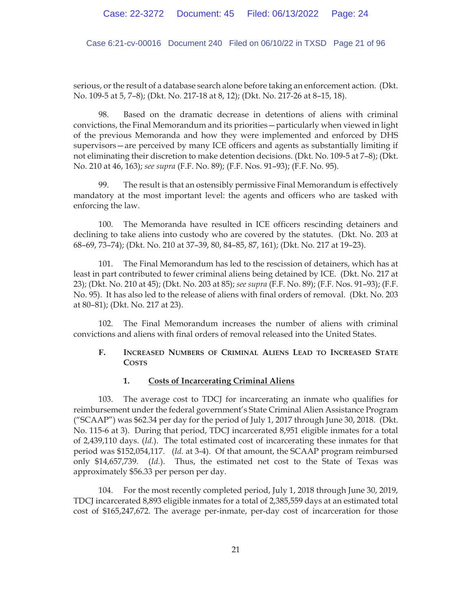Case 6:21-cv-00016 Document 240 Filed on 06/10/22 in TXSD Page 21 of 96

serious, or the result of a database search alone before taking an enforcement action. (Dkt. No. 109-5 at 5, 7–8); (Dkt. No. 217-18 at 8, 12); (Dkt. No. 217-26 at 8–15, 18).

98. Based on the dramatic decrease in detentions of aliens with criminal convictions, the Final Memorandum and its priorities—particularly when viewed in light of the previous Memoranda and how they were implemented and enforced by DHS supervisors—are perceived by many ICE officers and agents as substantially limiting if not eliminating their discretion to make detention decisions. (Dkt. No. 109-5 at 7–8); (Dkt. No. 210 at 46, 163); *see supra* (F.F. No. 89); (F.F. Nos. 91–93); (F.F. No. 95).

99. The result is that an ostensibly permissive Final Memorandum is effectively mandatory at the most important level: the agents and officers who are tasked with enforcing the law.

100. The Memoranda have resulted in ICE officers rescinding detainers and declining to take aliens into custody who are covered by the statutes. (Dkt. No. 203 at 68–69, 73–74); (Dkt. No. 210 at 37–39, 80, 84–85, 87, 161); (Dkt. No. 217 at 19–23).

101. The Final Memorandum has led to the rescission of detainers, which has at least in part contributed to fewer criminal aliens being detained by ICE. (Dkt. No. 217 at 23); (Dkt. No. 210 at 45); (Dkt. No. 203 at 85); *see supra* (F.F. No. 89); (F.F. Nos. 91–93); (F.F. No. 95). It has also led to the release of aliens with final orders of removal. (Dkt. No. 203 at 80–81); (Dkt. No. 217 at 23).

102. The Final Memorandum increases the number of aliens with criminal convictions and aliens with final orders of removal released into the United States.

# **F. INCREASED NUMBERS OF CRIMINAL ALIENS LEAD TO INCREASED STATE COSTS**

## **1. Costs of Incarcerating Criminal Aliens**

103. The average cost to TDCJ for incarcerating an inmate who qualifies for reimbursement under the federal government's State Criminal Alien Assistance Program ("SCAAP") was  $$62.34$  per day for the period of July 1, 2017 through June 30, 2018. (Dkt. No. 115-6 at 3). During that period, TDCJ incarcerated 8,951 eligible inmates for a total of 2,439,110 days. (*Id.*). The total estimated cost of incarcerating these inmates for that period was \$152,054,117. (*Id.* at 3-4). Of that amount, the SCAAP program reimbursed only \$14,657,739. (*Id.*). Thus, the estimated net cost to the State of Texas was approximately \$56.33 per person per day.

104. For the most recently completed period, July 1, 2018 through June 30, 2019, TDCJ incarcerated 8,893 eligible inmates for a total of 2,385,559 days at an estimated total cost of \$165,247,672. The average per-inmate, per-day cost of incarceration for those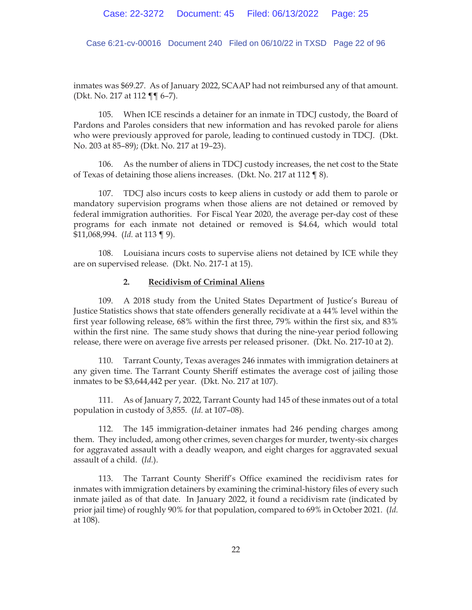Case 6:21-cv-00016 Document 240 Filed on 06/10/22 in TXSD Page 22 of 96

inmates was \$69.27. As of January 2022, SCAAP had not reimbursed any of that amount. (Dkt. No. 217 at 112 ¶¶ 6–7).

105. When ICE rescinds a detainer for an inmate in TDCJ custody, the Board of Pardons and Paroles considers that new information and has revoked parole for aliens who were previously approved for parole, leading to continued custody in TDCJ. (Dkt. No. 203 at 85–89); (Dkt. No. 217 at 19–23).

106. As the number of aliens in TDCJ custody increases, the net cost to the State of Texas of detaining those aliens increases. (Dkt. No. 217 at 112 ¶ 8).

107. TDCJ also incurs costs to keep aliens in custody or add them to parole or mandatory supervision programs when those aliens are not detained or removed by federal immigration authorities. For Fiscal Year 2020, the average per-day cost of these programs for each inmate not detained or removed is \$4.64, which would total \$11,068,994. (*Id.* at 113 ¶ 9).

108. Louisiana incurs costs to supervise aliens not detained by ICE while they are on supervised release. (Dkt. No. 217-1 at 15).

## **2. Recidivism of Criminal Aliens**

109. A 2018 study from the United States Department of Justice's Bureau of Justice Statistics shows that state offenders generally recidivate at a 44% level within the first year following release, 68% within the first three, 79% within the first six, and 83% within the first nine. The same study shows that during the nine-year period following release, there were on average five arrests per released prisoner. (Dkt. No. 217-10 at 2).

110. Tarrant County, Texas averages 246 inmates with immigration detainers at any given time. The Tarrant County Sheriff estimates the average cost of jailing those inmates to be \$3,644,442 per year. (Dkt. No. 217 at 107).

111. As of January 7, 2022, Tarrant County had 145 of these inmates out of a total population in custody of 3,855. (*Id.* at 107–08).

112. The 145 immigration-detainer inmates had 246 pending charges among them. They included, among other crimes, seven charges for murder, twenty-six charges for aggravated assault with a deadly weapon, and eight charges for aggravated sexual assault of a child. (*Id.*).

113. The Tarrant County Sheriff's Office examined the recidivism rates for inmates with immigration detainers by examining the criminal-history files of every such inmate jailed as of that date. In January 2022, it found a recidivism rate (indicated by prior jail time) of roughly 90% for that population, compared to 69% in October 2021. (*Id.* at 108).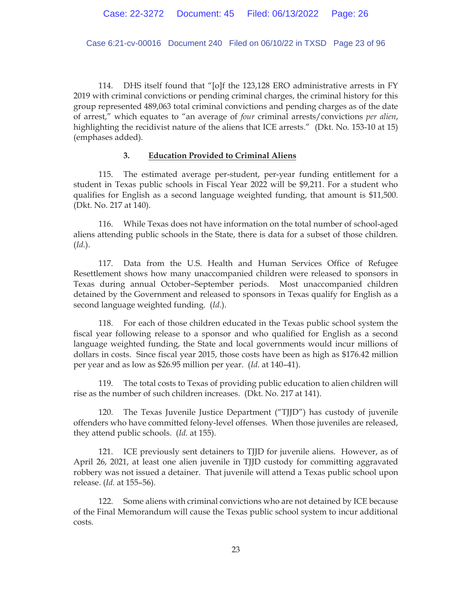Case 6:21-cv-00016 Document 240 Filed on 06/10/22 in TXSD Page 23 of 96

114. DHS itself found that "[o]f the 123,128 ERO administrative arrests in FY 2019 with criminal convictions or pending criminal charges, the criminal history for this group represented 489,063 total criminal convictions and pending charges as of the date of arrest," which equates to "an average of *four* criminal arrests/convictions *per alien*, highlighting the recidivist nature of the aliens that ICE arrests." (Dkt. No. 153-10 at 15) (emphases added).

## **3. Education Provided to Criminal Aliens**

115. The estimated average per-student, per-year funding entitlement for a student in Texas public schools in Fiscal Year 2022 will be \$9,211. For a student who qualifies for English as a second language weighted funding, that amount is \$11,500. (Dkt. No. 217 at 140).

116. While Texas does not have information on the total number of school-aged aliens attending public schools in the State, there is data for a subset of those children. (*Id.*).

117. Data from the U.S. Health and Human Services Office of Refugee Resettlement shows how many unaccompanied children were released to sponsors in Texas during annual October–September periods. Most unaccompanied children detained by the Government and released to sponsors in Texas qualify for English as a second language weighted funding. (*Id.*).

118. For each of those children educated in the Texas public school system the fiscal year following release to a sponsor and who qualified for English as a second language weighted funding, the State and local governments would incur millions of dollars in costs. Since fiscal year 2015, those costs have been as high as \$176.42 million per year and as low as \$26.95 million per year. (*Id.* at 140–41).

119. The total costs to Texas of providing public education to alien children will rise as the number of such children increases. (Dkt. No. 217 at 141).

120. The Texas Juvenile Justice Department ("TJJD") has custody of juvenile offenders who have committed felony-level offenses. When those juveniles are released, they attend public schools. (*Id.* at 155).

121. ICE previously sent detainers to TJJD for juvenile aliens. However, as of April 26, 2021, at least one alien juvenile in TJJD custody for committing aggravated robbery was not issued a detainer. That juvenile will attend a Texas public school upon release. (*Id.* at 155–56).

122. Some aliens with criminal convictions who are not detained by ICE because of the Final Memorandum will cause the Texas public school system to incur additional costs.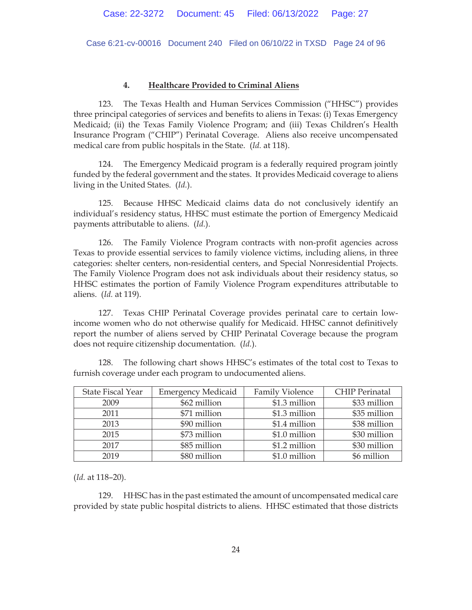Case 6:21-cv-00016 Document 240 Filed on 06/10/22 in TXSD Page 24 of 96

## **4. Healthcare Provided to Criminal Aliens**

123. The Texas Health and Human Services Commission ("HHSC") provides three principal categories of services and benefits to aliens in Texas: (i) Texas Emergency Medicaid; (ii) the Texas Family Violence Program; and (iii) Texas Children's Health Insurance Program ("CHIP") Perinatal Coverage. Aliens also receive uncompensated medical care from public hospitals in the State. (*Id.* at 118).

124. The Emergency Medicaid program is a federally required program jointly funded by the federal government and the states. It provides Medicaid coverage to aliens living in the United States. (*Id.*).

125. Because HHSC Medicaid claims data do not conclusively identify an individual's residency status, HHSC must estimate the portion of Emergency Medicaid payments attributable to aliens. (*Id.*).

126. The Family Violence Program contracts with non-profit agencies across Texas to provide essential services to family violence victims, including aliens, in three categories: shelter centers, non-residential centers, and Special Nonresidential Projects. The Family Violence Program does not ask individuals about their residency status, so HHSC estimates the portion of Family Violence Program expenditures attributable to aliens. (*Id.* at 119).

127. Texas CHIP Perinatal Coverage provides perinatal care to certain lowincome women who do not otherwise qualify for Medicaid. HHSC cannot definitively report the number of aliens served by CHIP Perinatal Coverage because the program does not require citizenship documentation. (*Id.*).

128. The following chart shows HHSC's estimates of the total cost to Texas to furnish coverage under each program to undocumented aliens.

| <b>State Fiscal Year</b> | <b>Emergency Medicaid</b> | <b>Family Violence</b> | <b>CHIP</b> Perinatal |
|--------------------------|---------------------------|------------------------|-----------------------|
| 2009                     | \$62 million              | \$1.3 million          | \$33 million          |
| 2011                     | \$71 million              | \$1.3 million          | \$35 million          |
| 2013                     | \$90 million              | \$1.4 million          | \$38 million          |
| 2015                     | \$73 million              | \$1.0 million          | \$30 million          |
| 2017                     | \$85 million              | \$1.2 million          | \$30 million          |
| 2019                     | \$80 million              | \$1.0 million          | \$6 million           |

(*Id.* at 118–20).

129. HHSC has in the past estimated the amount of uncompensated medical care provided by state public hospital districts to aliens. HHSC estimated that those districts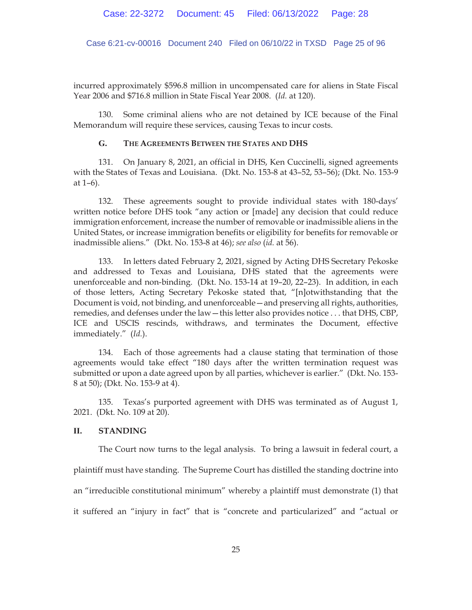Case 6:21-cv-00016 Document 240 Filed on 06/10/22 in TXSD Page 25 of 96

incurred approximately \$596.8 million in uncompensated care for aliens in State Fiscal Year 2006 and \$716.8 million in State Fiscal Year 2008. (*Id.* at 120).

130. Some criminal aliens who are not detained by ICE because of the Final Memorandum will require these services, causing Texas to incur costs.

#### **G. THE AGREEMENTS BETWEEN THE STATES AND DHS**

131. On January 8, 2021, an official in DHS, Ken Cuccinelli, signed agreements with the States of Texas and Louisiana. (Dkt. No. 153-8 at 43–52, 53–56); (Dkt. No. 153-9 at 1–6).

132. These agreements sought to provide individual states with 180-days' written notice before DHS took "any action or [made] any decision that could reduce immigration enforcement, increase the number of removable or inadmissible aliens in the United States, or increase immigration benefits or eligibility for benefits for removable or inadmissible aliens." (Dkt. No. 153-8 at 46); *see also* (*id.* at 56).

133. In letters dated February 2, 2021, signed by Acting DHS Secretary Pekoske and addressed to Texas and Louisiana, DHS stated that the agreements were unenforceable and non-binding. (Dkt. No. 153-14 at 19–20, 22–23). In addition, in each of those letters, Acting Secretary Pekoske stated that, "[n]otwithstanding that the Document is void, not binding, and unenforceable—and preserving all rights, authorities, remedies, and defenses under the law—this letter also provides notice . . . that DHS, CBP, ICE and USCIS rescinds, withdraws, and terminates the Document, effective immediately." (*Id.*).

134. Each of those agreements had a clause stating that termination of those agreements would take effect "180 days after the written termination request was submitted or upon a date agreed upon by all parties, whichever is earlier." (Dkt. No. 153- 8 at 50); (Dkt. No. 153-9 at 4).

135. Texas's purported agreement with DHS was terminated as of August 1, 2021. (Dkt. No. 109 at 20).

## **II. STANDING**

The Court now turns to the legal analysis. To bring a lawsuit in federal court, a

plaintiff must have standing. The Supreme Court has distilled the standing doctrine into

an "irreducible constitutional minimum" whereby a plaintiff must demonstrate (1) that

it suffered an "injury in fact" that is "concrete and particularized" and "actual or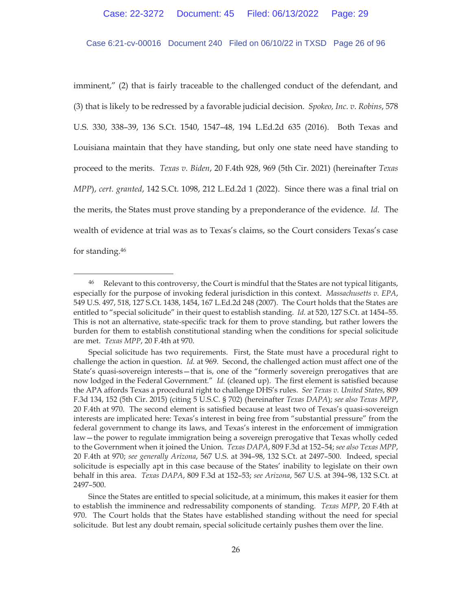## Case 6:21-cv-00016 Document 240 Filed on 06/10/22 in TXSD Page 26 of 96

imminent," (2) that is fairly traceable to the challenged conduct of the defendant, and (3) that is likely to be redressed by a favorable judicial decision. *Spokeo, Inc. v. Robins*, 578 U.S. 330, 338–39, 136 S.Ct. 1540, 1547–48, 194 L.Ed.2d 635 (2016). Both Texas and Louisiana maintain that they have standing, but only one state need have standing to proceed to the merits. *Texas v. Biden*, 20 F.4th 928, 969 (5th Cir. 2021) (hereinafter *Texas MPP*), *cert. granted*, 142 S.Ct. 1098, 212 L.Ed.2d 1 (2022). Since there was a final trial on the merits, the States must prove standing by a preponderance of the evidence. *Id.* The wealth of evidence at trial was as to Texas's claims, so the Court considers Texas's case for standing.46

<sup>&</sup>lt;sup>46</sup> Relevant to this controversy, the Court is mindful that the States are not typical litigants, especially for the purpose of invoking federal jurisdiction in this context. *Massachusetts v. EPA*, 549 U.S. 497, 518, 127 S.Ct. 1438, 1454, 167 L.Ed.2d 248 (2007). The Court holds that the States are entitled to "special solicitude" in their quest to establish standing. *Id.* at 520, 127 S.Ct. at 1454–55. This is not an alternative, state-specific track for them to prove standing, but rather lowers the burden for them to establish constitutional standing when the conditions for special solicitude are met. *Texas MPP*, 20 F.4th at 970.

Special solicitude has two requirements. First, the State must have a procedural right to challenge the action in question. *Id.* at 969. Second, the challenged action must affect one of the State's quasi-sovereign interests—that is, one of the "formerly sovereign prerogatives that are now lodged in the Federal Government." *Id.* (cleaned up). The first element is satisfied because the APA affords Texas a procedural right to challenge DHS's rules. *See Texas v. United States*, 809 F.3d 134, 152 (5th Cir. 2015) (citing 5 U.S.C. § 702) (hereinafter *Texas DAPA*); *see also Texas MPP*, 20 F.4th at 970. The second element is satisfied because at least two of Texas's quasi-sovereign interests are implicated here: Texas's interest in being free from "substantial pressure" from the federal government to change its laws, and Texas's interest in the enforcement of immigration law—the power to regulate immigration being a sovereign prerogative that Texas wholly ceded to the Government when it joined the Union. *Texas DAPA*, 809 F.3d at 152–54; *see also Texas MPP*, 20 F.4th at 970; *see generally Arizona*, 567 U.S. at 394–98, 132 S.Ct. at 2497–500. Indeed, special solicitude is especially apt in this case because of the States' inability to legislate on their own behalf in this area. *Texas DAPA*, 809 F.3d at 152–53; *see Arizona*, 567 U.S. at 394–98, 132 S.Ct. at 2497–500.

Since the States are entitled to special solicitude, at a minimum, this makes it easier for them to establish the imminence and redressability components of standing. *Texas MPP*, 20 F.4th at 970. The Court holds that the States have established standing without the need for special solicitude. But lest any doubt remain, special solicitude certainly pushes them over the line.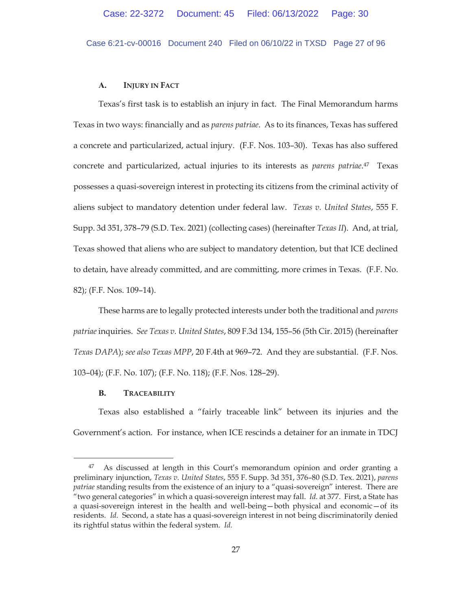Case 6:21-cv-00016 Document 240 Filed on 06/10/22 in TXSD Page 27 of 96

## **A. INJURY IN FACT**

Texas's first task is to establish an injury in fact. The Final Memorandum harms Texas in two ways: financially and as *parens patriae*. As to its finances, Texas has suffered a concrete and particularized, actual injury. (F.F. Nos. 103–30). Texas has also suffered concrete and particularized, actual injuries to its interests as *parens patriae*. 47 Texas possesses a quasi-sovereign interest in protecting its citizens from the criminal activity of aliens subject to mandatory detention under federal law. *Texas v. United States*, 555 F. Supp. 3d 351, 378–79 (S.D. Tex. 2021) (collecting cases) (hereinafter *Texas II*). And, at trial, Texas showed that aliens who are subject to mandatory detention, but that ICE declined to detain, have already committed, and are committing, more crimes in Texas. (F.F. No. 82); (F.F. Nos. 109–14).

These harms are to legally protected interests under both the traditional and *parens patriae* inquiries. *See Texas v. United States*, 809 F.3d 134, 155–56 (5th Cir. 2015) (hereinafter *Texas DAPA*); *see also Texas MPP*, 20 F.4th at 969–72. And they are substantial. (F.F. Nos. 103–04); (F.F. No. 107); (F.F. No. 118); (F.F. Nos. 128–29).

# **B. TRACEABILITY**

 Texas also established a "fairly traceable link" between its injuries and the Government's action. For instance, when ICE rescinds a detainer for an inmate in TDCJ

<sup>47</sup> As discussed at length in this Court's memorandum opinion and order granting a preliminary injunction, *Texas v. United States*, 555 F. Supp. 3d 351, 376–80 (S.D. Tex. 2021), *parens patriae* standing results from the existence of an injury to a "quasi-sovereign" interest. There are "two general categories" in which a quasi-sovereign interest may fall. *Id.* at 377. First, a State has a quasi-sovereign interest in the health and well-being—both physical and economic—of its residents. *Id.* Second, a state has a quasi-sovereign interest in not being discriminatorily denied its rightful status within the federal system. *Id.*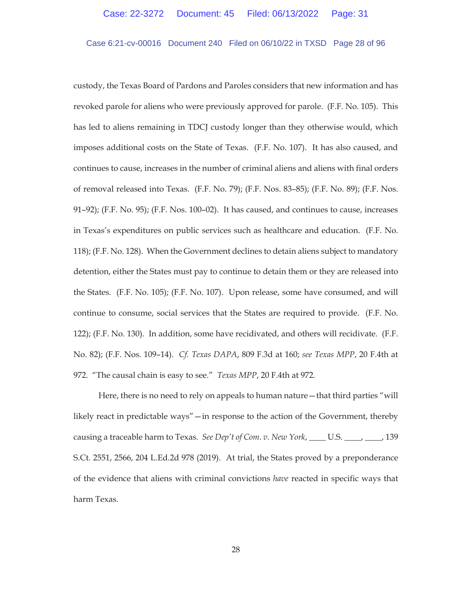## Case 6:21-cv-00016 Document 240 Filed on 06/10/22 in TXSD Page 28 of 96

custody, the Texas Board of Pardons and Paroles considers that new information and has revoked parole for aliens who were previously approved for parole. (F.F. No. 105). This has led to aliens remaining in TDCJ custody longer than they otherwise would, which imposes additional costs on the State of Texas. (F.F. No. 107). It has also caused, and continues to cause, increases in the number of criminal aliens and aliens with final orders of removal released into Texas. (F.F. No. 79); (F.F. Nos. 83–85); (F.F. No. 89); (F.F. Nos. 91–92); (F.F. No. 95); (F.F. Nos. 100–02). It has caused, and continues to cause, increases in Texas's expenditures on public services such as healthcare and education. (F.F. No. 118); (F.F. No. 128). When the Government declines to detain aliens subject to mandatory detention, either the States must pay to continue to detain them or they are released into the States. (F.F. No. 105); (F.F. No. 107). Upon release, some have consumed, and will continue to consume, social services that the States are required to provide. (F.F. No. 122); (F.F. No. 130). In addition, some have recidivated, and others will recidivate. (F.F. No. 82); (F.F. Nos. 109–14). *Cf. Texas DAPA*, 809 F.3d at 160; *see Texas MPP*, 20 F.4th at 972. "The causal chain is easy to see." *Texas MPP*, 20 F.4th at 972.

Here, there is no need to rely on appeals to human nature—that third parties "will likely react in predictable ways"—in response to the action of the Government, thereby causing a traceable harm to Texas. *See Dep't of Com*. *v. New York*, \_\_\_\_ U.S. \_\_\_\_, \_\_\_\_, 139 S.Ct. 2551, 2566, 204 L.Ed.2d 978 (2019). At trial, the States proved by a preponderance of the evidence that aliens with criminal convictions *have* reacted in specific ways that harm Texas.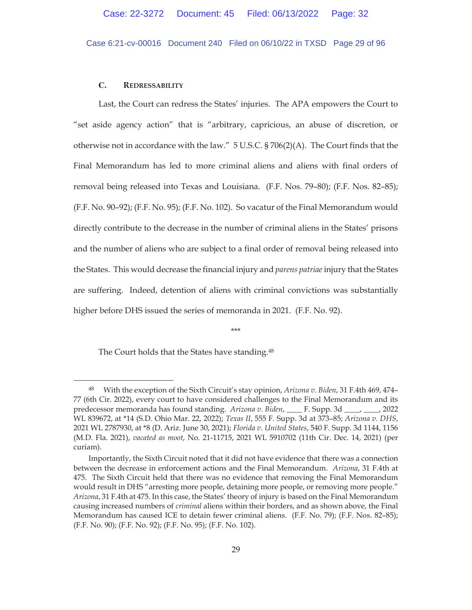Case 6:21-cv-00016 Document 240 Filed on 06/10/22 in TXSD Page 29 of 96

## **C. REDRESSABILITY**

Last, the Court can redress the States' injuries. The APA empowers the Court to "set aside agency action" that is "arbitrary, capricious, an abuse of discretion, or otherwise not in accordance with the law." 5 U.S.C. § 706(2)(A). The Court finds that the Final Memorandum has led to more criminal aliens and aliens with final orders of removal being released into Texas and Louisiana. (F.F. Nos. 79–80); (F.F. Nos. 82–85); (F.F. No. 90–92); (F.F. No. 95); (F.F. No. 102). So vacatur of the Final Memorandum would directly contribute to the decrease in the number of criminal aliens in the States' prisons and the number of aliens who are subject to a final order of removal being released into the States. This would decrease the financial injury and *parens patriae* injury that the States are suffering. Indeed, detention of aliens with criminal convictions was substantially higher before DHS issued the series of memoranda in 2021. (F.F. No. 92).

\*\*\*

The Court holds that the States have standing.48

<sup>48</sup> With the exception of the Sixth Circuit's stay opinion, *Arizona v. Biden*, 31 F.4th 469, 474– 77 (6th Cir. 2022), every court to have considered challenges to the Final Memorandum and its predecessor memoranda has found standing. *Arizona v. Biden*, \_\_\_\_ F. Supp. 3d \_\_\_\_, \_\_\_\_, 2022 WL 839672, at \*14 (S.D. Ohio Mar. 22, 2022); *Texas II*, 555 F. Supp. 3d at 373–85; *Arizona v. DHS*, 2021 WL 2787930, at \*8 (D. Ariz. June 30, 2021); *Florida v. United States*, 540 F. Supp. 3d 1144, 1156 (M.D. Fla. 2021), *vacated as moot*, No. 21-11715, 2021 WL 5910702 (11th Cir. Dec. 14, 2021) (per curiam).

Importantly, the Sixth Circuit noted that it did not have evidence that there was a connection between the decrease in enforcement actions and the Final Memorandum. *Arizona*, 31 F.4th at 475. The Sixth Circuit held that there was no evidence that removing the Final Memorandum would result in DHS "arresting more people, detaining more people, or removing more people." *Arizona*, 31 F.4th at 475. In this case, the States' theory of injury is based on the Final Memorandum causing increased numbers of *criminal* aliens within their borders, and as shown above, the Final Memorandum has caused ICE to detain fewer criminal aliens. (F.F. No. 79); (F.F. Nos. 82–85); (F.F. No. 90); (F.F. No. 92); (F.F. No. 95); (F.F. No. 102).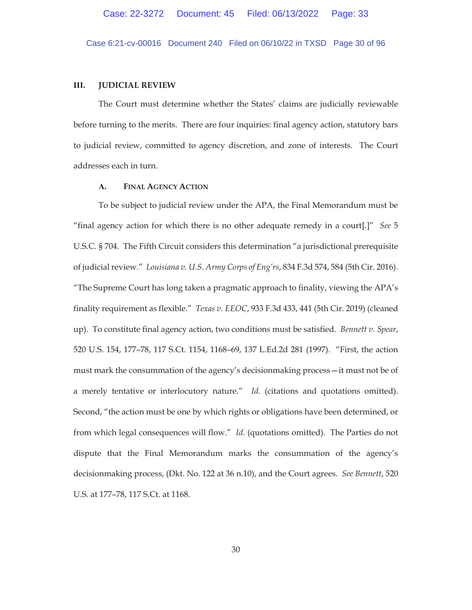Case 6:21-cv-00016 Document 240 Filed on 06/10/22 in TXSD Page 30 of 96

## **III. JUDICIAL REVIEW**

The Court must determine whether the States' claims are judicially reviewable before turning to the merits. There are four inquiries: final agency action, statutory bars to judicial review, committed to agency discretion, and zone of interests. The Court addresses each in turn.

## **A. FINAL AGENCY ACTION**

To be subject to judicial review under the APA, the Final Memorandum must be "final agency action for which there is no other adequate remedy in a court[.]" *See* 5 U.S.C. § 704. The Fifth Circuit considers this determination "a jurisdictional prerequisite of judicial review." *Louisiana v. U.S. Army Corps of Eng'rs*, 834 F.3d 574, 584 (5th Cir. 2016). "The Supreme Court has long taken a pragmatic approach to finality, viewing the APA's finality requirement as flexible." *Texas v. EEOC*, 933 F.3d 433, 441 (5th Cir. 2019) (cleaned up).To constitute final agency action, two conditions must be satisfied. *Bennett v. Spear*, 520 U.S. 154, 177–78, 117 S.Ct. 1154, 1168–69, 137 L.Ed.2d 281 (1997). "First, the action must mark the consummation of the agency's decisionmaking process—it must not be of a merely tentative or interlocutory nature." *Id.* (citations and quotations omitted). Second, "the action must be one by which rights or obligations have been determined, or from which legal consequences will flow." *Id.* (quotations omitted). The Parties do not dispute that the Final Memorandum marks the consummation of the agency's decisionmaking process, (Dkt. No. 122 at 36 n.10), and the Court agrees. *See Bennett*, 520 U.S. at 177–78, 117 S.Ct. at 1168.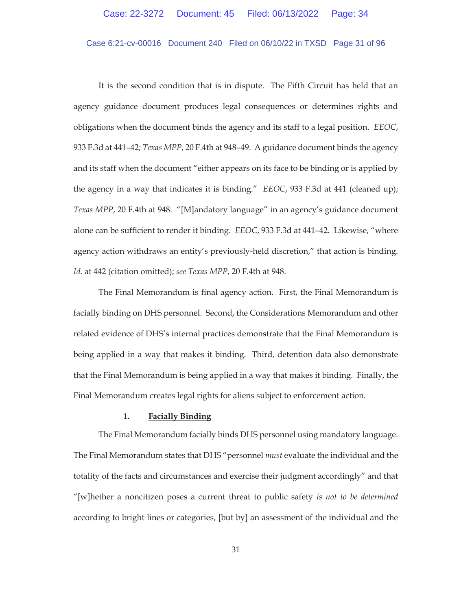### Case 6:21-cv-00016 Document 240 Filed on 06/10/22 in TXSD Page 31 of 96

It is the second condition that is in dispute. The Fifth Circuit has held that an agency guidance document produces legal consequences or determines rights and obligations when the document binds the agency and its staff to a legal position. *EEOC*, 933 F.3d at 441–42; *Texas MPP*, 20 F.4th at 948–49. A guidance document binds the agency and its staff when the document "either appears on its face to be binding or is applied by the agency in a way that indicates it is binding." *EEOC*, 933 F.3d at 441 (cleaned up); *Texas MPP*, 20 F.4th at 948. "[M]andatory language" in an agency's guidance document alone can be sufficient to render it binding. *EEOC*, 933 F.3d at 441–42. Likewise, "where agency action withdraws an entity's previously-held discretion," that action is binding. *Id.* at 442 (citation omitted); *see Texas MPP*, 20 F.4th at 948.

The Final Memorandum is final agency action. First, the Final Memorandum is facially binding on DHS personnel. Second, the Considerations Memorandum and other related evidence of DHS's internal practices demonstrate that the Final Memorandum is being applied in a way that makes it binding. Third, detention data also demonstrate that the Final Memorandum is being applied in a way that makes it binding. Finally, the Final Memorandum creates legal rights for aliens subject to enforcement action.

#### **1. Facially Binding**

The Final Memorandum facially binds DHS personnel using mandatory language. The Final Memorandum states that DHS "personnel *must* evaluate the individual and the totality of the facts and circumstances and exercise their judgment accordingly" and that "[w]hether a noncitizen poses a current threat to public safety *is not to be determined* according to bright lines or categories, [but by] an assessment of the individual and the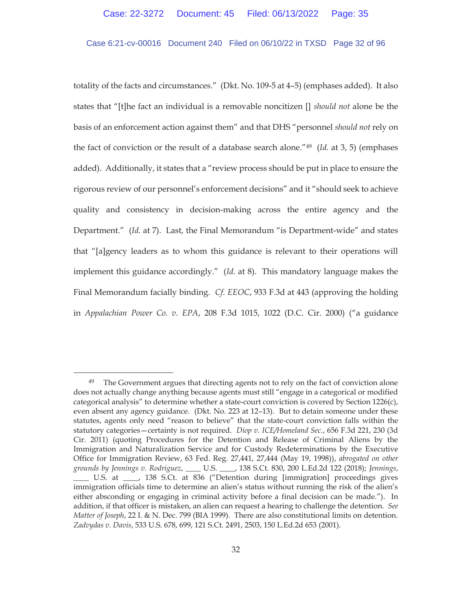Case 6:21-cv-00016 Document 240 Filed on 06/10/22 in TXSD Page 32 of 96

totality of the facts and circumstances." (Dkt. No. 109-5 at 4–5) (emphases added). It also states that "[t]he fact an individual is a removable noncitizen [] *should not* alone be the basis of an enforcement action against them" and that DHS "personnel *should not* rely on the fact of conviction or the result of a database search alone."49 (*Id.* at 3, 5) (emphases added). Additionally, it states that a "review process should be put in place to ensure the rigorous review of our personnel's enforcement decisions" and it "should seek to achieve quality and consistency in decision-making across the entire agency and the Department." (*Id.* at 7). Last, the Final Memorandum "is Department-wide" and states that "[a]gency leaders as to whom this guidance is relevant to their operations will implement this guidance accordingly." (*Id.* at 8). This mandatory language makes the Final Memorandum facially binding. *Cf. EEOC*, 933 F.3d at 443 (approving the holding in *Appalachian Power Co. v. EPA*, 208 F.3d 1015, 1022 (D.C. Cir. 2000) ("a guidance

<sup>&</sup>lt;sup>49</sup> The Government argues that directing agents not to rely on the fact of conviction alone does not actually change anything because agents must still "engage in a categorical or modified categorical analysis" to determine whether a state-court conviction is covered by Section 1226(c), even absent any agency guidance. (Dkt. No. 223 at 12–13). But to detain someone under these statutes, agents only need "reason to believe" that the state-court conviction falls within the statutory categories—certainty is not required. *Diop v. ICE/Homeland Sec.*, 656 F.3d 221, 230 (3d Cir. 2011) (quoting Procedures for the Detention and Release of Criminal Aliens by the Immigration and Naturalization Service and for Custody Redeterminations by the Executive Office for Immigration Review, 63 Fed. Reg. 27,441, 27,444 (May 19, 1998)), *abrogated on other grounds by Jennings v. Rodriguez*, \_\_\_\_ U.S. \_\_\_\_, 138 S.Ct. 830, 200 L.Ed.2d 122 (2018); *Jennings*, \_\_\_\_ U.S. at \_\_\_\_, 138 S.Ct. at 836 ("Detention during [immigration] proceedings gives immigration officials time to determine an alien's status without running the risk of the alien's either absconding or engaging in criminal activity before a final decision can be made."). In addition, if that officer is mistaken, an alien can request a hearing to challenge the detention. *See Matter of Joseph*, 22 I. & N. Dec. 799 (BIA 1999). There are also constitutional limits on detention. *Zadvydas v. Davis*, 533 U.S. 678, 699, 121 S.Ct. 2491, 2503, 150 L.Ed.2d 653 (2001).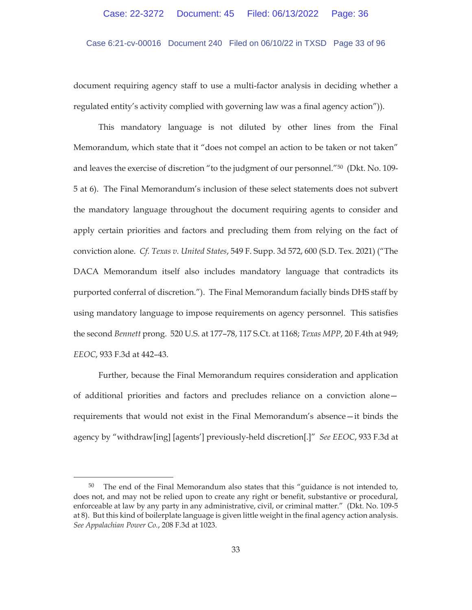Case 6:21-cv-00016 Document 240 Filed on 06/10/22 in TXSD Page 33 of 96

document requiring agency staff to use a multi-factor analysis in deciding whether a regulated entity's activity complied with governing law was a final agency action")).

This mandatory language is not diluted by other lines from the Final Memorandum, which state that it "does not compel an action to be taken or not taken" and leaves the exercise of discretion "to the judgment of our personnel."50 (Dkt. No. 109- 5 at 6). The Final Memorandum's inclusion of these select statements does not subvert the mandatory language throughout the document requiring agents to consider and apply certain priorities and factors and precluding them from relying on the fact of conviction alone. *Cf. Texas v. United States*, 549 F. Supp. 3d 572, 600 (S.D. Tex. 2021) ("The DACA Memorandum itself also includes mandatory language that contradicts its purported conferral of discretion."). The Final Memorandum facially binds DHS staff by using mandatory language to impose requirements on agency personnel. This satisfies the second *Bennett* prong. 520 U.S. at 177–78, 117 S.Ct. at 1168; *Texas MPP*, 20 F.4th at 949; *EEOC*, 933 F.3d at 442–43.

Further, because the Final Memorandum requires consideration and application of additional priorities and factors and precludes reliance on a conviction alone requirements that would not exist in the Final Memorandum's absence—it binds the agency by "withdraw[ing] [agents'] previously-held discretion[.]" *See EEOC*, 933 F.3d at

<sup>&</sup>lt;sup>50</sup> The end of the Final Memorandum also states that this "guidance is not intended to, does not, and may not be relied upon to create any right or benefit, substantive or procedural, enforceable at law by any party in any administrative, civil, or criminal matter." (Dkt. No. 109-5 at 8). But this kind of boilerplate language is given little weight in the final agency action analysis. *See Appalachian Power Co.*, 208 F.3d at 1023.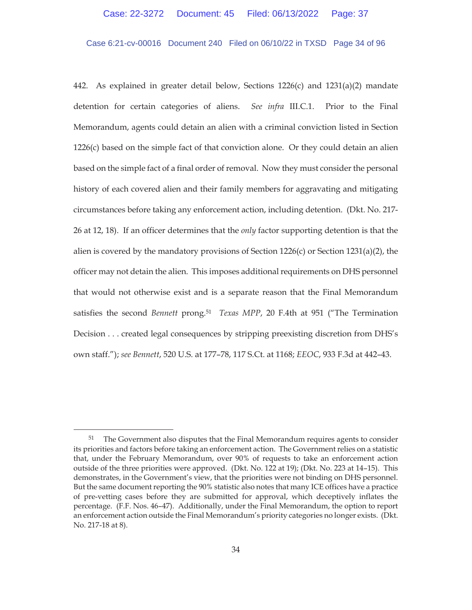### Case 6:21-cv-00016 Document 240 Filed on 06/10/22 in TXSD Page 34 of 96

442. As explained in greater detail below, Sections 1226(c) and 1231(a)(2) mandate detention for certain categories of aliens. *See infra* III.C.1. Prior to the Final Memorandum, agents could detain an alien with a criminal conviction listed in Section  $1226(c)$  based on the simple fact of that conviction alone. Or they could detain an alien based on the simple fact of a final order of removal. Now they must consider the personal history of each covered alien and their family members for aggravating and mitigating circumstances before taking any enforcement action, including detention. (Dkt. No. 217- 26 at 12, 18). If an officer determines that the *only* factor supporting detention is that the alien is covered by the mandatory provisions of Section  $1226(c)$  or Section  $1231(a)(2)$ , the officer may not detain the alien. This imposes additional requirements on DHS personnel that would not otherwise exist and is a separate reason that the Final Memorandum satisfies the second *Bennett* prong.51 *Texas MPP*, 20 F.4th at 951 ("The Termination Decision . . . created legal consequences by stripping preexisting discretion from DHS's own staff."); *see Bennett*, 520 U.S. at 177–78, 117 S.Ct. at 1168; *EEOC*, 933 F.3d at 442–43.

<sup>&</sup>lt;sup>51</sup> The Government also disputes that the Final Memorandum requires agents to consider its priorities and factors before taking an enforcement action. The Government relies on a statistic that, under the February Memorandum, over 90% of requests to take an enforcement action outside of the three priorities were approved. (Dkt. No. 122 at 19); (Dkt. No. 223 at 14–15). This demonstrates, in the Government's view, that the priorities were not binding on DHS personnel. But the same document reporting the 90% statistic also notes that many ICE offices have a practice of pre-vetting cases before they are submitted for approval, which deceptively inflates the percentage. (F.F. Nos. 46–47). Additionally, under the Final Memorandum, the option to report an enforcement action outside the Final Memorandum's priority categories no longer exists. (Dkt. No. 217-18 at 8).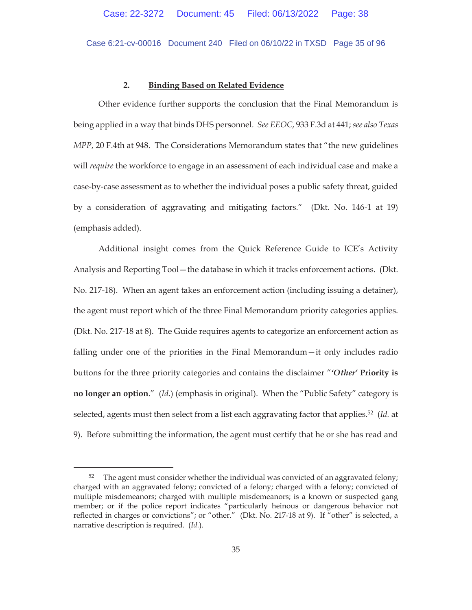Case 6:21-cv-00016 Document 240 Filed on 06/10/22 in TXSD Page 35 of 96

#### **2. Binding Based on Related Evidence**

Other evidence further supports the conclusion that the Final Memorandum is being applied in a way that binds DHS personnel. *See EEOC*, 933 F.3d at 441; *see also Texas MPP*, 20 F.4th at 948. The Considerations Memorandum states that "the new guidelines will *require* the workforce to engage in an assessment of each individual case and make a case-by-case assessment as to whether the individual poses a public safety threat, guided by a consideration of aggravating and mitigating factors." (Dkt. No. 146-1 at 19) (emphasis added).

Additional insight comes from the Quick Reference Guide to ICE's Activity Analysis and Reporting Tool—the database in which it tracks enforcement actions. (Dkt. No. 217-18). When an agent takes an enforcement action (including issuing a detainer), the agent must report which of the three Final Memorandum priority categories applies. (Dkt. No. 217-18 at 8). The Guide requires agents to categorize an enforcement action as falling under one of the priorities in the Final Memorandum—it only includes radio buttons for the three priority categories and contains the disclaimer "*'Other'* **Priority is no longer an option**." (*Id.*) (emphasis in original). When the "Public Safety" category is selected, agents must then select from a list each aggravating factor that applies.52 (*Id.* at 9). Before submitting the information, the agent must certify that he or she has read and

 $52$  The agent must consider whether the individual was convicted of an aggravated felony; charged with an aggravated felony; convicted of a felony; charged with a felony; convicted of multiple misdemeanors; charged with multiple misdemeanors; is a known or suspected gang member; or if the police report indicates "particularly heinous or dangerous behavior not reflected in charges or convictions"; or "other." (Dkt. No. 217-18 at 9). If "other" is selected, a narrative description is required. (*Id.*).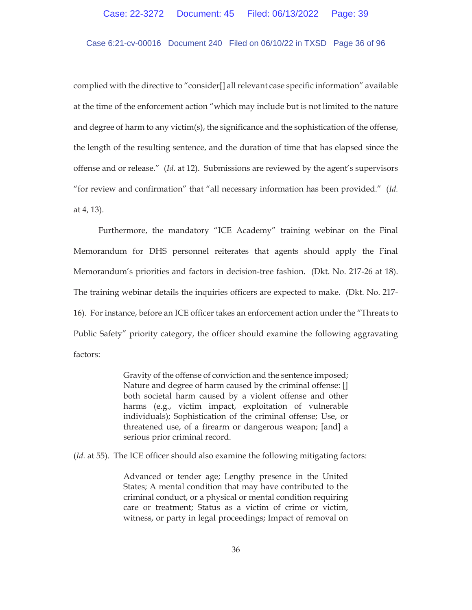# Case 6:21-cv-00016 Document 240 Filed on 06/10/22 in TXSD Page 36 of 96

complied with the directive to "consider[] all relevant case specific information" available at the time of the enforcement action "which may include but is not limited to the nature and degree of harm to any victim(s), the significance and the sophistication of the offense, the length of the resulting sentence, and the duration of time that has elapsed since the offense and or release." (*Id.* at 12). Submissions are reviewed by the agent's supervisors "for review and confirmation" that "all necessary information has been provided." (*Id.*  at 4, 13).

Furthermore, the mandatory "ICE Academy" training webinar on the Final Memorandum for DHS personnel reiterates that agents should apply the Final Memorandum's priorities and factors in decision-tree fashion. (Dkt. No. 217-26 at 18). The training webinar details the inquiries officers are expected to make. (Dkt. No. 217- 16). For instance, before an ICE officer takes an enforcement action under the "Threats to Public Safety" priority category, the officer should examine the following aggravating factors:

> Gravity of the offense of conviction and the sentence imposed; Nature and degree of harm caused by the criminal offense: [] both societal harm caused by a violent offense and other harms (e.g., victim impact, exploitation of vulnerable individuals); Sophistication of the criminal offense; Use, or threatened use, of a firearm or dangerous weapon; [and] a serious prior criminal record.

(*Id.* at 55). The ICE officer should also examine the following mitigating factors:

Advanced or tender age; Lengthy presence in the United States; A mental condition that may have contributed to the criminal conduct, or a physical or mental condition requiring care or treatment; Status as a victim of crime or victim, witness, or party in legal proceedings; Impact of removal on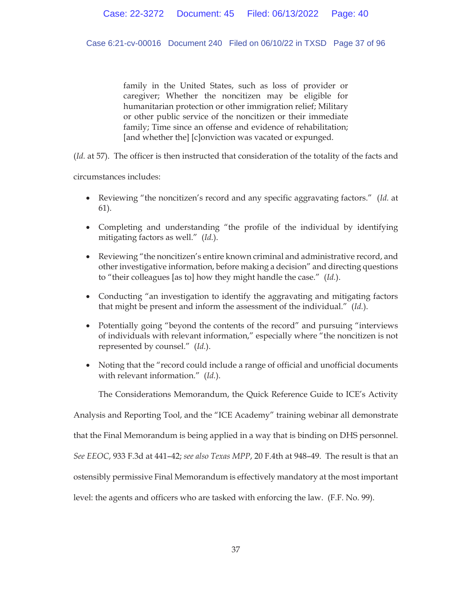Case 6:21-cv-00016 Document 240 Filed on 06/10/22 in TXSD Page 37 of 96

family in the United States, such as loss of provider or caregiver; Whether the noncitizen may be eligible for humanitarian protection or other immigration relief; Military or other public service of the noncitizen or their immediate family; Time since an offense and evidence of rehabilitation; [and whether the] [c]onviction was vacated or expunged.

(*Id.* at 57). The officer is then instructed that consideration of the totality of the facts and

circumstances includes:

- x Reviewing "the noncitizen's record and any specific aggravating factors." (*Id.* at 61).
- Completing and understanding "the profile of the individual by identifying mitigating factors as well." (*Id.*).
- Reviewing "the noncitizen's entire known criminal and administrative record, and other investigative information, before making a decision" and directing questions to "their colleagues [as to] how they might handle the case." (*Id.*).
- Conducting "an investigation to identify the aggravating and mitigating factors that might be present and inform the assessment of the individual." (*Id.*).
- Potentially going "beyond the contents of the record" and pursuing "interviews of individuals with relevant information," especially where "the noncitizen is not represented by counsel." (*Id.*).
- Noting that the "record could include a range of official and unofficial documents with relevant information." (*Id.*).

The Considerations Memorandum, the Quick Reference Guide to ICE's Activity

Analysis and Reporting Tool, and the "ICE Academy" training webinar all demonstrate

that the Final Memorandum is being applied in a way that is binding on DHS personnel.

*See EEOC*, 933 F.3d at 441–42; *see also Texas MPP*, 20 F.4th at 948–49. The result is that an

ostensibly permissive Final Memorandum is effectively mandatory at the most important

level: the agents and officers who are tasked with enforcing the law. (F.F. No. 99).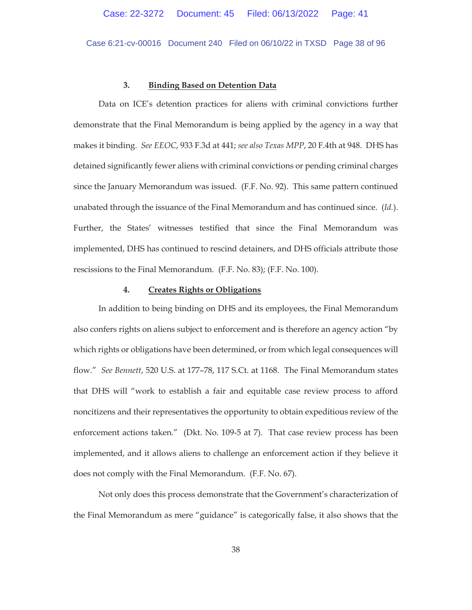Case 6:21-cv-00016 Document 240 Filed on 06/10/22 in TXSD Page 38 of 96

#### **3. Binding Based on Detention Data**

Data on ICE's detention practices for aliens with criminal convictions further demonstrate that the Final Memorandum is being applied by the agency in a way that makes it binding. *See EEOC*, 933 F.3d at 441; *see also Texas MPP*, 20 F.4th at 948. DHS has detained significantly fewer aliens with criminal convictions or pending criminal charges since the January Memorandum was issued. (F.F. No. 92). This same pattern continued unabated through the issuance of the Final Memorandum and has continued since. (*Id.*). Further, the States' witnesses testified that since the Final Memorandum was implemented, DHS has continued to rescind detainers, and DHS officials attribute those rescissions to the Final Memorandum. (F.F. No. 83); (F.F. No. 100).

# **4. Creates Rights or Obligations**

In addition to being binding on DHS and its employees, the Final Memorandum also confers rights on aliens subject to enforcement and is therefore an agency action "by which rights or obligations have been determined, or from which legal consequences will flow." *See Bennett*, 520 U.S. at 177–78, 117 S.Ct. at 1168. The Final Memorandum states that DHS will "work to establish a fair and equitable case review process to afford noncitizens and their representatives the opportunity to obtain expeditious review of the enforcement actions taken." (Dkt. No. 109-5 at 7). That case review process has been implemented, and it allows aliens to challenge an enforcement action if they believe it does not comply with the Final Memorandum. (F.F. No. 67).

Not only does this process demonstrate that the Government's characterization of the Final Memorandum as mere "guidance" is categorically false, it also shows that the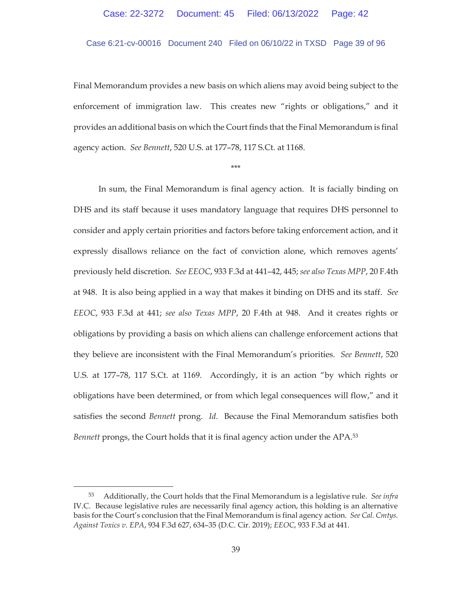# Case 6:21-cv-00016 Document 240 Filed on 06/10/22 in TXSD Page 39 of 96

Final Memorandum provides a new basis on which aliens may avoid being subject to the enforcement of immigration law. This creates new "rights or obligations," and it provides an additional basis on which the Court finds that the Final Memorandum is final agency action. *See Bennett*, 520 U.S. at 177–78, 117 S.Ct. at 1168.

\*\*\*

In sum, the Final Memorandum is final agency action. It is facially binding on DHS and its staff because it uses mandatory language that requires DHS personnel to consider and apply certain priorities and factors before taking enforcement action, and it expressly disallows reliance on the fact of conviction alone, which removes agents' previously held discretion. *See EEOC*, 933 F.3d at 441–42, 445; *see also Texas MPP*, 20 F.4th at 948. It is also being applied in a way that makes it binding on DHS and its staff. *See EEOC*, 933 F.3d at 441; *see also Texas MPP*, 20 F.4th at 948.And it creates rights or obligations by providing a basis on which aliens can challenge enforcement actions that they believe are inconsistent with the Final Memorandum's priorities. *See Bennett*, 520 U.S. at 177–78, 117 S.Ct. at 1169.Accordingly, it is an action "by which rights or obligations have been determined, or from which legal consequences will flow," and it satisfies the second *Bennett* prong. *Id*. Because the Final Memorandum satisfies both *Bennett* prongs, the Court holds that it is final agency action under the APA.<sup>53</sup>

<sup>53</sup> Additionally, the Court holds that the Final Memorandum is a legislative rule. *See infra*  IV.C. Because legislative rules are necessarily final agency action, this holding is an alternative basis for the Court's conclusion that the Final Memorandum is final agency action. *See Cal. Cmtys. Against Toxics v. EPA*, 934 F.3d 627, 634–35 (D.C. Cir. 2019); *EEOC*, 933 F.3d at 441.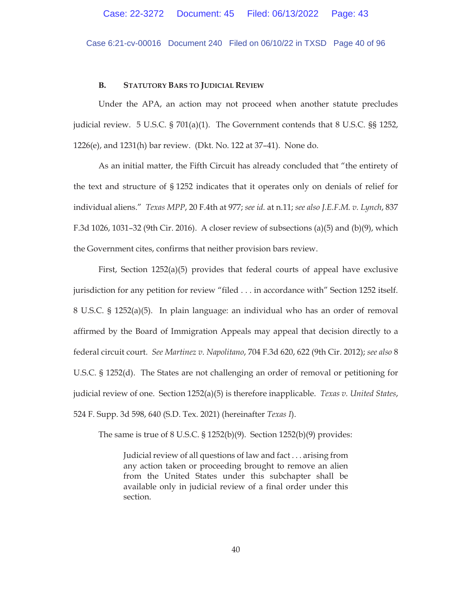Case 6:21-cv-00016 Document 240 Filed on 06/10/22 in TXSD Page 40 of 96

#### **B. STATUTORY BARS TO JUDICIAL REVIEW**

Under the APA, an action may not proceed when another statute precludes judicial review. 5 U.S.C. § 701(a)(1). The Government contends that 8 U.S.C. §§ 1252, 1226(e), and 1231(h) bar review. (Dkt. No. 122 at 37–41). None do.

As an initial matter, the Fifth Circuit has already concluded that "the entirety of the text and structure of § 1252 indicates that it operates only on denials of relief for individual aliens." *Texas MPP*, 20 F.4th at 977; *see id.* at n.11; *see also J.E.F.M. v. Lynch*, 837 F.3d 1026, 1031–32 (9th Cir. 2016). A closer review of subsections (a)(5) and (b)(9), which the Government cites, confirms that neither provision bars review.

First, Section 1252(a)(5) provides that federal courts of appeal have exclusive jurisdiction for any petition for review "filed . . . in accordance with" Section 1252 itself. 8 U.S.C. § 1252(a)(5). In plain language: an individual who has an order of removal affirmed by the Board of Immigration Appeals may appeal that decision directly to a federal circuit court. *See Martinez v. Napolitano*, 704 F.3d 620, 622 (9th Cir. 2012); *see also* 8 U.S.C. § 1252(d). The States are not challenging an order of removal or petitioning for judicial review of one. Section 1252(a)(5) is therefore inapplicable. *Texas v. United States*, 524 F. Supp. 3d 598, 640 (S.D. Tex. 2021) (hereinafter *Texas I*).

The same is true of  $8$  U.S.C.  $\frac{252(b)(9)}{9}$ . Section 1252(b)(9) provides:

Judicial review of all questions of law and fact . . . arising from any action taken or proceeding brought to remove an alien from the United States under this subchapter shall be available only in judicial review of a final order under this section.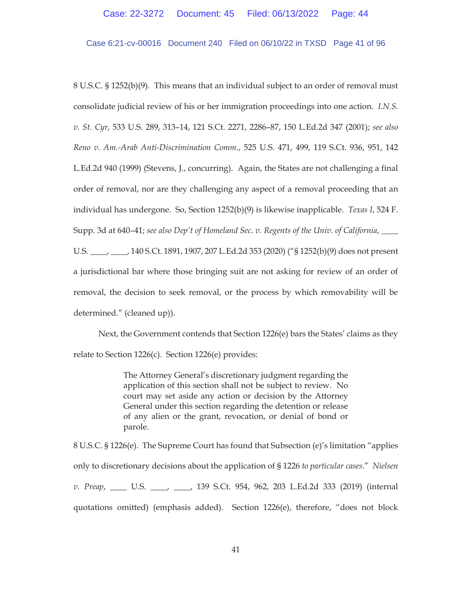Case 6:21-cv-00016 Document 240 Filed on 06/10/22 in TXSD Page 41 of 96

8 U.S.C. § 1252(b)(9). This means that an individual subject to an order of removal must consolidate judicial review of his or her immigration proceedings into one action. *I.N.S. v. St. Cyr*, 533 U.S. 289, 313–14, 121 S.Ct. 2271, 2286–87, 150 L.Ed.2d 347 (2001); *see also Reno v. Am.-Arab Anti-Discrimination Comm.*, 525 U.S. 471, 499, 119 S.Ct. 936, 951, 142 L.Ed.2d 940 (1999) (Stevens, J., concurring). Again, the States are not challenging a final order of removal, nor are they challenging any aspect of a removal proceeding that an individual has undergone. So, Section 1252(b)(9) is likewise inapplicable. *Texas I*, 524 F. Supp. 3d at 640–41; *see also Dep't of Homeland Sec. v. Regents of the Univ. of California*, \_\_\_\_ U.S. \_\_\_\_, \_\_\_\_, 140 S.Ct. 1891, 1907, 207 L.Ed.2d 353 (2020) ("§ 1252(b)(9) does not present a jurisdictional bar where those bringing suit are not asking for review of an order of removal, the decision to seek removal, or the process by which removability will be determined." (cleaned up)).

Next, the Government contends that Section 1226(e) bars the States' claims as they relate to Section 1226(c). Section 1226(e) provides:

> The Attorney General's discretionary judgment regarding the application of this section shall not be subject to review. No court may set aside any action or decision by the Attorney General under this section regarding the detention or release of any alien or the grant, revocation, or denial of bond or parole.

8 U.S.C. § 1226(e). The Supreme Court has found that Subsection (e)'s limitation "applies only to discretionary decisions about the application of § 1226 *to particular cases*." *Nielsen v. Preap*, \_\_\_\_ U.S. \_\_\_\_, \_\_\_\_, 139 S.Ct. 954, 962, 203 L.Ed.2d 333 (2019) (internal quotations omitted) (emphasis added). Section 1226(e), therefore, "does not block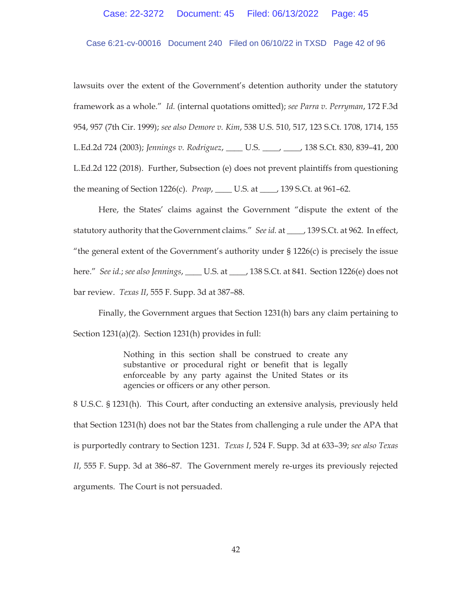Case 6:21-cv-00016 Document 240 Filed on 06/10/22 in TXSD Page 42 of 96

lawsuits over the extent of the Government's detention authority under the statutory framework as a whole." *Id.* (internal quotations omitted); *see Parra v. Perryman*, 172 F.3d 954, 957 (7th Cir. 1999); *see also Demore v. Kim*, 538 U.S. 510, 517, 123 S.Ct. 1708, 1714, 155 L.Ed.2d 724 (2003); *Jennings v. Rodriguez*, \_\_\_\_ U.S. \_\_\_\_, \_\_\_\_, 138 S.Ct. 830, 839–41, 200 L.Ed.2d 122 (2018). Further, Subsection (e) does not prevent plaintiffs from questioning the meaning of Section 1226(c). *Preap*, \_\_\_\_ U.S. at \_\_\_\_, 139 S.Ct. at 961–62.

Here, the States' claims against the Government "dispute the extent of the statutory authority that the Government claims." *See id.* at \_\_\_, 139 S.Ct. at 962. In effect, "the general extent of the Government's authority under  $\S$  1226(c) is precisely the issue here." *See id.*; *see also Jennings*, \_\_\_\_ U.S. at \_\_\_\_, 138 S.Ct. at 841. Section 1226(e) does not bar review. *Texas II*, 555 F. Supp. 3d at 387–88.

Finally, the Government argues that Section 1231(h) bars any claim pertaining to Section 1231(a)(2). Section 1231(h) provides in full:

> Nothing in this section shall be construed to create any substantive or procedural right or benefit that is legally enforceable by any party against the United States or its agencies or officers or any other person.

8 U.S.C. § 1231(h). This Court, after conducting an extensive analysis, previously held that Section 1231(h) does not bar the States from challenging a rule under the APA that is purportedly contrary to Section 1231. *Texas I*, 524 F. Supp. 3d at 633–39; *see also Texas II*, 555 F. Supp. 3d at 386–87. The Government merely re-urges its previously rejected arguments. The Court is not persuaded.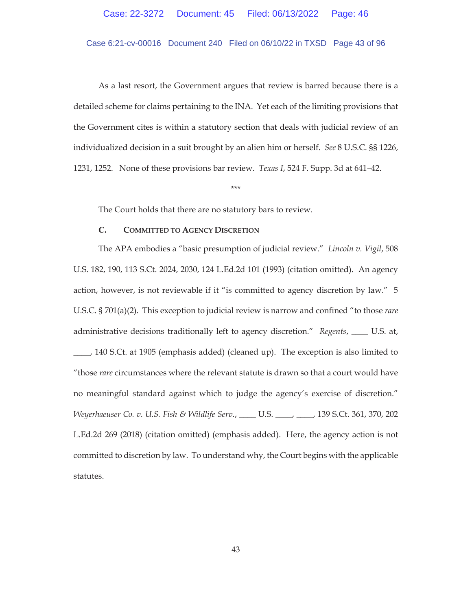Case 6:21-cv-00016 Document 240 Filed on 06/10/22 in TXSD Page 43 of 96

As a last resort, the Government argues that review is barred because there is a detailed scheme for claims pertaining to the INA. Yet each of the limiting provisions that the Government cites is within a statutory section that deals with judicial review of an individualized decision in a suit brought by an alien him or herself. *See* 8 U.S.C. §§ 1226, 1231, 1252. None of these provisions bar review. *Texas I*, 524 F. Supp. 3d at 641–42.

\*\*\*

The Court holds that there are no statutory bars to review.

# **C. COMMITTED TO AGENCY DISCRETION**

The APA embodies a "basic presumption of judicial review." *Lincoln v. Vigil*, 508 U.S. 182, 190, 113 S.Ct. 2024, 2030, 124 L.Ed.2d 101 (1993) (citation omitted). An agency action, however, is not reviewable if it "is committed to agency discretion by law." 5 U.S.C. § 701(a)(2). This exception to judicial review is narrow and confined "to those *rare* administrative decisions traditionally left to agency discretion." *Regents*, \_\_\_\_ U.S. at, \_\_\_\_, 140 S.Ct. at 1905 (emphasis added) (cleaned up). The exception is also limited to "those *rare* circumstances where the relevant statute is drawn so that a court would have no meaningful standard against which to judge the agency's exercise of discretion." *Weyerhaeuser Co. v. U.S. Fish & Wildlife Serv.*, \_\_\_\_ U.S. \_\_\_\_, \_\_\_\_, 139 S.Ct. 361, 370, 202 L.Ed.2d 269 (2018) (citation omitted) (emphasis added). Here, the agency action is not committed to discretion by law. To understand why, the Court begins with the applicable statutes.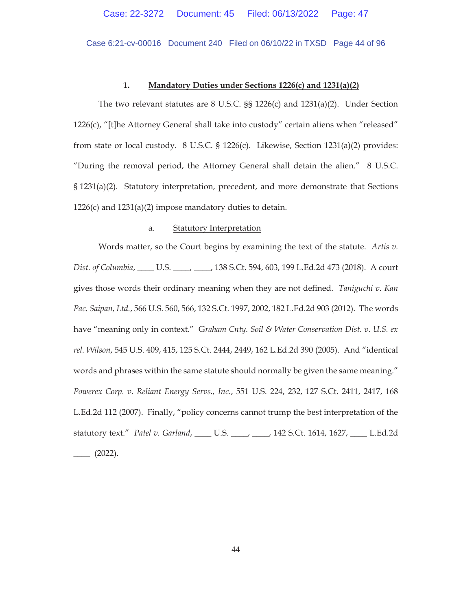Case 6:21-cv-00016 Document 240 Filed on 06/10/22 in TXSD Page 44 of 96

### **1. Mandatory Duties under Sections 1226(c) and 1231(a)(2)**

The two relevant statutes are 8 U.S.C. §§ 1226(c) and 1231(a)(2). Under Section 1226(c), "[t]he Attorney General shall take into custody" certain aliens when "released" from state or local custody.  $8 \text{ U.S.C. } §$  1226(c). Likewise, Section 1231(a)(2) provides: "During the removal period, the Attorney General shall detain the alien." 8 U.S.C. § 1231(a)(2). Statutory interpretation, precedent, and more demonstrate that Sections 1226(c) and  $1231(a)(2)$  impose mandatory duties to detain.

### a. Statutory Interpretation

Words matter, so the Court begins by examining the text of the statute. *Artis v. Dist. of Columbia*, \_\_\_\_ U.S. \_\_\_\_, \_\_\_\_, 138 S.Ct. 594, 603, 199 L.Ed.2d 473 (2018). A court gives those words their ordinary meaning when they are not defined. *Taniguchi v. Kan Pac. Saipan, Ltd.*, 566 U.S. 560, 566, 132 S.Ct. 1997, 2002, 182 L.Ed.2d 903 (2012). The words have "meaning only in context." G*raham Cnty. Soil & Water Conservation Dist. v. U.S. ex rel. Wilson*, 545 U.S. 409, 415, 125 S.Ct. 2444, 2449, 162 L.Ed.2d 390 (2005). And "identical words and phrases within the same statute should normally be given the same meaning." *Powerex Corp. v. Reliant Energy Servs., Inc.*, 551 U.S. 224, 232, 127 S.Ct. 2411, 2417, 168 L.Ed.2d 112 (2007). Finally, "policy concerns cannot trump the best interpretation of the statutory text." *Patel v. Garland*, \_\_\_\_ U.S. \_\_\_\_, \_\_\_\_, 142 S.Ct. 1614, 1627, \_\_\_\_ L.Ed.2d  $\frac{2022}{.}$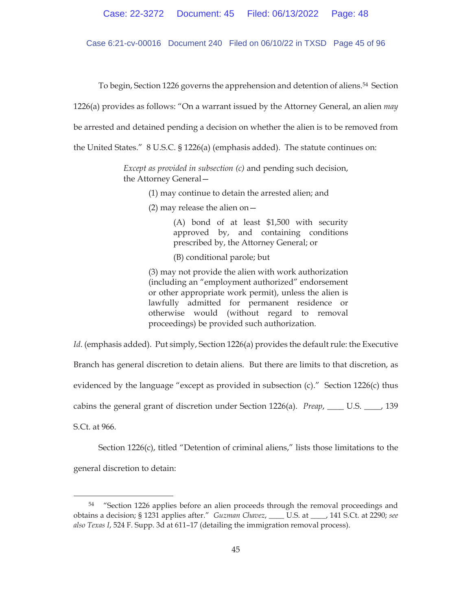Case 6:21-cv-00016 Document 240 Filed on 06/10/22 in TXSD Page 45 of 96

To begin, Section 1226 governs the apprehension and detention of aliens.54 Section

1226(a) provides as follows: "On a warrant issued by the Attorney General, an alien *may*

be arrested and detained pending a decision on whether the alien is to be removed from

the United States." 8 U.S.C. § 1226(a) (emphasis added). The statute continues on:

*Except as provided in subsection (c)* and pending such decision, the Attorney General—

(1) may continue to detain the arrested alien; and

(2) may release the alien on  $-$ 

(A) bond of at least \$1,500 with security approved by, and containing conditions prescribed by, the Attorney General; or

(B) conditional parole; but

(3) may not provide the alien with work authorization (including an "employment authorized" endorsement or other appropriate work permit), unless the alien is lawfully admitted for permanent residence or otherwise would (without regard to removal proceedings) be provided such authorization.

*Id.* (emphasis added). Put simply, Section 1226(a) provides the default rule: the Executive Branch has general discretion to detain aliens. But there are limits to that discretion, as evidenced by the language "except as provided in subsection (c)." Section 1226(c) thus cabins the general grant of discretion under Section 1226(a). *Preap*, \_\_\_\_ U.S. \_\_\_\_, 139 S.Ct. at 966.

 Section 1226(c), titled "Detention of criminal aliens," lists those limitations to the general discretion to detain:

<sup>54 &</sup>quot;Section 1226 applies before an alien proceeds through the removal proceedings and obtains a decision; § 1231 applies after." *Guzman Chavez*, \_\_\_\_ U.S. at \_\_\_\_, 141 S.Ct. at 2290; *see also Texas I*, 524 F. Supp. 3d at 611–17 (detailing the immigration removal process).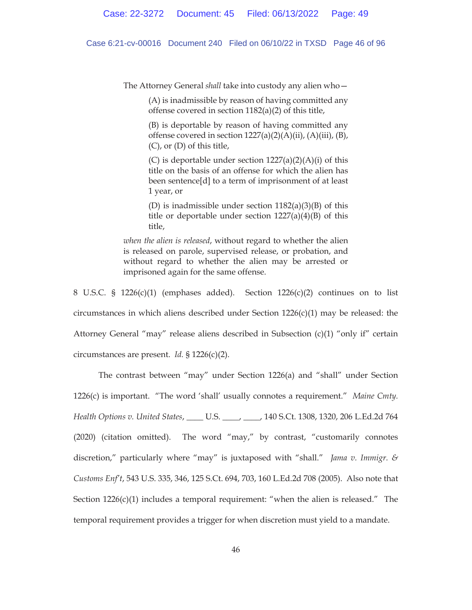Case 6:21-cv-00016 Document 240 Filed on 06/10/22 in TXSD Page 46 of 96

The Attorney General *shall* take into custody any alien who—

(A) is inadmissible by reason of having committed any offense covered in section 1182(a)(2) of this title,

(B) is deportable by reason of having committed any offense covered in section  $1227(a)(2)(A)(ii)$ ,  $(A)(iii)$ ,  $(B)$ , (C), or (D) of this title,

(C) is deportable under section  $1227(a)(2)(A)(i)$  of this title on the basis of an offense for which the alien has been sentence[d] to a term of imprisonment of at least 1 year, or

(D) is inadmissible under section  $1182(a)(3)(B)$  of this title or deportable under section  $1227(a)(4)(B)$  of this title,

*when the alien is released*, without regard to whether the alien is released on parole, supervised release, or probation, and without regard to whether the alien may be arrested or imprisoned again for the same offense.

8 U.S.C. § 1226(c)(1) (emphases added). Section  $1226(c)(2)$  continues on to list circumstances in which aliens described under Section  $1226(c)(1)$  may be released: the Attorney General "may" release aliens described in Subsection (c)(1) "only if" certain circumstances are present. *Id.* § 1226(c)(2).

The contrast between "may" under Section 1226(a) and "shall" under Section 1226(c) is important. "The word 'shall' usually connotes a requirement." *Maine Cmty. Health Options v. United States*, \_\_\_\_ U.S. \_\_\_\_, \_\_\_\_, 140 S.Ct. 1308, 1320, 206 L.Ed.2d 764 (2020) (citation omitted). The word "may," by contrast, "customarily connotes discretion," particularly where "may" is juxtaposed with "shall." *Jama v. Immigr. & Customs Enf't*, 543 U.S. 335, 346, 125 S.Ct. 694, 703, 160 L.Ed.2d 708 (2005). Also note that Section  $1226(c)(1)$  includes a temporal requirement: "when the alien is released." The temporal requirement provides a trigger for when discretion must yield to a mandate.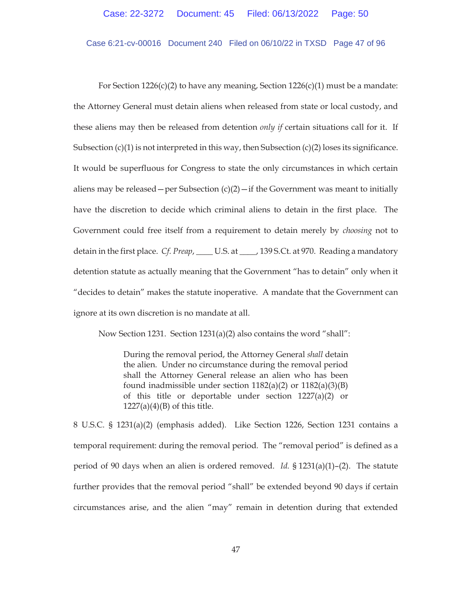Case 6:21-cv-00016 Document 240 Filed on 06/10/22 in TXSD Page 47 of 96

For Section 1226(c)(2) to have any meaning, Section 1226(c)(1) must be a mandate: the Attorney General must detain aliens when released from state or local custody, and these aliens may then be released from detention *only if* certain situations call for it. If Subsection  $(c)(1)$  is not interpreted in this way, then Subsection  $(c)(2)$  loses its significance. It would be superfluous for Congress to state the only circumstances in which certain aliens may be released – per Subsection  $(c)(2)$  – if the Government was meant to initially have the discretion to decide which criminal aliens to detain in the first place. The Government could free itself from a requirement to detain merely by *choosing* not to detain in the first place. *Cf. Preap*, \_\_\_\_ U.S. at \_\_\_\_, 139 S.Ct. at 970. Reading a mandatory detention statute as actually meaning that the Government "has to detain" only when it "decides to detain" makes the statute inoperative. A mandate that the Government can ignore at its own discretion is no mandate at all.

Now Section 1231. Section 1231(a)(2) also contains the word "shall":

During the removal period, the Attorney General *shall* detain the alien. Under no circumstance during the removal period shall the Attorney General release an alien who has been found inadmissible under section  $1182(a)(2)$  or  $1182(a)(3)(B)$ of this title or deportable under section 1227(a)(2) or  $1227(a)(4)(B)$  of this title.

8 U.S.C. § 1231(a)(2) (emphasis added). Like Section 1226, Section 1231 contains a temporal requirement: during the removal period*.* The "removal period" is defined as a period of 90 days when an alien is ordered removed. *Id.* § 1231(a)(1)–(2). The statute further provides that the removal period "shall" be extended beyond 90 days if certain circumstances arise, and the alien "may" remain in detention during that extended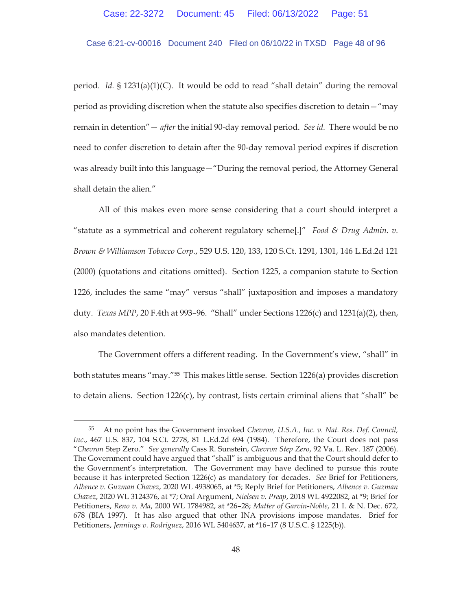### Case 6:21-cv-00016 Document 240 Filed on 06/10/22 in TXSD Page 48 of 96

period. *Id.* § 1231(a)(1)(C). It would be odd to read "shall detain" during the removal period as providing discretion when the statute also specifies discretion to detain—"may remain in detention"— *after* the initial 90-day removal period. *See id.* There would be no need to confer discretion to detain after the 90-day removal period expires if discretion was already built into this language—"During the removal period, the Attorney General shall detain the alien."

All of this makes even more sense considering that a court should interpret a "statute as a symmetrical and coherent regulatory scheme[.]" *Food & Drug Admin. v. Brown & Williamson Tobacco Corp.*, 529 U.S. 120, 133, 120 S.Ct. 1291, 1301, 146 L.Ed.2d 121 (2000) (quotations and citations omitted). Section 1225, a companion statute to Section 1226, includes the same "may" versus "shall" juxtaposition and imposes a mandatory duty. *Texas MPP*, 20 F.4th at 993–96. "Shall" under Sections 1226(c) and 1231(a)(2), then, also mandates detention.

The Government offers a different reading. In the Government's view, "shall" in both statutes means "may."55 This makes little sense. Section 1226(a) provides discretion to detain aliens. Section 1226(c), by contrast, lists certain criminal aliens that "shall" be

<sup>55</sup> At no point has the Government invoked *Chevron, U.S.A., Inc. v. Nat. Res. Def. Council, Inc.*, 467 U.S. 837, 104 S.Ct. 2778, 81 L.Ed.2d 694 (1984). Therefore, the Court does not pass "*Chevron* Step Zero." *See generally* Cass R. Sunstein, *Chevron Step Zero*, 92 Va. L. Rev. 187 (2006). The Government could have argued that "shall" is ambiguous and that the Court should defer to the Government's interpretation. The Government may have declined to pursue this route because it has interpreted Section 1226(c) as mandatory for decades. *See* Brief for Petitioners, *Albence v. Guzman Chavez*, 2020 WL 4938065, at \*5; Reply Brief for Petitioners, *Albence v. Guzman Chavez*, 2020 WL 3124376, at \*7; Oral Argument, *Nielsen v. Preap*, 2018 WL 4922082, at \*9; Brief for Petitioners, *Reno v. Ma*, 2000 WL 1784982, at \*26–28; *Matter of Garvin-Noble*, 21 I. & N. Dec. 672, 678 (BIA 1997). It has also argued that other INA provisions impose mandates. Brief for Petitioners, *Jennings v. Rodriguez*, 2016 WL 5404637, at \*16–17 (8 U.S.C. § 1225(b)).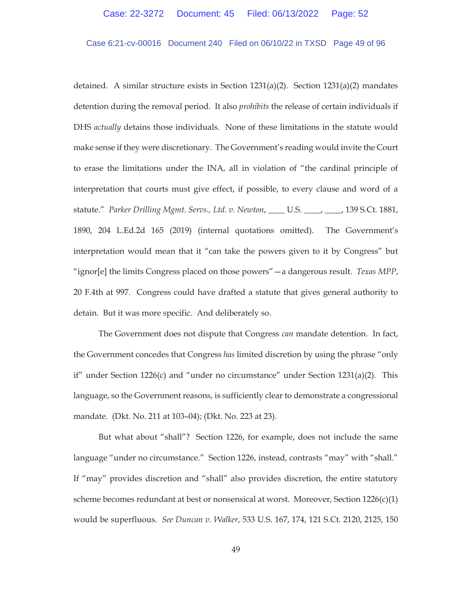Case 6:21-cv-00016 Document 240 Filed on 06/10/22 in TXSD Page 49 of 96

detained. A similar structure exists in Section  $1231(a)(2)$ . Section  $1231(a)(2)$  mandates detention during the removal period. It also *prohibits* the release of certain individuals if DHS *actually* detains those individuals. None of these limitations in the statute would make sense if they were discretionary. The Government's reading would invite the Court to erase the limitations under the INA, all in violation of "the cardinal principle of interpretation that courts must give effect, if possible, to every clause and word of a statute." *Parker Drilling Mgmt. Servs., Ltd. v. Newton*, \_\_\_\_ U.S. \_\_\_\_, \_\_\_\_, 139 S.Ct. 1881, 1890, 204 L.Ed.2d 165 (2019) (internal quotations omitted). The Government's interpretation would mean that it "can take the powers given to it by Congress" but "ignor[e] the limits Congress placed on those powers"—a dangerous result. *Texas MPP*, 20 F.4th at 997. Congress could have drafted a statute that gives general authority to detain. But it was more specific. And deliberately so.

 The Government does not dispute that Congress *can* mandate detention. In fact, the Government concedes that Congress *has* limited discretion by using the phrase "only if" under Section 1226(c) and "under no circumstance" under Section  $1231(a)(2)$ . This language, so the Government reasons, is sufficiently clear to demonstrate a congressional mandate. (Dkt. No. 211 at 103–04); (Dkt. No. 223 at 23).

But what about "shall"? Section 1226, for example, does not include the same language "under no circumstance." Section 1226, instead, contrasts "may" with "shall." If "may" provides discretion and "shall" also provides discretion, the entire statutory scheme becomes redundant at best or nonsensical at worst. Moreover, Section  $1226(c)(1)$ would be superfluous. *See Duncan v. Walker*, 533 U.S. 167, 174, 121 S.Ct. 2120, 2125, 150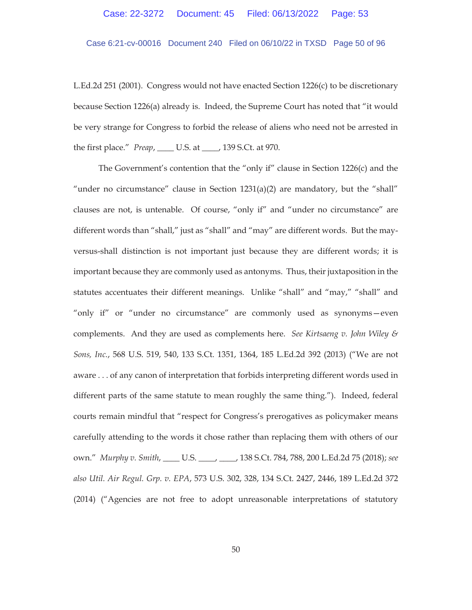Case 6:21-cv-00016 Document 240 Filed on 06/10/22 in TXSD Page 50 of 96

L.Ed.2d 251 (2001). Congress would not have enacted Section 1226(c) to be discretionary because Section 1226(a) already is. Indeed, the Supreme Court has noted that "it would be very strange for Congress to forbid the release of aliens who need not be arrested in the first place." *Preap*, \_\_\_\_ U.S. at \_\_\_\_, 139 S.Ct. at 970.

The Government's contention that the "only if" clause in Section 1226(c) and the "under no circumstance" clause in Section  $1231(a)(2)$  are mandatory, but the "shall" clauses are not, is untenable. Of course, "only if" and "under no circumstance" are different words than "shall," just as "shall" and "may" are different words. But the mayversus-shall distinction is not important just because they are different words; it is important because they are commonly used as antonyms. Thus, their juxtaposition in the statutes accentuates their different meanings. Unlike "shall" and "may," "shall" and "only if" or "under no circumstance" are commonly used as synonyms—even complements. And they are used as complements here. *See Kirtsaeng v. John Wiley & Sons, Inc.*, 568 U.S. 519, 540, 133 S.Ct. 1351, 1364, 185 L.Ed.2d 392 (2013) ("We are not aware . . . of any canon of interpretation that forbids interpreting different words used in different parts of the same statute to mean roughly the same thing."). Indeed, federal courts remain mindful that "respect for Congress's prerogatives as policymaker means carefully attending to the words it chose rather than replacing them with others of our own." *Murphy v. Smith*, \_\_\_\_ U.S. \_\_\_\_, \_\_\_\_, 138 S.Ct. 784, 788, 200 L.Ed.2d 75 (2018); *see also Util. Air Regul. Grp. v. EPA*, 573 U.S. 302, 328, 134 S.Ct. 2427, 2446, 189 L.Ed.2d 372 (2014) ("Agencies are not free to adopt unreasonable interpretations of statutory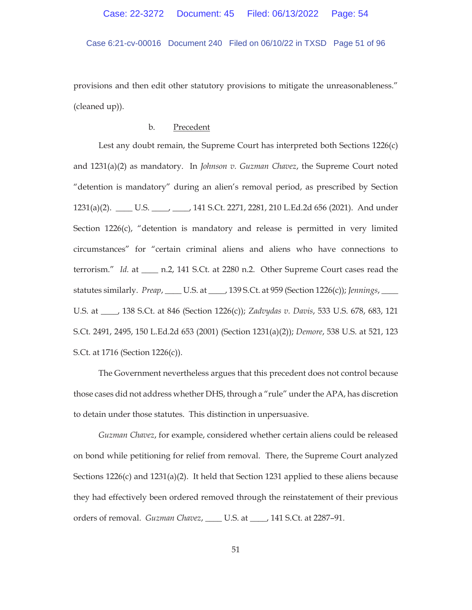Case 6:21-cv-00016 Document 240 Filed on 06/10/22 in TXSD Page 51 of 96

provisions and then edit other statutory provisions to mitigate the unreasonableness." (cleaned up)).

# b. Precedent

Lest any doubt remain, the Supreme Court has interpreted both Sections 1226(c) and 1231(a)(2) as mandatory. In *Johnson v. Guzman Chavez*, the Supreme Court noted "detention is mandatory" during an alien's removal period, as prescribed by Section 1231(a)(2). \_\_\_\_ U.S. \_\_\_\_, \_\_\_\_, 141 S.Ct. 2271, 2281, 210 L.Ed.2d 656 (2021). And under Section 1226(c), "detention is mandatory and release is permitted in very limited circumstances" for "certain criminal aliens and aliens who have connections to terrorism." *Id.* at \_\_\_\_ n.2, 141 S.Ct. at 2280 n.2. Other Supreme Court cases read the statutes similarly. *Preap*, \_\_\_\_ U.S. at \_\_\_\_, 139 S.Ct. at 959 (Section 1226(c)); *Jennings*, \_\_\_\_ U.S. at \_\_\_\_, 138 S.Ct. at 846 (Section 1226(c)); *Zadvydas v. Davis*, 533 U.S. 678, 683, 121 S.Ct. 2491, 2495, 150 L.Ed.2d 653 (2001) (Section 1231(a)(2)); *Demore*, 538 U.S. at 521, 123 S.Ct. at 1716 (Section 1226(c)).

The Government nevertheless argues that this precedent does not control because those cases did not address whether DHS, through a "rule" under the APA, has discretion to detain under those statutes. This distinction in unpersuasive.

*Guzman Chavez*, for example, considered whether certain aliens could be released on bond while petitioning for relief from removal. There, the Supreme Court analyzed Sections 1226(c) and 1231(a)(2). It held that Section 1231 applied to these aliens because they had effectively been ordered removed through the reinstatement of their previous orders of removal. *Guzman Chavez*, \_\_\_\_ U.S. at \_\_\_\_, 141 S.Ct. at 2287–91.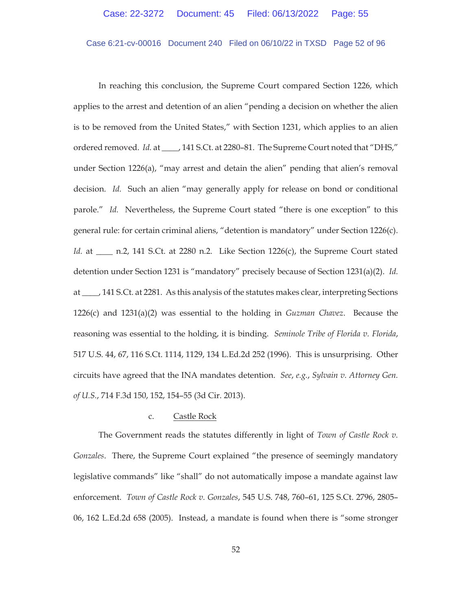### Case 6:21-cv-00016 Document 240 Filed on 06/10/22 in TXSD Page 52 of 96

In reaching this conclusion, the Supreme Court compared Section 1226, which applies to the arrest and detention of an alien "pending a decision on whether the alien is to be removed from the United States," with Section 1231, which applies to an alien ordered removed. *Id.* at \_\_\_\_, 141 S.Ct. at 2280–81. The Supreme Court noted that "DHS," under Section 1226(a), "may arrest and detain the alien" pending that alien's removal decision. *Id.* Such an alien "may generally apply for release on bond or conditional parole." *Id.* Nevertheless, the Supreme Court stated "there is one exception" to this general rule: for certain criminal aliens, "detention is mandatory" under Section 1226(c). *Id.* at \_\_\_\_ n.2, 141 S.Ct. at 2280 n.2. Like Section 1226(c), the Supreme Court stated detention under Section 1231 is "mandatory" precisely because of Section 1231(a)(2). *Id.* at \_\_\_\_, 141 S.Ct. at 2281. As this analysis of the statutes makes clear, interpreting Sections 1226(c) and 1231(a)(2) was essential to the holding in *Guzman Chavez*. Because the reasoning was essential to the holding, it is binding. *Seminole Tribe of Florida v. Florida*, 517 U.S. 44, 67, 116 S.Ct. 1114, 1129, 134 L.Ed.2d 252 (1996). This is unsurprising. Other circuits have agreed that the INA mandates detention. *See*, *e.g.*, *Sylvain v. Attorney Gen. of U.S.*, 714 F.3d 150, 152, 154–55 (3d Cir. 2013).

#### c. Castle Rock

The Government reads the statutes differently in light of *Town of Castle Rock v. Gonzales*. There, the Supreme Court explained "the presence of seemingly mandatory legislative commands" like "shall" do not automatically impose a mandate against law enforcement. *Town of Castle Rock v. Gonzales*, 545 U.S. 748, 760–61, 125 S.Ct. 2796, 2805– 06, 162 L.Ed.2d 658 (2005). Instead, a mandate is found when there is "some stronger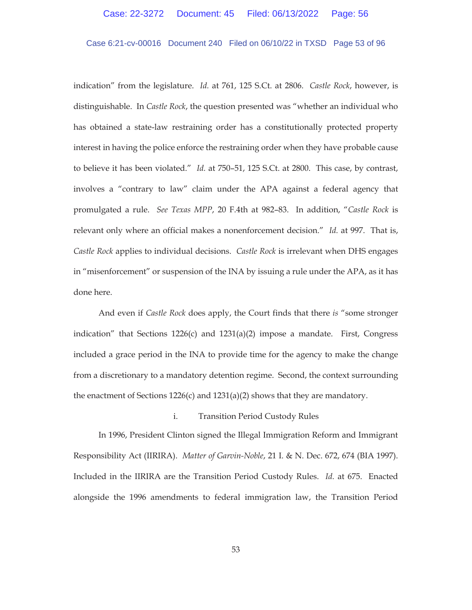# Case 6:21-cv-00016 Document 240 Filed on 06/10/22 in TXSD Page 53 of 96

indication" from the legislature. *Id.* at 761, 125 S.Ct. at 2806. *Castle Rock*, however, is distinguishable. In *Castle Rock*, the question presented was "whether an individual who has obtained a state-law restraining order has a constitutionally protected property interest in having the police enforce the restraining order when they have probable cause to believe it has been violated." *Id.* at 750–51, 125 S.Ct. at 2800. This case, by contrast, involves a "contrary to law" claim under the APA against a federal agency that promulgated a rule. *See Texas MPP*, 20 F.4th at 982–83. In addition, "*Castle Rock* is relevant only where an official makes a nonenforcement decision." *Id.* at 997. That is, *Castle Rock* applies to individual decisions. *Castle Rock* is irrelevant when DHS engages in "misenforcement" or suspension of the INA by issuing a rule under the APA, as it has done here.

And even if *Castle Rock* does apply, the Court finds that there *is* "some stronger indication" that Sections  $1226(c)$  and  $1231(a)(2)$  impose a mandate. First, Congress included a grace period in the INA to provide time for the agency to make the change from a discretionary to a mandatory detention regime. Second, the context surrounding the enactment of Sections  $1226(c)$  and  $1231(a)(2)$  shows that they are mandatory.

### i. Transition Period Custody Rules

In 1996, President Clinton signed the Illegal Immigration Reform and Immigrant Responsibility Act (IIRIRA). *Matter of Garvin-Noble*, 21 I. & N. Dec. 672, 674 (BIA 1997). Included in the IIRIRA are the Transition Period Custody Rules. *Id.* at 675. Enacted alongside the 1996 amendments to federal immigration law, the Transition Period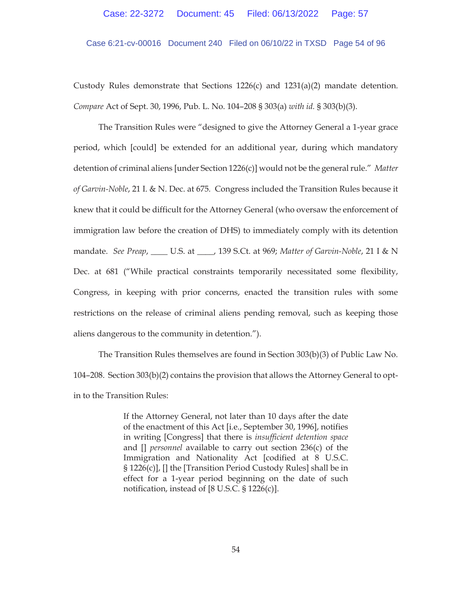Case 6:21-cv-00016 Document 240 Filed on 06/10/22 in TXSD Page 54 of 96

Custody Rules demonstrate that Sections  $1226(c)$  and  $1231(a)(2)$  mandate detention. *Compare* Act of Sept. 30, 1996, Pub. L. No. 104–208 § 303(a) *with id.* § 303(b)(3).

The Transition Rules were "designed to give the Attorney General a 1-year grace period, which [could] be extended for an additional year, during which mandatory detention of criminal aliens [under Section 1226(c)] would not be the general rule." *Matter of Garvin-Noble*, 21 I. & N. Dec. at 675*.* Congress included the Transition Rules because it knew that it could be difficult for the Attorney General (who oversaw the enforcement of immigration law before the creation of DHS) to immediately comply with its detention mandate. *See Preap*, \_\_\_\_ U.S. at \_\_\_\_, 139 S.Ct. at 969; *Matter of Garvin-Noble*, 21 I & N Dec. at 681 ("While practical constraints temporarily necessitated some flexibility, Congress, in keeping with prior concerns, enacted the transition rules with some restrictions on the release of criminal aliens pending removal, such as keeping those aliens dangerous to the community in detention.").

The Transition Rules themselves are found in Section 303(b)(3) of Public Law No. 104–208. Section 303(b)(2) contains the provision that allows the Attorney General to optin to the Transition Rules:

> If the Attorney General, not later than 10 days after the date of the enactment of this Act [i.e., September 30, 1996], notifies in writing [Congress] that there is *insufficient detention space* and [] *personnel* available to carry out section 236(c) of the Immigration and Nationality Act [codified at 8 U.S.C. § 1226(c)], [] the [Transition Period Custody Rules] shall be in effect for a 1-year period beginning on the date of such notification, instead of [8 U.S.C. § 1226(c)].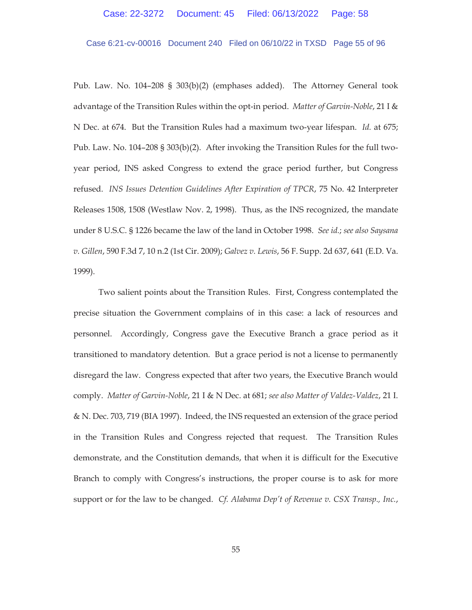#### Case 6:21-cv-00016 Document 240 Filed on 06/10/22 in TXSD Page 55 of 96

Pub. Law. No. 104–208 § 303(b)(2) (emphases added). The Attorney General took advantage of the Transition Rules within the opt-in period. *Matter of Garvin-Noble*, 21 I & N Dec. at 674. But the Transition Rules had a maximum two-year lifespan. *Id.* at 675; Pub. Law. No. 104–208 § 303(b)(2). After invoking the Transition Rules for the full twoyear period, INS asked Congress to extend the grace period further, but Congress refused. *INS Issues Detention Guidelines After Expiration of TPCR*, 75 No. 42 Interpreter Releases 1508, 1508 (Westlaw Nov. 2, 1998). Thus, as the INS recognized, the mandate under 8 U.S.C. § 1226 became the law of the land in October 1998. *See id.*; *see also Saysana v. Gillen*, 590 F.3d 7, 10 n.2 (1st Cir. 2009); *Galvez v. Lewis*, 56 F. Supp. 2d 637, 641 (E.D. Va. 1999).

Two salient points about the Transition Rules. First, Congress contemplated the precise situation the Government complains of in this case: a lack of resources and personnel. Accordingly, Congress gave the Executive Branch a grace period as it transitioned to mandatory detention. But a grace period is not a license to permanently disregard the law. Congress expected that after two years, the Executive Branch would comply. *Matter of Garvin-Noble*, 21 I & N Dec. at 681; *see also Matter of Valdez-Valdez*, 21 I. & N. Dec. 703, 719 (BIA 1997). Indeed, the INS requested an extension of the grace period in the Transition Rules and Congress rejected that request. The Transition Rules demonstrate, and the Constitution demands, that when it is difficult for the Executive Branch to comply with Congress's instructions, the proper course is to ask for more support or for the law to be changed. *Cf. Alabama Dep't of Revenue v. CSX Transp., Inc.*,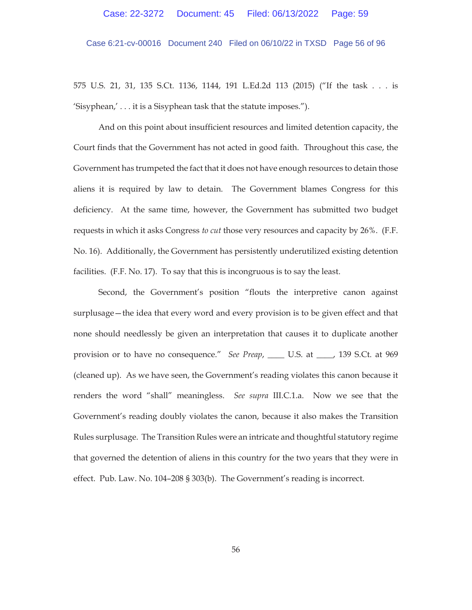Case 6:21-cv-00016 Document 240 Filed on 06/10/22 in TXSD Page 56 of 96

575 U.S. 21, 31, 135 S.Ct. 1136, 1144, 191 L.Ed.2d 113 (2015) ("If the task . . . is 'Sisyphean,' . . . it is a Sisyphean task that the statute imposes.").

And on this point about insufficient resources and limited detention capacity, the Court finds that the Government has not acted in good faith. Throughout this case, the Government has trumpeted the fact that it does not have enough resources to detain those aliens it is required by law to detain. The Government blames Congress for this deficiency. At the same time, however, the Government has submitted two budget requests in which it asks Congress *to cut* those very resources and capacity by 26%. (F.F. No. 16). Additionally, the Government has persistently underutilized existing detention facilities. (F.F. No. 17). To say that this is incongruous is to say the least.

Second, the Government's position "flouts the interpretive canon against surplusage—the idea that every word and every provision is to be given effect and that none should needlessly be given an interpretation that causes it to duplicate another provision or to have no consequence." *See Preap*, \_\_\_\_ U.S. at \_\_\_\_, 139 S.Ct. at 969 (cleaned up). As we have seen, the Government's reading violates this canon because it renders the word "shall" meaningless. *See supra* III.C.1.a. Now we see that the Government's reading doubly violates the canon, because it also makes the Transition Rules surplusage. The Transition Rules were an intricate and thoughtful statutory regime that governed the detention of aliens in this country for the two years that they were in effect. Pub. Law. No. 104–208 § 303(b). The Government's reading is incorrect.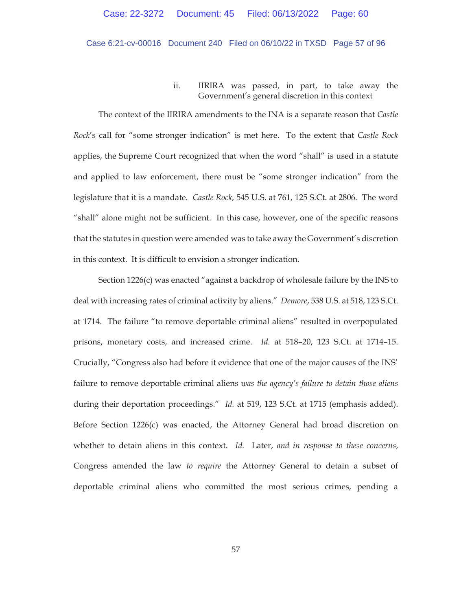## Case 6:21-cv-00016 Document 240 Filed on 06/10/22 in TXSD Page 57 of 96

# ii. IIRIRA was passed, in part, to take away the Government's general discretion in this context

The context of the IIRIRA amendments to the INA is a separate reason that *Castle Rock*'s call for "some stronger indication" is met here. To the extent that *Castle Rock* applies, the Supreme Court recognized that when the word "shall" is used in a statute and applied to law enforcement, there must be "some stronger indication" from the legislature that it is a mandate. *Castle Rock,* 545 U.S. at 761, 125 S.Ct. at 2806. The word "shall" alone might not be sufficient. In this case, however, one of the specific reasons that the statutes in question were amended was to take away the Government's discretion in this context. It is difficult to envision a stronger indication.

Section 1226(c) was enacted "against a backdrop of wholesale failure by the INS to deal with increasing rates of criminal activity by aliens." *Demore*, 538 U.S. at 518, 123 S.Ct. at 1714. The failure "to remove deportable criminal aliens" resulted in overpopulated prisons, monetary costs, and increased crime. *Id.* at 518–20, 123 S.Ct. at 1714–15. Crucially, "Congress also had before it evidence that one of the major causes of the INS' failure to remove deportable criminal aliens *was the agency's failure to detain those aliens* during their deportation proceedings." *Id.* at 519, 123 S.Ct. at 1715 (emphasis added). Before Section 1226(c) was enacted, the Attorney General had broad discretion on whether to detain aliens in this context. *Id.* Later, *and in response to these concerns*, Congress amended the law *to require* the Attorney General to detain a subset of deportable criminal aliens who committed the most serious crimes, pending a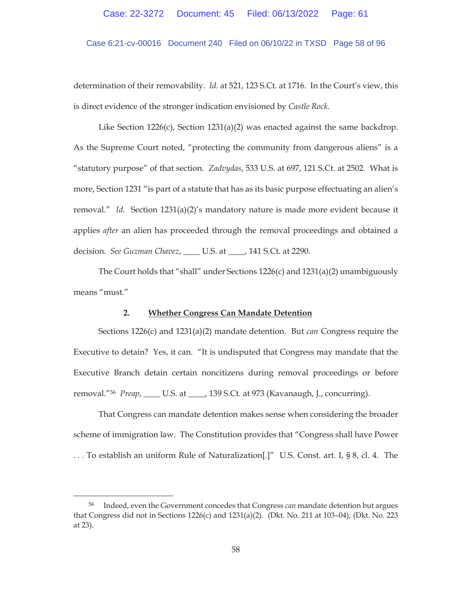Case 6:21-cv-00016 Document 240 Filed on 06/10/22 in TXSD Page 58 of 96

determination of their removability. *Id.* at 521, 123 S.Ct. at 1716. In the Court's view, this is direct evidence of the stronger indication envisioned by *Castle Rock.*

Like Section 1226(c), Section 1231(a)(2) was enacted against the same backdrop. As the Supreme Court noted, "protecting the community from dangerous aliens" is a "statutory purpose" of that section. *Zadvydas*, 533 U.S. at 697, 121 S.Ct. at 2502. What is more, Section 1231 "is part of a statute that has as its basic purpose effectuating an alien's removal." *Id.* Section 1231(a)(2)'s mandatory nature is made more evident because it applies *after* an alien has proceeded through the removal proceedings and obtained a decision. *See Guzman Chavez*, \_\_\_\_ U.S. at \_\_\_\_, 141 S.Ct. at 2290.

The Court holds that "shall" under Sections  $1226(c)$  and  $1231(a)(2)$  unambiguously means "must."

### **2. Whether Congress Can Mandate Detention**

Sections 1226(c) and 1231(a)(2) mandate detention. But *can* Congress require the Executive to detain? Yes, it can. "It is undisputed that Congress may mandate that the Executive Branch detain certain noncitizens during removal proceedings or before removal."56 *Preap*, \_\_\_\_ U.S. at \_\_\_\_, 139 S.Ct. at 973 (Kavanaugh, J., concurring).

That Congress can mandate detention makes sense when considering the broader scheme of immigration law. The Constitution provides that "Congress shall have Power . . . To establish an uniform Rule of Naturalization[.]" U.S. Const. art. I, § 8, cl. 4. The

<sup>56</sup> Indeed, even the Government concedes that Congress *can* mandate detention but argues that Congress did not in Sections 1226(c) and 1231(a)(2). (Dkt. No. 211 at 103–04); (Dkt. No. 223 at 23).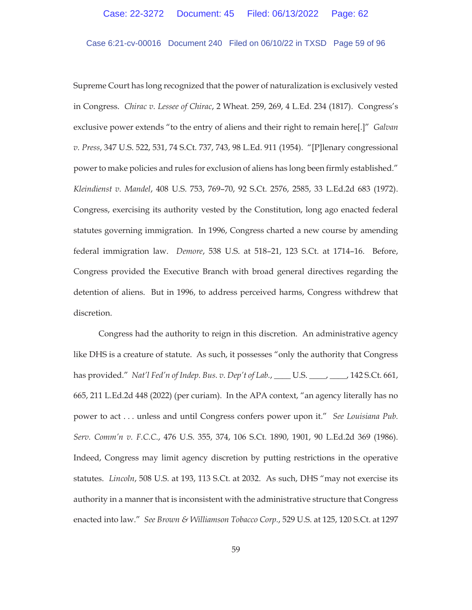Case 6:21-cv-00016 Document 240 Filed on 06/10/22 in TXSD Page 59 of 96

Supreme Court has long recognized that the power of naturalization is exclusively vested in Congress. *Chirac v. Lessee of Chirac*, 2 Wheat. 259, 269, 4 L.Ed. 234 (1817). Congress's exclusive power extends "to the entry of aliens and their right to remain here[.]" *Galvan v. Press*, 347 U.S. 522, 531, 74 S.Ct. 737, 743, 98 L.Ed. 911 (1954). "[P]lenary congressional power to make policies and rules for exclusion of aliens has long been firmly established." *Kleindienst v. Mandel*, 408 U.S. 753, 769–70, 92 S.Ct. 2576, 2585, 33 L.Ed.2d 683 (1972). Congress, exercising its authority vested by the Constitution, long ago enacted federal statutes governing immigration. In 1996, Congress charted a new course by amending federal immigration law. *Demore*, 538 U.S. at 518–21, 123 S.Ct. at 1714–16. Before, Congress provided the Executive Branch with broad general directives regarding the detention of aliens. But in 1996, to address perceived harms, Congress withdrew that discretion.

Congress had the authority to reign in this discretion. An administrative agency like DHS is a creature of statute. As such, it possesses "only the authority that Congress has provided." *Nat'l Fed'n of Indep. Bus. v. Dep't of Lab.*, \_\_\_\_ U.S. \_\_\_\_, \_\_\_\_, 142 S.Ct. 661, 665, 211 L.Ed.2d 448 (2022) (per curiam). In the APA context, "an agency literally has no power to act . . . unless and until Congress confers power upon it." *See Louisiana Pub. Serv. Comm'n v. F.C.C.*, 476 U.S. 355, 374, 106 S.Ct. 1890, 1901, 90 L.Ed.2d 369 (1986). Indeed, Congress may limit agency discretion by putting restrictions in the operative statutes. *Lincoln*, 508 U.S. at 193, 113 S.Ct. at 2032. As such, DHS "may not exercise its authority in a manner that is inconsistent with the administrative structure that Congress enacted into law." *See Brown & Williamson Tobacco Corp.*, 529 U.S. at 125, 120 S.Ct. at 1297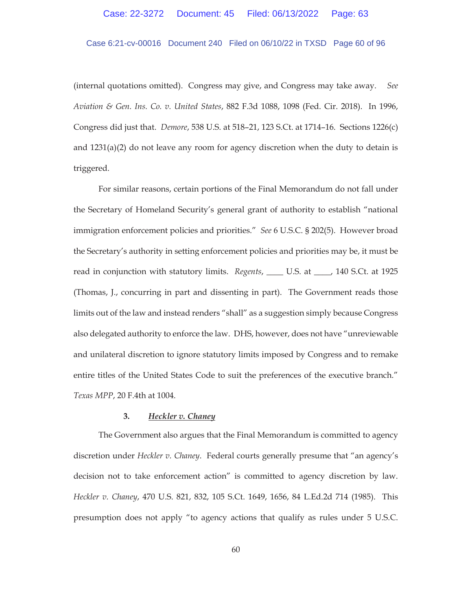### Case 6:21-cv-00016 Document 240 Filed on 06/10/22 in TXSD Page 60 of 96

(internal quotations omitted). Congress may give, and Congress may take away. *See Aviation & Gen. Ins. Co. v. United States*, 882 F.3d 1088, 1098 (Fed. Cir. 2018). In 1996, Congress did just that. *Demore*, 538 U.S. at 518–21, 123 S.Ct. at 1714–16. Sections 1226(c) and  $1231(a)(2)$  do not leave any room for agency discretion when the duty to detain is triggered.

For similar reasons, certain portions of the Final Memorandum do not fall under the Secretary of Homeland Security's general grant of authority to establish "national immigration enforcement policies and priorities." *See* 6 U.S.C. § 202(5). However broad the Secretary's authority in setting enforcement policies and priorities may be, it must be read in conjunction with statutory limits. *Regents*, \_\_\_\_ U.S. at \_\_\_\_, 140 S.Ct. at 1925 (Thomas, J., concurring in part and dissenting in part). The Government reads those limits out of the law and instead renders "shall" as a suggestion simply because Congress also delegated authority to enforce the law. DHS, however, does not have "unreviewable and unilateral discretion to ignore statutory limits imposed by Congress and to remake entire titles of the United States Code to suit the preferences of the executive branch." *Texas MPP*, 20 F.4th at 1004.

### **3.** *Heckler v. Chaney*

The Government also argues that the Final Memorandum is committed to agency discretion under *Heckler v. Chaney*. Federal courts generally presume that "an agency's decision not to take enforcement action" is committed to agency discretion by law. *Heckler v. Chaney*, 470 U.S. 821, 832, 105 S.Ct. 1649, 1656, 84 L.Ed.2d 714 (1985). This presumption does not apply "to agency actions that qualify as rules under 5 U.S.C.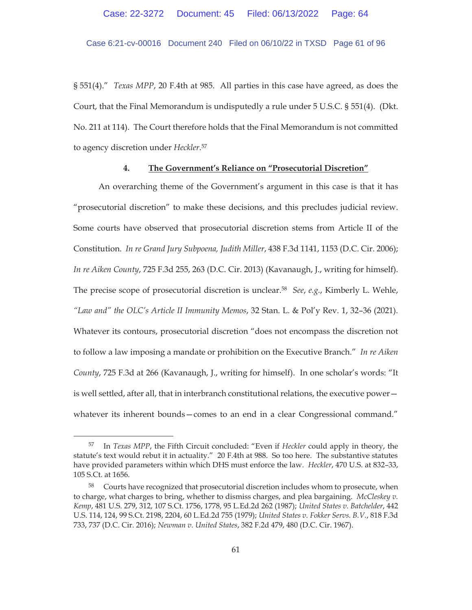Case 6:21-cv-00016 Document 240 Filed on 06/10/22 in TXSD Page 61 of 96

§ 551(4)." *Texas MPP*, 20 F.4th at 985. All parties in this case have agreed, as does the Court, that the Final Memorandum is undisputedly a rule under 5 U.S.C. § 551(4). (Dkt. No. 211 at 114). The Court therefore holds that the Final Memorandum is not committed to agency discretion under *Heckler*. 57

#### **4. The Government's Reliance on "Prosecutorial Discretion"**

An overarching theme of the Government's argument in this case is that it has "prosecutorial discretion" to make these decisions, and this precludes judicial review. Some courts have observed that prosecutorial discretion stems from Article II of the Constitution. *In re Grand Jury Subpoena, Judith Miller*, 438 F.3d 1141, 1153 (D.C. Cir. 2006); *In re Aiken County*, 725 F.3d 255, 263 (D.C. Cir. 2013) (Kavanaugh, J., writing for himself). The precise scope of prosecutorial discretion is unclear.58 *See*, *e.g.*, Kimberly L. Wehle, *"Law and" the OLC's Article II Immunity Memos*, 32 Stan. L. & Pol'y Rev. 1, 32–36 (2021). Whatever its contours, prosecutorial discretion "does not encompass the discretion not to follow a law imposing a mandate or prohibition on the Executive Branch." *In re Aiken County*, 725 F.3d at 266 (Kavanaugh, J., writing for himself). In one scholar's words: "It is well settled, after all, that in interbranch constitutional relations, the executive power whatever its inherent bounds—comes to an end in a clear Congressional command."

<sup>57</sup> In *Texas MPP*, the Fifth Circuit concluded: "Even if *Heckler* could apply in theory, the statute's text would rebut it in actuality." 20 F.4th at 988. So too here. The substantive statutes have provided parameters within which DHS must enforce the law. *Heckler*, 470 U.S. at 832–33, 105 S.Ct. at 1656.

<sup>58</sup> Courts have recognized that prosecutorial discretion includes whom to prosecute, when to charge, what charges to bring, whether to dismiss charges, and plea bargaining. *McCleskey v. Kemp*, 481 U.S. 279, 312, 107 S.Ct. 1756, 1778, 95 L.Ed.2d 262 (1987); *United States v. Batchelder*, 442 U.S. 114, 124, 99 S.Ct. 2198, 2204, 60 L.Ed.2d 755 (1979); *United States v. Fokker Servs. B.V.*, 818 F.3d 733, 737 (D.C. Cir. 2016); *Newman v. United States*, 382 F.2d 479, 480 (D.C. Cir. 1967).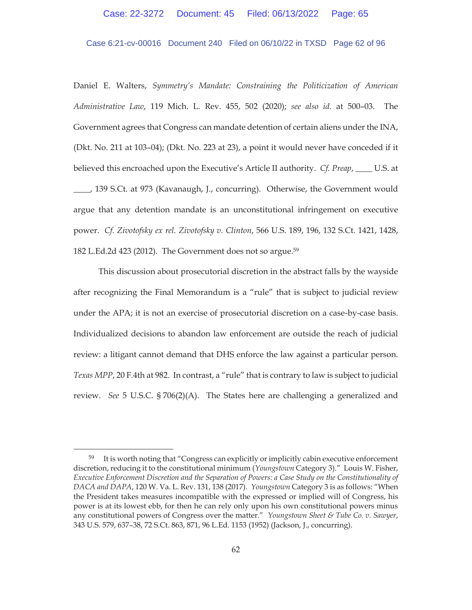### Case 6:21-cv-00016 Document 240 Filed on 06/10/22 in TXSD Page 62 of 96

Daniel E. Walters, *Symmetry's Mandate: Constraining the Politicization of American Administrative Law*, 119 Mich. L. Rev. 455, 502 (2020); *see also id.* at 500–03. The Government agrees that Congress can mandate detention of certain aliens under the INA, (Dkt. No. 211 at 103–04); (Dkt. No. 223 at 23), a point it would never have conceded if it believed this encroached upon the Executive's Article II authority. *Cf. Preap*, \_\_\_\_ U.S. at

\_\_\_\_, 139 S.Ct. at 973 (Kavanaugh, J., concurring). Otherwise, the Government would argue that any detention mandate is an unconstitutional infringement on executive power. *Cf. Zivotofsky ex rel. Zivotofsky v. Clinton*, 566 U.S. 189, 196, 132 S.Ct. 1421, 1428, 182 L.Ed.2d 423 (2012). The Government does not so argue.59

This discussion about prosecutorial discretion in the abstract falls by the wayside after recognizing the Final Memorandum is a "rule" that is subject to judicial review under the APA; it is not an exercise of prosecutorial discretion on a case-by-case basis. Individualized decisions to abandon law enforcement are outside the reach of judicial review: a litigant cannot demand that DHS enforce the law against a particular person. *Texas MPP*, 20 F.4th at 982. In contrast, a "rule" that is contrary to law is subject to judicial review. *See* 5 U.S.C. § 706(2)(A). The States here are challenging a generalized and

<sup>&</sup>lt;sup>59</sup> It is worth noting that "Congress can explicitly or implicitly cabin executive enforcement discretion, reducing it to the constitutional minimum (*Youngstown* Category 3)." Louis W. Fisher, *Executive Enforcement Discretion and the Separation of Powers: a Case Study on the Constitutionality of DACA and DAPA*, 120 W. Va. L. Rev. 131, 138 (2017). *Youngstown* Category 3 is as follows: "When the President takes measures incompatible with the expressed or implied will of Congress, his power is at its lowest ebb, for then he can rely only upon his own constitutional powers minus any constitutional powers of Congress over the matter." *Youngstown Sheet & Tube Co. v. Sawyer*, 343 U.S. 579, 637–38, 72 S.Ct. 863, 871, 96 L.Ed. 1153 (1952) (Jackson, J., concurring).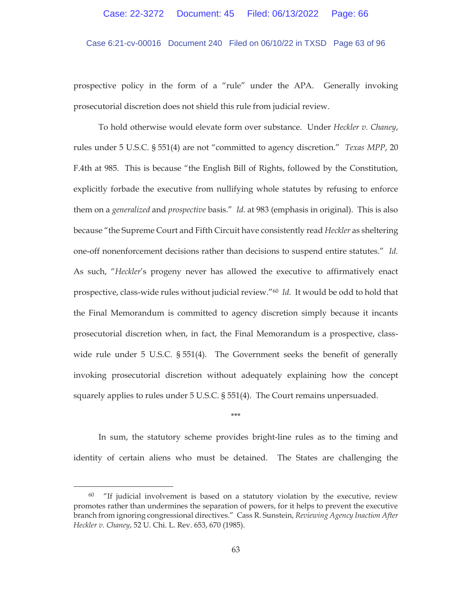Case 6:21-cv-00016 Document 240 Filed on 06/10/22 in TXSD Page 63 of 96

prospective policy in the form of a "rule" under the APA. Generally invoking prosecutorial discretion does not shield this rule from judicial review.

To hold otherwise would elevate form over substance. Under *Heckler v. Chaney*, rules under 5 U.S.C. § 551(4) are not "committed to agency discretion." *Texas MPP*, 20 F.4th at 985. This is because "the English Bill of Rights, followed by the Constitution, explicitly forbade the executive from nullifying whole statutes by refusing to enforce them on a *generalized* and *prospective* basis." *Id.* at 983 (emphasis in original). This is also because "the Supreme Court and Fifth Circuit have consistently read *Heckler* as sheltering one-off nonenforcement decisions rather than decisions to suspend entire statutes." *Id.* As such, "*Heckler*'s progeny never has allowed the executive to affirmatively enact prospective, class-wide rules without judicial review."60 *Id.* It would be odd to hold that the Final Memorandum is committed to agency discretion simply because it incants prosecutorial discretion when, in fact, the Final Memorandum is a prospective, classwide rule under 5 U.S.C. § 551(4). The Government seeks the benefit of generally invoking prosecutorial discretion without adequately explaining how the concept squarely applies to rules under 5 U.S.C. § 551(4). The Court remains unpersuaded.

\*\*\*

In sum, the statutory scheme provides bright-line rules as to the timing and identity of certain aliens who must be detained. The States are challenging the

 $60$  "If judicial involvement is based on a statutory violation by the executive, review promotes rather than undermines the separation of powers, for it helps to prevent the executive branch from ignoring congressional directives." Cass R. Sunstein, *Reviewing Agency Inaction After Heckler v. Chaney*, 52 U. Chi. L. Rev. 653, 670 (1985).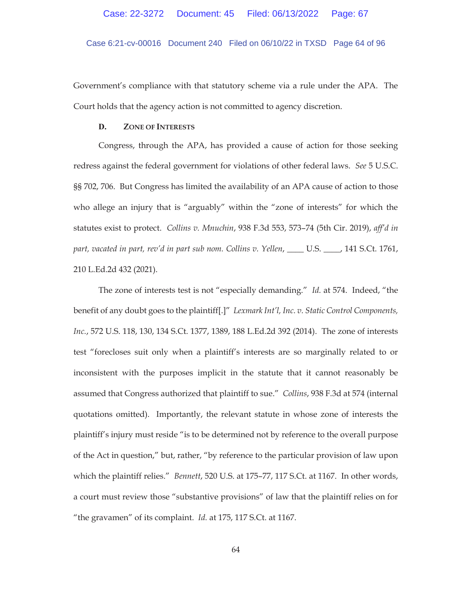Case 6:21-cv-00016 Document 240 Filed on 06/10/22 in TXSD Page 64 of 96

Government's compliance with that statutory scheme via a rule under the APA. The Court holds that the agency action is not committed to agency discretion.

#### **D. ZONE OF INTERESTS**

Congress, through the APA, has provided a cause of action for those seeking redress against the federal government for violations of other federal laws. *See* 5 U.S.C. §§ 702, 706. But Congress has limited the availability of an APA cause of action to those who allege an injury that is "arguably" within the "zone of interests" for which the statutes exist to protect. *Collins v. Mnuchin*, 938 F.3d 553, 573–74 (5th Cir. 2019), *aff'd in part, vacated in part, rev'd in part sub nom. Collins v. Yellen*, \_\_\_\_ U.S. \_\_\_\_, 141 S.Ct. 1761, 210 L.Ed.2d 432 (2021).

The zone of interests test is not "especially demanding." *Id.* at 574. Indeed, "the benefit of any doubt goes to the plaintiff[.]" *Lexmark Int'l, Inc. v. Static Control Components, Inc.*, 572 U.S. 118, 130, 134 S.Ct. 1377, 1389, 188 L.Ed.2d 392 (2014). The zone of interests test "forecloses suit only when a plaintiff's interests are so marginally related to or inconsistent with the purposes implicit in the statute that it cannot reasonably be assumed that Congress authorized that plaintiff to sue." *Collins*, 938 F.3d at 574 (internal quotations omitted). Importantly, the relevant statute in whose zone of interests the plaintiff's injury must reside "is to be determined not by reference to the overall purpose of the Act in question," but, rather, "by reference to the particular provision of law upon which the plaintiff relies." *Bennett*, 520 U.S. at 175–77, 117 S.Ct. at 1167. In other words, a court must review those "substantive provisions" of law that the plaintiff relies on for "the gravamen" of its complaint. *Id.* at 175, 117 S.Ct. at 1167.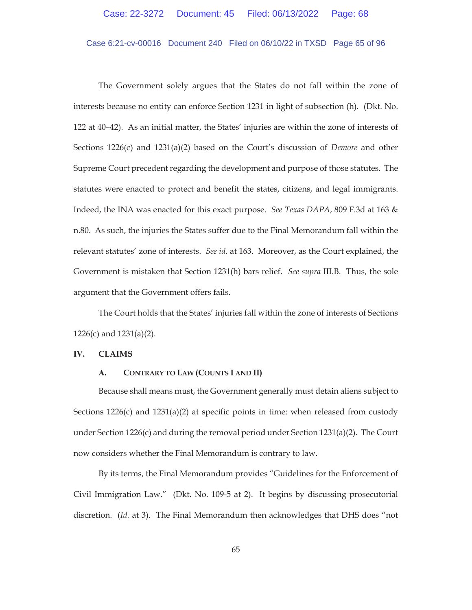# Case 6:21-cv-00016 Document 240 Filed on 06/10/22 in TXSD Page 65 of 96

The Government solely argues that the States do not fall within the zone of interests because no entity can enforce Section 1231 in light of subsection (h). (Dkt. No. 122 at 40–42). As an initial matter, the States' injuries are within the zone of interests of Sections 1226(c) and 1231(a)(2) based on the Court's discussion of *Demore* and other Supreme Court precedent regarding the development and purpose of those statutes. The statutes were enacted to protect and benefit the states, citizens, and legal immigrants. Indeed, the INA was enacted for this exact purpose. *See Texas DAPA*, 809 F.3d at 163 & n.80. As such, the injuries the States suffer due to the Final Memorandum fall within the relevant statutes' zone of interests. *See id.* at 163. Moreover, as the Court explained, the Government is mistaken that Section 1231(h) bars relief. *See supra* III.B. Thus, the sole argument that the Government offers fails.

The Court holds that the States' injuries fall within the zone of interests of Sections 1226(c) and 1231(a)(2).

#### **IV. CLAIMS**

## **A. CONTRARY TO LAW (COUNTS I AND II)**

Because shall means must, the Government generally must detain aliens subject to Sections  $1226(c)$  and  $1231(a)(2)$  at specific points in time: when released from custody under Section 1226(c) and during the removal period under Section 1231(a)(2). The Court now considers whether the Final Memorandum is contrary to law.

By its terms, the Final Memorandum provides "Guidelines for the Enforcement of Civil Immigration Law." (Dkt. No. 109-5 at 2). It begins by discussing prosecutorial discretion. (*Id.* at 3). The Final Memorandum then acknowledges that DHS does "not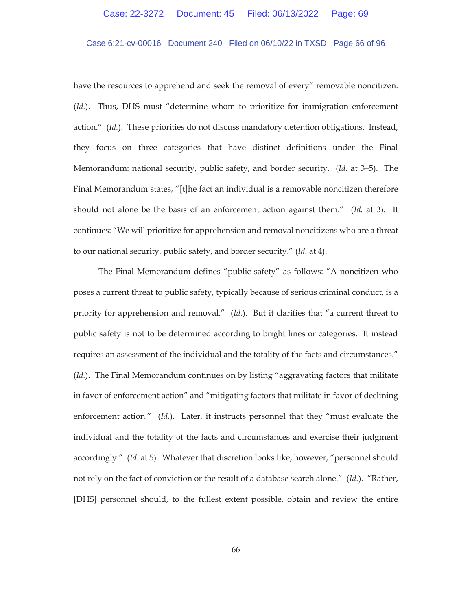# Case 6:21-cv-00016 Document 240 Filed on 06/10/22 in TXSD Page 66 of 96

have the resources to apprehend and seek the removal of every" removable noncitizen. (*Id.*). Thus, DHS must "determine whom to prioritize for immigration enforcement action." (*Id.*). These priorities do not discuss mandatory detention obligations. Instead, they focus on three categories that have distinct definitions under the Final Memorandum: national security, public safety, and border security. (*Id.* at 3–5). The Final Memorandum states, "[t]he fact an individual is a removable noncitizen therefore should not alone be the basis of an enforcement action against them." (*Id.* at 3). It continues: "We will prioritize for apprehension and removal noncitizens who are a threat to our national security, public safety, and border security." (*Id.* at 4).

The Final Memorandum defines "public safety" as follows: "A noncitizen who poses a current threat to public safety, typically because of serious criminal conduct, is a priority for apprehension and removal." (*Id.*). But it clarifies that "a current threat to public safety is not to be determined according to bright lines or categories. It instead requires an assessment of the individual and the totality of the facts and circumstances." (*Id.*). The Final Memorandum continues on by listing "aggravating factors that militate in favor of enforcement action" and "mitigating factors that militate in favor of declining enforcement action." (*Id.*). Later, it instructs personnel that they "must evaluate the individual and the totality of the facts and circumstances and exercise their judgment accordingly." (*Id.* at 5). Whatever that discretion looks like, however, "personnel should not rely on the fact of conviction or the result of a database search alone." (*Id.*). "Rather, [DHS] personnel should, to the fullest extent possible, obtain and review the entire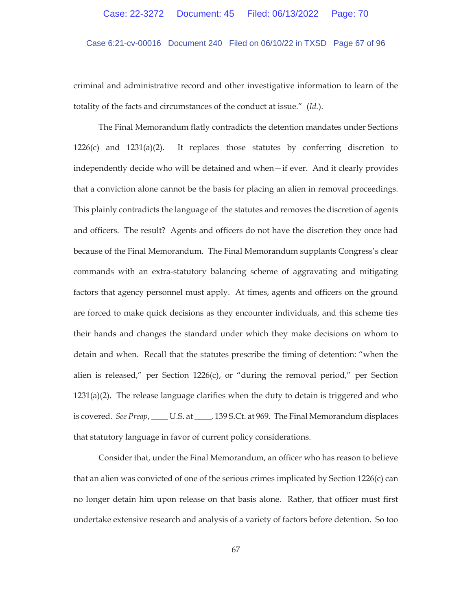# Case 6:21-cv-00016 Document 240 Filed on 06/10/22 in TXSD Page 67 of 96

criminal and administrative record and other investigative information to learn of the totality of the facts and circumstances of the conduct at issue." (*Id.*).

The Final Memorandum flatly contradicts the detention mandates under Sections  $1226(c)$  and  $1231(a)(2)$ . It replaces those statutes by conferring discretion to independently decide who will be detained and when—if ever. And it clearly provides that a conviction alone cannot be the basis for placing an alien in removal proceedings. This plainly contradicts the language of the statutes and removes the discretion of agents and officers. The result? Agents and officers do not have the discretion they once had because of the Final Memorandum. The Final Memorandum supplants Congress's clear commands with an extra-statutory balancing scheme of aggravating and mitigating factors that agency personnel must apply. At times, agents and officers on the ground are forced to make quick decisions as they encounter individuals, and this scheme ties their hands and changes the standard under which they make decisions on whom to detain and when. Recall that the statutes prescribe the timing of detention: "when the alien is released," per Section  $1226(c)$ , or "during the removal period," per Section  $1231(a)(2)$ . The release language clarifies when the duty to detain is triggered and who is covered. *See Preap*, \_\_\_\_ U.S. at \_\_\_\_, 139 S.Ct. at 969. The Final Memorandum displaces that statutory language in favor of current policy considerations.

Consider that, under the Final Memorandum, an officer who has reason to believe that an alien was convicted of one of the serious crimes implicated by Section 1226(c) can no longer detain him upon release on that basis alone. Rather, that officer must first undertake extensive research and analysis of a variety of factors before detention. So too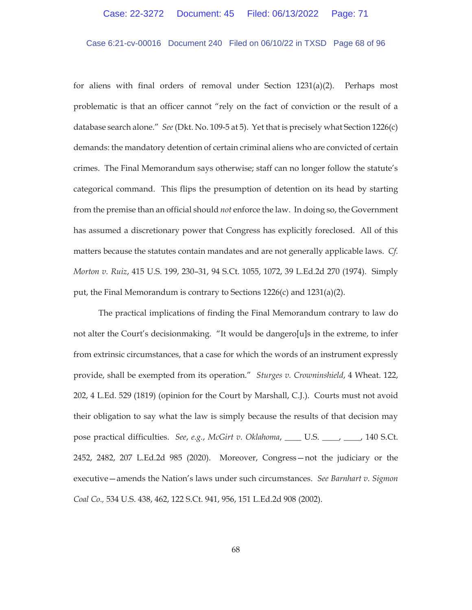### Case 6:21-cv-00016 Document 240 Filed on 06/10/22 in TXSD Page 68 of 96

for aliens with final orders of removal under Section  $1231(a)(2)$ . Perhaps most problematic is that an officer cannot "rely on the fact of conviction or the result of a database search alone." *See* (Dkt. No. 109-5 at 5). Yet that is precisely what Section 1226(c) demands: the mandatory detention of certain criminal aliens who are convicted of certain crimes. The Final Memorandum says otherwise; staff can no longer follow the statute's categorical command. This flips the presumption of detention on its head by starting from the premise than an official should *not* enforce the law. In doing so, the Government has assumed a discretionary power that Congress has explicitly foreclosed. All of this matters because the statutes contain mandates and are not generally applicable laws. *Cf. Morton v. Ruiz*, 415 U.S. 199, 230–31, 94 S.Ct. 1055, 1072, 39 L.Ed.2d 270 (1974). Simply put, the Final Memorandum is contrary to Sections  $1226(c)$  and  $1231(a)(2)$ .

The practical implications of finding the Final Memorandum contrary to law do not alter the Court's decisionmaking. "It would be dangero[u]s in the extreme, to infer from extrinsic circumstances, that a case for which the words of an instrument expressly provide, shall be exempted from its operation." *Sturges v. Crowninshield*, 4 Wheat. 122, 202, 4 L.Ed. 529 (1819) (opinion for the Court by Marshall, C.J.). Courts must not avoid their obligation to say what the law is simply because the results of that decision may pose practical difficulties. *See*, *e.g.*, *McGirt v. Oklahoma*, \_\_\_\_ U.S. \_\_\_\_, \_\_\_\_, 140 S.Ct. 2452, 2482, 207 L.Ed.2d 985 (2020). Moreover, Congress—not the judiciary or the executive—amends the Nation's laws under such circumstances. *See Barnhart v. Sigmon Coal Co.,* 534 U.S. 438, 462, 122 S.Ct. 941, 956, 151 L.Ed.2d 908 (2002).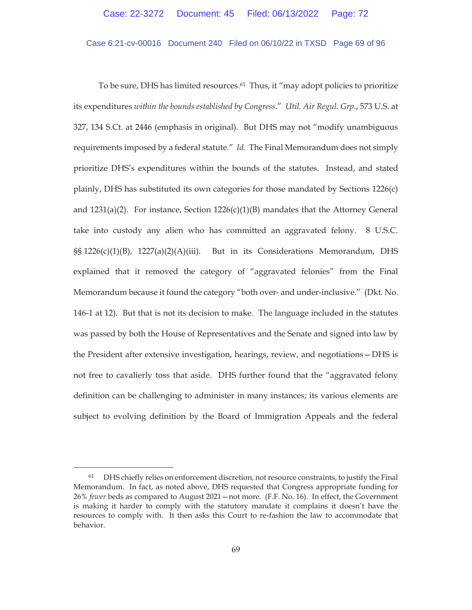Case 6:21-cv-00016 Document 240 Filed on 06/10/22 in TXSD Page 69 of 96

To be sure, DHS has limited resources.61 Thus, it "may adopt policies to prioritize its expenditures *within the bounds established by Congress*." *Util. Air Regul. Grp.*, 573 U.S. at 327, 134 S.Ct. at 2446 (emphasis in original). But DHS may not "modify unambiguous requirements imposed by a federal statute." *Id.* The Final Memorandum does not simply prioritize DHS's expenditures within the bounds of the statutes. Instead, and stated plainly, DHS has substituted its own categories for those mandated by Sections 1226(c) and  $1231(a)(2)$ . For instance, Section  $1226(c)(1)(B)$  mandates that the Attorney General take into custody any alien who has committed an aggravated felony. 8 U.S.C.  $\S$ § 1226(c)(1)(B), 1227(a)(2)(A)(iii). But in its Considerations Memorandum, DHS explained that it removed the category of "aggravated felonies" from the Final Memorandum because it found the category "both over- and under-inclusive." (Dkt. No. 146-1 at 12). But that is not its decision to make. The language included in the statutes was passed by both the House of Representatives and the Senate and signed into law by the President after extensive investigation, hearings, review, and negotiations—DHS is not free to cavalierly toss that aside. DHS further found that the "aggravated felony definition can be challenging to administer in many instances; its various elements are subject to evolving definition by the Board of Immigration Appeals and the federal

 $61$  DHS chiefly relies on enforcement discretion, not resource constraints, to justify the Final Memorandum. In fact, as noted above, DHS requested that Congress appropriate funding for 26% *fewer* beds as compared to August 2021—not more. (F.F. No. 16). In effect, the Government is making it harder to comply with the statutory mandate it complains it doesn't have the resources to comply with. It then asks this Court to re-fashion the law to accommodate that behavior.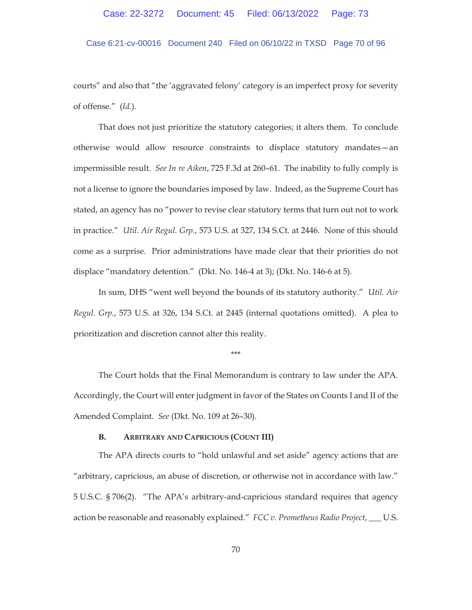## Case 6:21-cv-00016 Document 240 Filed on 06/10/22 in TXSD Page 70 of 96

courts" and also that "the 'aggravated felony' category is an imperfect proxy for severity of offense." (*Id.*).

That does not just prioritize the statutory categories; it alters them. To conclude otherwise would allow resource constraints to displace statutory mandates—an impermissible result. *See In re Aiken*, 725 F.3d at 260–61. The inability to fully comply is not a license to ignore the boundaries imposed by law. Indeed, as the Supreme Court has stated, an agency has no "power to revise clear statutory terms that turn out not to work in practice." *Util. Air Regul. Grp.*, 573 U.S. at 327, 134 S.Ct. at 2446. None of this should come as a surprise. Prior administrations have made clear that their priorities do not displace "mandatory detention." (Dkt. No. 146-4 at 3); (Dkt. No. 146-6 at 5).

In sum, DHS "went well beyond the bounds of its statutory authority." *Util. Air Regul. Grp.*, 573 U.S. at 326, 134 S.Ct. at 2445 (internal quotations omitted). A plea to prioritization and discretion cannot alter this reality.

\*\*\*

The Court holds that the Final Memorandum is contrary to law under the APA. Accordingly, the Court will enter judgment in favor of the States on Counts I and II of the Amended Complaint. *See* (Dkt. No. 109 at 26–30).

### **B. ARBITRARY AND CAPRICIOUS (COUNT III)**

The APA directs courts to "hold unlawful and set aside" agency actions that are "arbitrary, capricious, an abuse of discretion, or otherwise not in accordance with law." 5 U.S.C. § 706(2). "The APA's arbitrary-and-capricious standard requires that agency action be reasonable and reasonably explained." *FCC v. Prometheus Radio Project*, \_\_\_ U.S.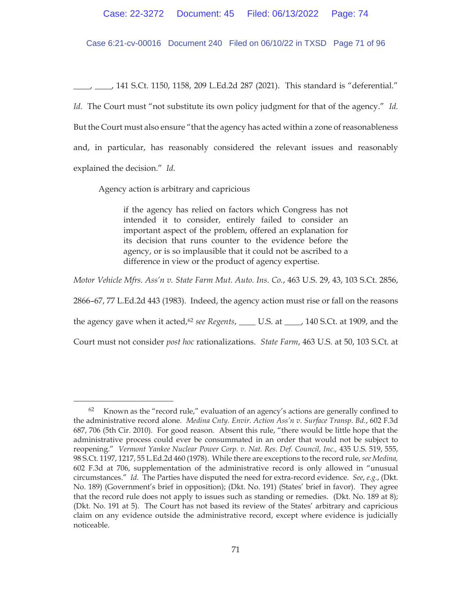Case 6:21-cv-00016 Document 240 Filed on 06/10/22 in TXSD Page 71 of 96

\_\_\_\_, \_\_\_\_, 141 S.Ct. 1150, 1158, 209 L.Ed.2d 287 (2021). This standard is "deferential." *Id.* The Court must "not substitute its own policy judgment for that of the agency." *Id.* But the Court must also ensure "that the agency has acted within a zone of reasonableness and, in particular, has reasonably considered the relevant issues and reasonably explained the decision." *Id.* 

Agency action is arbitrary and capricious

if the agency has relied on factors which Congress has not intended it to consider, entirely failed to consider an important aspect of the problem, offered an explanation for its decision that runs counter to the evidence before the agency, or is so implausible that it could not be ascribed to a difference in view or the product of agency expertise.

*Motor Vehicle Mfrs. Ass'n v. State Farm Mut. Auto. Ins. Co.*, 463 U.S. 29, 43, 103 S.Ct. 2856,

2866–67, 77 L.Ed.2d 443 (1983). Indeed, the agency action must rise or fall on the reasons

the agency gave when it acted,62 *see Regents*, \_\_\_\_ U.S. at \_\_\_\_, 140 S.Ct. at 1909, and the

Court must not consider *post hoc* rationalizations. *State Farm*, 463 U.S. at 50, 103 S.Ct. at

<sup>62</sup> Known as the "record rule," evaluation of an agency's actions are generally confined to the administrative record alone. *Medina Cnty. Envir. Action Ass'n v. Surface Transp. Bd.*, 602 F.3d 687, 706 (5th Cir. 2010). For good reason. Absent this rule, "there would be little hope that the administrative process could ever be consummated in an order that would not be subject to reopening." *Vermont Yankee Nuclear Power Corp. v. Nat. Res. Def. Council, Inc.,* 435 U.S. 519, 555, 98 S.Ct. 1197, 1217, 55 L.Ed.2d 460 (1978). While there are exceptions to the record rule, *see Medina,*  602 F.3d at 706, supplementation of the administrative record is only allowed in "unusual circumstances." *Id*. The Parties have disputed the need for extra-record evidence. *See*, *e.g.*, (Dkt. No. 189) (Government's brief in opposition); (Dkt. No. 191) (States' brief in favor). They agree that the record rule does not apply to issues such as standing or remedies. (Dkt. No. 189 at 8); (Dkt. No. 191 at 5). The Court has not based its review of the States' arbitrary and capricious claim on any evidence outside the administrative record, except where evidence is judicially noticeable.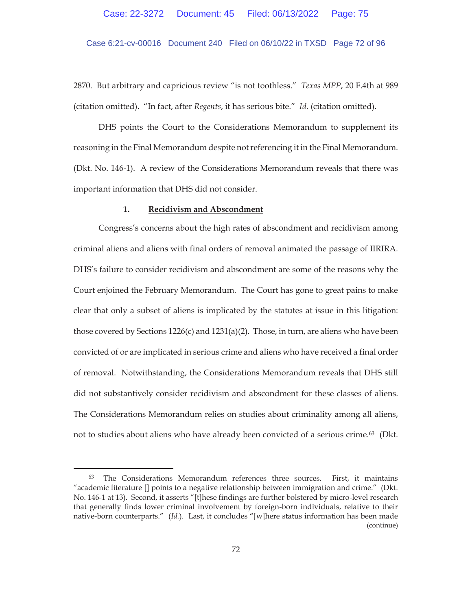Case 6:21-cv-00016 Document 240 Filed on 06/10/22 in TXSD Page 72 of 96

2870. But arbitrary and capricious review "is not toothless." *Texas MPP*, 20 F.4th at 989 (citation omitted). "In fact, after *Regents*, it has serious bite." *Id.* (citation omitted).

DHS points the Court to the Considerations Memorandum to supplement its reasoning in the Final Memorandum despite not referencing it in the Final Memorandum. (Dkt. No. 146-1). A review of the Considerations Memorandum reveals that there was important information that DHS did not consider.

#### **1. Recidivism and Abscondment**

Congress's concerns about the high rates of abscondment and recidivism among criminal aliens and aliens with final orders of removal animated the passage of IIRIRA. DHS's failure to consider recidivism and abscondment are some of the reasons why the Court enjoined the February Memorandum. The Court has gone to great pains to make clear that only a subset of aliens is implicated by the statutes at issue in this litigation: those covered by Sections  $1226(c)$  and  $1231(a)(2)$ . Those, in turn, are aliens who have been convicted of or are implicated in serious crime and aliens who have received a final order of removal. Notwithstanding, the Considerations Memorandum reveals that DHS still did not substantively consider recidivism and abscondment for these classes of aliens. The Considerations Memorandum relies on studies about criminality among all aliens, not to studies about aliens who have already been convicted of a serious crime.<sup>63</sup> (Dkt.

<sup>63</sup> The Considerations Memorandum references three sources. First, it maintains "academic literature [] points to a negative relationship between immigration and crime." (Dkt. No. 146-1 at 13). Second, it asserts "[t]hese findings are further bolstered by micro-level research that generally finds lower criminal involvement by foreign-born individuals, relative to their native-born counterparts." (*Id.*). Last, it concludes "[w]here status information has been made (continue)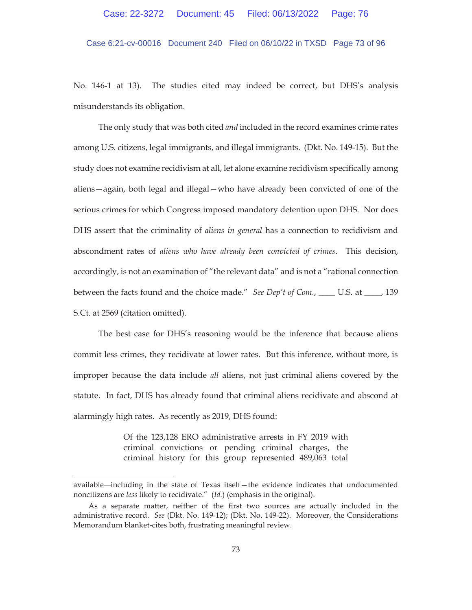Case 6:21-cv-00016 Document 240 Filed on 06/10/22 in TXSD Page 73 of 96

No. 146-1 at 13). The studies cited may indeed be correct, but DHS's analysis misunderstands its obligation.

The only study that was both cited *and* included in the record examines crime rates among U.S. citizens, legal immigrants, and illegal immigrants. (Dkt. No. 149-15). But the study does not examine recidivism at all, let alone examine recidivism specifically among aliens—again, both legal and illegal—who have already been convicted of one of the serious crimes for which Congress imposed mandatory detention upon DHS. Nor does DHS assert that the criminality of *aliens in general* has a connection to recidivism and abscondment rates of *aliens who have already been convicted of crimes*. This decision, accordingly, is not an examination of "the relevant data" and is not a "rational connection between the facts found and the choice made." *See Dep't of Com.*, \_\_\_\_ U.S. at \_\_\_\_, 139 S.Ct. at 2569 (citation omitted).

The best case for DHS's reasoning would be the inference that because aliens commit less crimes, they recidivate at lower rates. But this inference, without more, is improper because the data include *all* aliens, not just criminal aliens covered by the statute. In fact, DHS has already found that criminal aliens recidivate and abscond at alarmingly high rates. As recently as 2019, DHS found:

> Of the 123,128 ERO administrative arrests in FY 2019 with criminal convictions or pending criminal charges, the criminal history for this group represented 489,063 total

available—including in the state of Texas itself—the evidence indicates that undocumented noncitizens are *less* likely to recidivate." (*Id.*) (emphasis in the original).

As a separate matter, neither of the first two sources are actually included in the administrative record. *See* (Dkt. No. 149-12); (Dkt. No. 149-22). Moreover, the Considerations Memorandum blanket-cites both, frustrating meaningful review.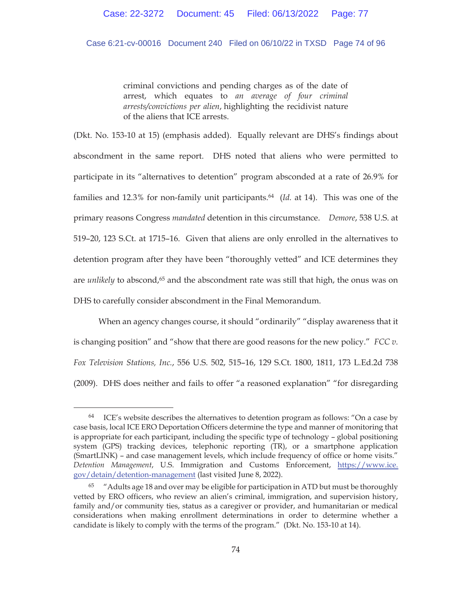## Case 6:21-cv-00016 Document 240 Filed on 06/10/22 in TXSD Page 74 of 96

criminal convictions and pending charges as of the date of arrest, which equates to *an average of four criminal arrests/convictions per alien*, highlighting the recidivist nature of the aliens that ICE arrests.

(Dkt. No. 153-10 at 15) (emphasis added). Equally relevant are DHS's findings about abscondment in the same report. DHS noted that aliens who were permitted to participate in its "alternatives to detention" program absconded at a rate of 26.9% for families and 12.3% for non-family unit participants.64 (*Id.* at 14). This was one of the primary reasons Congress *mandated* detention in this circumstance. *Demore*, 538 U.S. at 519–20, 123 S.Ct. at 1715–16. Given that aliens are only enrolled in the alternatives to detention program after they have been "thoroughly vetted" and ICE determines they are *unlikely* to abscond,65 and the abscondment rate was still that high, the onus was on DHS to carefully consider abscondment in the Final Memorandum.

 When an agency changes course, it should "ordinarily" "display awareness that it is changing position" and "show that there are good reasons for the new policy." *FCC v. Fox Television Stations, Inc.*, 556 U.S. 502, 515–16, 129 S.Ct. 1800, 1811, 173 L.Ed.2d 738 (2009). DHS does neither and fails to offer "a reasoned explanation" "for disregarding

 $64$  ICE's website describes the alternatives to detention program as follows: "On a case by case basis, local ICE ERO Deportation Officers determine the type and manner of monitoring that is appropriate for each participant, including the specific type of technology – global positioning system (GPS) tracking devices, telephonic reporting (TR), or a smartphone application (SmartLINK) – and case management levels, which include frequency of office or home visits." *Detention Management*, U.S. Immigration and Customs Enforcement, https://www.ice. gov/detain/detention-management (last visited June 8, 2022).

<sup>65 &</sup>quot;Adults age 18 and over may be eligible for participation in ATD but must be thoroughly vetted by ERO officers, who review an alien's criminal, immigration, and supervision history, family and/or community ties, status as a caregiver or provider, and humanitarian or medical considerations when making enrollment determinations in order to determine whether a candidate is likely to comply with the terms of the program." (Dkt. No. 153-10 at 14).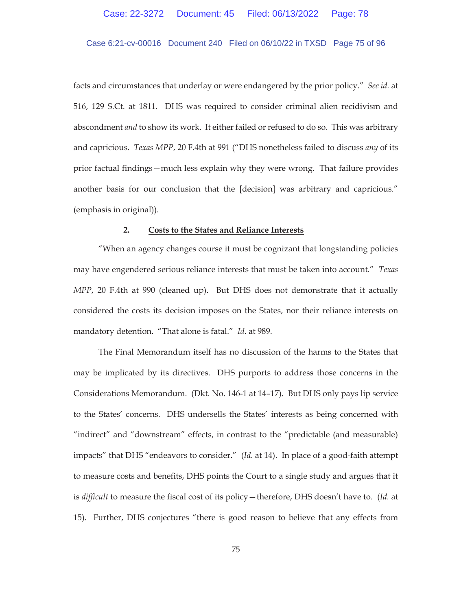### Case 6:21-cv-00016 Document 240 Filed on 06/10/22 in TXSD Page 75 of 96

facts and circumstances that underlay or were endangered by the prior policy." *See id.* at 516, 129 S.Ct. at 1811. DHS was required to consider criminal alien recidivism and abscondment *and* to show its work. It either failed or refused to do so. This was arbitrary and capricious. *Texas MPP*, 20 F.4th at 991 ("DHS nonetheless failed to discuss *any* of its prior factual findings—much less explain why they were wrong. That failure provides another basis for our conclusion that the [decision] was arbitrary and capricious." (emphasis in original)).

#### **2. Costs to the States and Reliance Interests**

"When an agency changes course it must be cognizant that longstanding policies may have engendered serious reliance interests that must be taken into account." *Texas MPP*, 20 F.4th at 990 (cleaned up). But DHS does not demonstrate that it actually considered the costs its decision imposes on the States, nor their reliance interests on mandatory detention. "That alone is fatal." *Id*. at 989.

The Final Memorandum itself has no discussion of the harms to the States that may be implicated by its directives. DHS purports to address those concerns in the Considerations Memorandum. (Dkt. No. 146-1 at 14–17). But DHS only pays lip service to the States' concerns. DHS undersells the States' interests as being concerned with "indirect" and "downstream" effects, in contrast to the "predictable (and measurable) impacts" that DHS "endeavors to consider." (*Id.* at 14). In place of a good-faith attempt to measure costs and benefits, DHS points the Court to a single study and argues that it is *difficult* to measure the fiscal cost of its policy—therefore, DHS doesn't have to. (*Id.* at 15). Further, DHS conjectures "there is good reason to believe that any effects from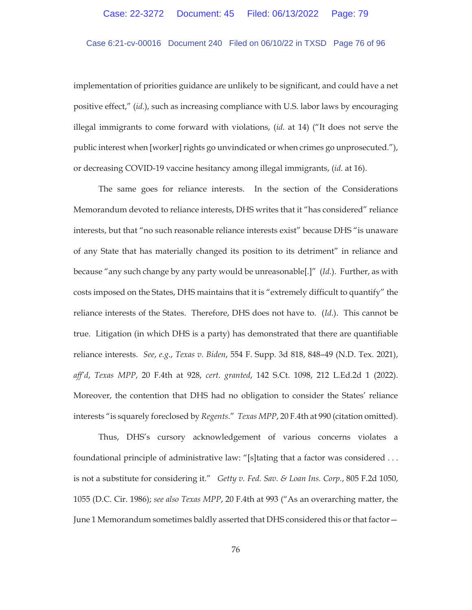# Case 6:21-cv-00016 Document 240 Filed on 06/10/22 in TXSD Page 76 of 96

implementation of priorities guidance are unlikely to be significant, and could have a net positive effect," (*id.*), such as increasing compliance with U.S. labor laws by encouraging illegal immigrants to come forward with violations, (*id.* at 14) ("It does not serve the public interest when [worker] rights go unvindicated or when crimes go unprosecuted."), or decreasing COVID-19 vaccine hesitancy among illegal immigrants, (*id.* at 16).

The same goes for reliance interests. In the section of the Considerations Memorandum devoted to reliance interests, DHS writes that it "has considered" reliance interests, but that "no such reasonable reliance interests exist" because DHS "is unaware of any State that has materially changed its position to its detriment" in reliance and because "any such change by any party would be unreasonable[.]" (*Id.*). Further, as with costs imposed on the States, DHS maintains that it is "extremely difficult to quantify" the reliance interests of the States. Therefore, DHS does not have to. (*Id*.). This cannot be true. Litigation (in which DHS is a party) has demonstrated that there are quantifiable reliance interests. *See*, *e.g.*, *Texas v. Biden*, 554 F. Supp. 3d 818, 848–49 (N.D. Tex. 2021), *aff'd*, *Texas MPP*, 20 F.4th at 928, *cert. granted*, 142 S.Ct. 1098, 212 L.Ed.2d 1 (2022). Moreover, the contention that DHS had no obligation to consider the States' reliance interests "is squarely foreclosed by *Regents*." *Texas MPP*, 20 F.4th at 990 (citation omitted).

Thus, DHS's cursory acknowledgement of various concerns violates a foundational principle of administrative law: "[s]tating that a factor was considered . . . is not a substitute for considering it." *Getty v. Fed. Sav. & Loan Ins. Corp.*, 805 F.2d 1050, 1055 (D.C. Cir. 1986); *see also Texas MPP*, 20 F.4th at 993 ("As an overarching matter, the June 1 Memorandum sometimes baldly asserted that DHS considered this or that factor—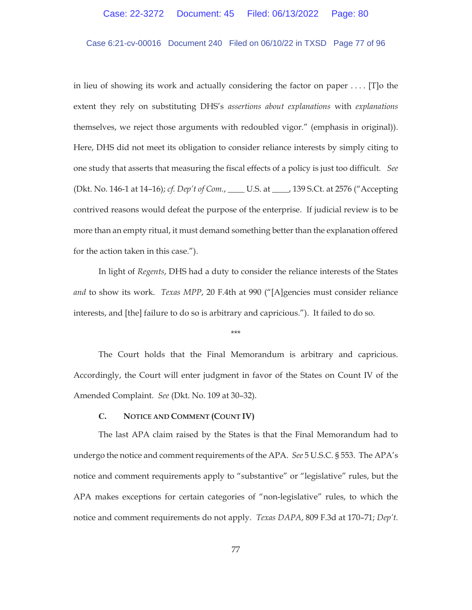# Case 6:21-cv-00016 Document 240 Filed on 06/10/22 in TXSD Page 77 of 96

in lieu of showing its work and actually considering the factor on paper . . . . [T]o the extent they rely on substituting DHS's *assertions about explanations* with *explanations*  themselves, we reject those arguments with redoubled vigor." (emphasis in original)). Here, DHS did not meet its obligation to consider reliance interests by simply citing to one study that asserts that measuring the fiscal effects of a policy is just too difficult. *See* (Dkt. No. 146-1 at 14–16); *cf. Dep't of Com.*, \_\_\_\_ U.S. at \_\_\_\_, 139 S.Ct. at 2576 ("Accepting contrived reasons would defeat the purpose of the enterprise. If judicial review is to be more than an empty ritual, it must demand something better than the explanation offered for the action taken in this case.").

In light of *Regents*, DHS had a duty to consider the reliance interests of the States *and* to show its work. *Texas MPP*, 20 F.4th at 990 ("[A]gencies must consider reliance interests, and [the] failure to do so is arbitrary and capricious."). It failed to do so.

\*\*\*

 The Court holds that the Final Memorandum is arbitrary and capricious. Accordingly, the Court will enter judgment in favor of the States on Count IV of the Amended Complaint. *See* (Dkt. No. 109 at 30–32).

### **C. NOTICE AND COMMENT (COUNT IV)**

The last APA claim raised by the States is that the Final Memorandum had to undergo the notice and comment requirements of the APA. *See* 5 U.S.C. § 553. The APA's notice and comment requirements apply to "substantive" or "legislative" rules, but the APA makes exceptions for certain categories of "non-legislative" rules, to which the notice and comment requirements do not apply. *Texas DAPA*, 809 F.3d at 170–71; *Dep't.*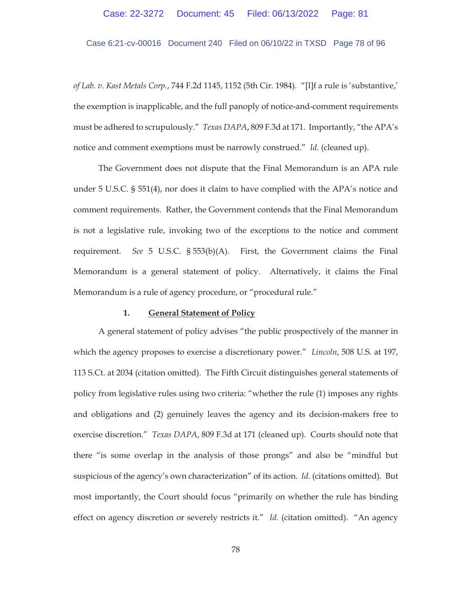Case 6:21-cv-00016 Document 240 Filed on 06/10/22 in TXSD Page 78 of 96

*of Lab. v. Kast Metals Corp.*, 744 F.2d 1145, 1152 (5th Cir. 1984). "[I]f a rule is 'substantive,' the exemption is inapplicable, and the full panoply of notice-and-comment requirements must be adhered to scrupulously." *Texas DAPA*, 809 F.3d at 171. Importantly, "the APA's notice and comment exemptions must be narrowly construed." *Id.* (cleaned up).

The Government does not dispute that the Final Memorandum is an APA rule under 5 U.S.C. § 551(4), nor does it claim to have complied with the APA's notice and comment requirements. Rather, the Government contends that the Final Memorandum is not a legislative rule, invoking two of the exceptions to the notice and comment requirement. *See* 5 U.S.C. § 553(b)(A). First, the Government claims the Final Memorandum is a general statement of policy. Alternatively, it claims the Final Memorandum is a rule of agency procedure, or "procedural rule."

#### **1. General Statement of Policy**

A general statement of policy advises "the public prospectively of the manner in which the agency proposes to exercise a discretionary power." *Lincoln*, 508 U.S. at 197, 113 S.Ct. at 2034 (citation omitted). The Fifth Circuit distinguishes general statements of policy from legislative rules using two criteria: "whether the rule (1) imposes any rights and obligations and (2) genuinely leaves the agency and its decision-makers free to exercise discretion." *Texas DAPA*, 809 F.3d at 171 (cleaned up). Courts should note that there "is some overlap in the analysis of those prongs" and also be "mindful but suspicious of the agency's own characterization" of its action. *Id.* (citations omitted). But most importantly, the Court should focus "primarily on whether the rule has binding effect on agency discretion or severely restricts it." *Id.* (citation omitted). "An agency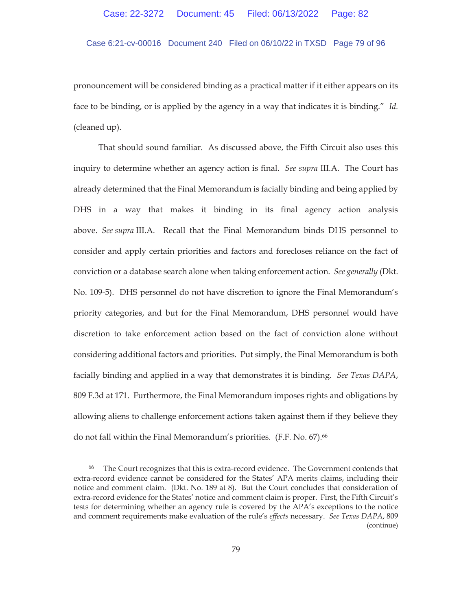Case 6:21-cv-00016 Document 240 Filed on 06/10/22 in TXSD Page 79 of 96

pronouncement will be considered binding as a practical matter if it either appears on its face to be binding, or is applied by the agency in a way that indicates it is binding." *Id.*  (cleaned up).

That should sound familiar. As discussed above, the Fifth Circuit also uses this inquiry to determine whether an agency action is final. *See supra* III.A. The Court has already determined that the Final Memorandum is facially binding and being applied by DHS in a way that makes it binding in its final agency action analysis above. *See supra* III.A. Recall that the Final Memorandum binds DHS personnel to consider and apply certain priorities and factors and forecloses reliance on the fact of conviction or a database search alone when taking enforcement action. *See generally* (Dkt. No. 109-5). DHS personnel do not have discretion to ignore the Final Memorandum's priority categories, and but for the Final Memorandum, DHS personnel would have discretion to take enforcement action based on the fact of conviction alone without considering additional factors and priorities. Put simply, the Final Memorandum is both facially binding and applied in a way that demonstrates it is binding. *See Texas DAPA*, 809 F.3d at 171. Furthermore, the Final Memorandum imposes rights and obligations by allowing aliens to challenge enforcement actions taken against them if they believe they do not fall within the Final Memorandum's priorities. (F.F. No. 67).66

<sup>66</sup> The Court recognizes that this is extra-record evidence. The Government contends that extra-record evidence cannot be considered for the States' APA merits claims, including their notice and comment claim. (Dkt. No. 189 at 8). But the Court concludes that consideration of extra-record evidence for the States' notice and comment claim is proper. First, the Fifth Circuit's tests for determining whether an agency rule is covered by the APA's exceptions to the notice and comment requirements make evaluation of the rule's *effects* necessary. *See Texas DAPA*, 809 (continue)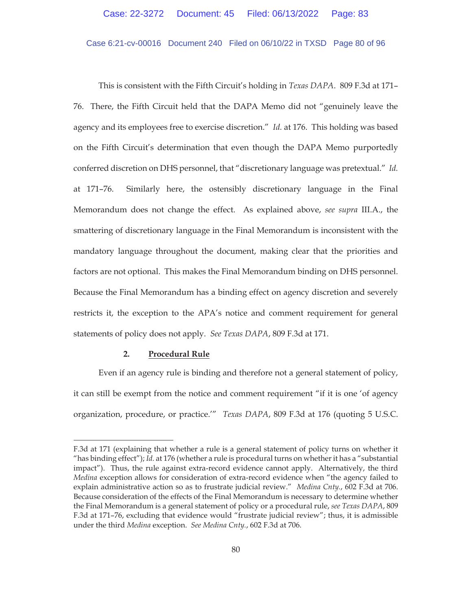Case 6:21-cv-00016 Document 240 Filed on 06/10/22 in TXSD Page 80 of 96

This is consistent with the Fifth Circuit's holding in *Texas DAPA*. 809 F.3d at 171– 76. There, the Fifth Circuit held that the DAPA Memo did not "genuinely leave the agency and its employees free to exercise discretion." *Id.* at 176. This holding was based on the Fifth Circuit's determination that even though the DAPA Memo purportedly conferred discretion on DHS personnel, that "discretionary language was pretextual." *Id.* at 171–76. Similarly here, the ostensibly discretionary language in the Final Memorandum does not change the effect. As explained above, *see supra* III.A., the smattering of discretionary language in the Final Memorandum is inconsistent with the mandatory language throughout the document, making clear that the priorities and factors are not optional. This makes the Final Memorandum binding on DHS personnel. Because the Final Memorandum has a binding effect on agency discretion and severely restricts it, the exception to the APA's notice and comment requirement for general statements of policy does not apply. *See Texas DAPA*, 809 F.3d at 171.

## **2. Procedural Rule**

Even if an agency rule is binding and therefore not a general statement of policy, it can still be exempt from the notice and comment requirement "if it is one 'of agency organization, procedure, or practice.'" *Texas DAPA*, 809 F.3d at 176 (quoting 5 U.S.C.

F.3d at 171 (explaining that whether a rule is a general statement of policy turns on whether it "has binding effect"); *Id.* at 176 (whether a rule is procedural turns on whether it has a "substantial impact"). Thus, the rule against extra-record evidence cannot apply. Alternatively, the third *Medina* exception allows for consideration of extra-record evidence when "the agency failed to explain administrative action so as to frustrate judicial review." *Medina Cnty.*, 602 F.3d at 706. Because consideration of the effects of the Final Memorandum is necessary to determine whether the Final Memorandum is a general statement of policy or a procedural rule, *see Texas DAPA*, 809 F.3d at 171–76, excluding that evidence would "frustrate judicial review"; thus, it is admissible under the third *Medina* exception. *See Medina Cnty.*, 602 F.3d at 706.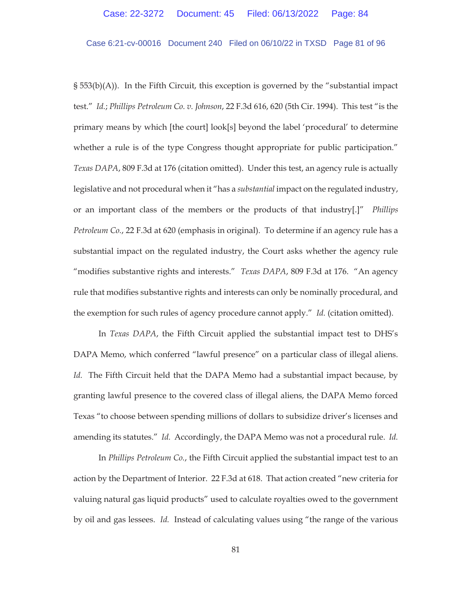Case 6:21-cv-00016 Document 240 Filed on 06/10/22 in TXSD Page 81 of 96

§ 553(b)(A)). In the Fifth Circuit, this exception is governed by the "substantial impact test." *Id.*; *Phillips Petroleum Co. v. Johnson*, 22 F.3d 616, 620 (5th Cir. 1994). This test "is the primary means by which [the court] look[s] beyond the label 'procedural' to determine whether a rule is of the type Congress thought appropriate for public participation." *Texas DAPA*, 809 F.3d at 176 (citation omitted). Under this test, an agency rule is actually legislative and not procedural when it "has a *substantial* impact on the regulated industry, or an important class of the members or the products of that industry[.]" *Phillips Petroleum Co.*, 22 F.3d at 620 (emphasis in original). To determine if an agency rule has a substantial impact on the regulated industry, the Court asks whether the agency rule "modifies substantive rights and interests." *Texas DAPA*, 809 F.3d at 176. "An agency rule that modifies substantive rights and interests can only be nominally procedural, and the exemption for such rules of agency procedure cannot apply." *Id.* (citation omitted).

In *Texas DAPA*, the Fifth Circuit applied the substantial impact test to DHS's DAPA Memo, which conferred "lawful presence" on a particular class of illegal aliens. *Id.* The Fifth Circuit held that the DAPA Memo had a substantial impact because, by granting lawful presence to the covered class of illegal aliens, the DAPA Memo forced Texas "to choose between spending millions of dollars to subsidize driver's licenses and amending its statutes." *Id.* Accordingly, the DAPA Memo was not a procedural rule. *Id.* 

In *Phillips Petroleum Co.*, the Fifth Circuit applied the substantial impact test to an action by the Department of Interior. 22 F.3d at 618. That action created "new criteria for valuing natural gas liquid products" used to calculate royalties owed to the government by oil and gas lessees. *Id.* Instead of calculating values using "the range of the various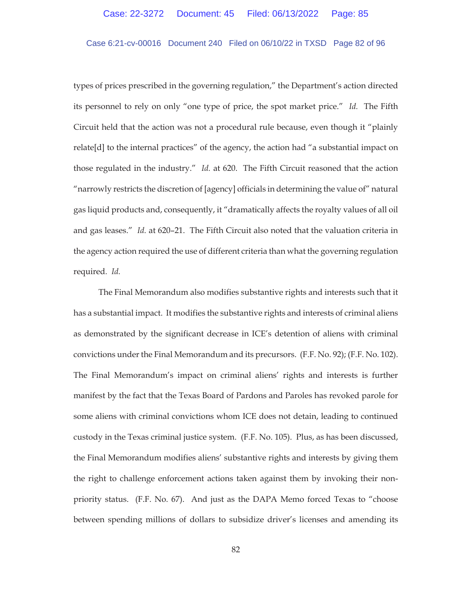### Case 6:21-cv-00016 Document 240 Filed on 06/10/22 in TXSD Page 82 of 96

types of prices prescribed in the governing regulation," the Department's action directed its personnel to rely on only "one type of price, the spot market price." *Id.* The Fifth Circuit held that the action was not a procedural rule because, even though it "plainly relate[d] to the internal practices" of the agency, the action had "a substantial impact on those regulated in the industry." *Id.* at 620.The Fifth Circuit reasoned that the action "narrowly restricts the discretion of [agency] officials in determining the value of" natural gas liquid products and, consequently, it "dramatically affects the royalty values of all oil and gas leases." *Id.* at 620–21. The Fifth Circuit also noted that the valuation criteria in the agency action required the use of different criteria than what the governing regulation required*. Id.* 

The Final Memorandum also modifies substantive rights and interests such that it has a substantial impact. It modifies the substantive rights and interests of criminal aliens as demonstrated by the significant decrease in ICE's detention of aliens with criminal convictions under the Final Memorandum and its precursors. (F.F. No. 92); (F.F. No. 102). The Final Memorandum's impact on criminal aliens' rights and interests is further manifest by the fact that the Texas Board of Pardons and Paroles has revoked parole for some aliens with criminal convictions whom ICE does not detain, leading to continued custody in the Texas criminal justice system. (F.F. No. 105). Plus, as has been discussed, the Final Memorandum modifies aliens' substantive rights and interests by giving them the right to challenge enforcement actions taken against them by invoking their nonpriority status. (F.F. No. 67). And just as the DAPA Memo forced Texas to "choose between spending millions of dollars to subsidize driver's licenses and amending its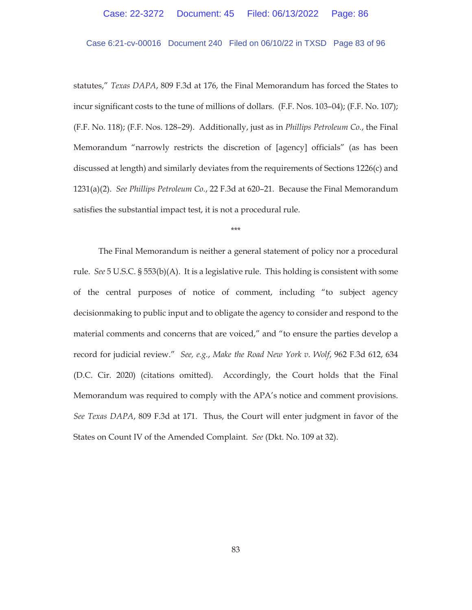# Case 6:21-cv-00016 Document 240 Filed on 06/10/22 in TXSD Page 83 of 96

statutes," *Texas DAPA*, 809 F.3d at 176, the Final Memorandum has forced the States to incur significant costs to the tune of millions of dollars. (F.F. Nos. 103–04); (F.F. No. 107); (F.F. No. 118); (F.F. Nos. 128–29). Additionally, just as in *Phillips Petroleum Co.*, the Final Memorandum "narrowly restricts the discretion of [agency] officials" (as has been discussed at length) and similarly deviates from the requirements of Sections 1226(c) and 1231(a)(2). *See Phillips Petroleum Co.*, 22 F.3d at 620–21. Because the Final Memorandum satisfies the substantial impact test, it is not a procedural rule.

\*\*\*

The Final Memorandum is neither a general statement of policy nor a procedural rule. *See* 5 U.S.C. § 553(b)(A). It is a legislative rule. This holding is consistent with some of the central purposes of notice of comment, including "to subject agency decisionmaking to public input and to obligate the agency to consider and respond to the material comments and concerns that are voiced," and "to ensure the parties develop a record for judicial review." *See, e.g.*, *Make the Road New York v. Wolf*, 962 F.3d 612, 634 (D.C. Cir. 2020) (citations omitted). Accordingly, the Court holds that the Final Memorandum was required to comply with the APA's notice and comment provisions. *See Texas DAPA*, 809 F.3d at 171. Thus, the Court will enter judgment in favor of the States on Count IV of the Amended Complaint. *See* (Dkt. No. 109 at 32).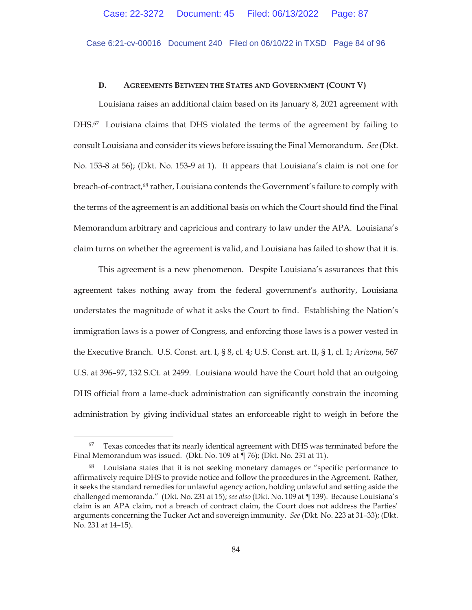Case 6:21-cv-00016 Document 240 Filed on 06/10/22 in TXSD Page 84 of 96

### **D. AGREEMENTS BETWEEN THE STATES AND GOVERNMENT (COUNT V)**

Louisiana raises an additional claim based on its January 8, 2021 agreement with DHS.<sup>67</sup> Louisiana claims that DHS violated the terms of the agreement by failing to consult Louisiana and consider its views before issuing the Final Memorandum. *See* (Dkt. No. 153-8 at 56); (Dkt. No. 153-9 at 1). It appears that Louisiana's claim is not one for breach-of-contract,<sup>68</sup> rather, Louisiana contends the Government's failure to comply with the terms of the agreement is an additional basis on which the Court should find the Final Memorandum arbitrary and capricious and contrary to law under the APA. Louisiana's claim turns on whether the agreement is valid, and Louisiana has failed to show that it is.

This agreement is a new phenomenon. Despite Louisiana's assurances that this agreement takes nothing away from the federal government's authority, Louisiana understates the magnitude of what it asks the Court to find. Establishing the Nation's immigration laws is a power of Congress, and enforcing those laws is a power vested in the Executive Branch. U.S. Const. art. I, § 8, cl. 4; U.S. Const. art. II, § 1, cl. 1; *Arizona*, 567 U.S. at 396–97, 132 S.Ct. at 2499. Louisiana would have the Court hold that an outgoing DHS official from a lame-duck administration can significantly constrain the incoming administration by giving individual states an enforceable right to weigh in before the

Texas concedes that its nearly identical agreement with DHS was terminated before the Final Memorandum was issued. (Dkt. No. 109 at ¶ 76); (Dkt. No. 231 at 11).

Louisiana states that it is not seeking monetary damages or "specific performance to affirmatively require DHS to provide notice and follow the procedures in the Agreement. Rather, it seeks the standard remedies for unlawful agency action, holding unlawful and setting aside the challenged memoranda." (Dkt. No. 231 at 15); *see also* (Dkt. No. 109 at ¶ 139). Because Louisiana's claim is an APA claim, not a breach of contract claim, the Court does not address the Parties' arguments concerning the Tucker Act and sovereign immunity. *See* (Dkt. No. 223 at 31–33); (Dkt. No. 231 at 14–15).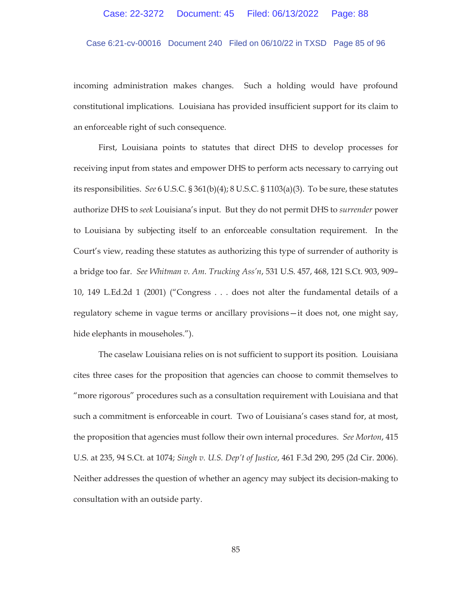Case 6:21-cv-00016 Document 240 Filed on 06/10/22 in TXSD Page 85 of 96

incoming administration makes changes. Such a holding would have profound constitutional implications. Louisiana has provided insufficient support for its claim to an enforceable right of such consequence.

First, Louisiana points to statutes that direct DHS to develop processes for receiving input from states and empower DHS to perform acts necessary to carrying out its responsibilities. *See* 6 U.S.C. § 361(b)(4); 8 U.S.C. § 1103(a)(3). To be sure, these statutes authorize DHS to *seek* Louisiana's input. But they do not permit DHS to *surrender* power to Louisiana by subjecting itself to an enforceable consultation requirement. In the Court's view, reading these statutes as authorizing this type of surrender of authority is a bridge too far. *See Whitman v. Am. Trucking Ass'n*, 531 U.S. 457, 468, 121 S.Ct. 903, 909– 10, 149 L.Ed.2d 1 (2001) ("Congress . . . does not alter the fundamental details of a regulatory scheme in vague terms or ancillary provisions—it does not, one might say, hide elephants in mouseholes.").

The caselaw Louisiana relies on is not sufficient to support its position. Louisiana cites three cases for the proposition that agencies can choose to commit themselves to "more rigorous" procedures such as a consultation requirement with Louisiana and that such a commitment is enforceable in court. Two of Louisiana's cases stand for, at most, the proposition that agencies must follow their own internal procedures. *See Morton*, 415 U.S. at 235, 94 S.Ct. at 1074; *Singh v. U.S. Dep't of Justice*, 461 F.3d 290, 295 (2d Cir. 2006). Neither addresses the question of whether an agency may subject its decision-making to consultation with an outside party.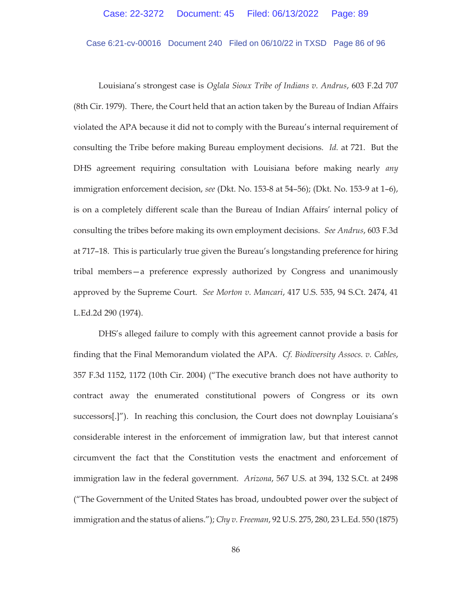Case 6:21-cv-00016 Document 240 Filed on 06/10/22 in TXSD Page 86 of 96

Louisiana's strongest case is *Oglala Sioux Tribe of Indians v. Andrus*, 603 F.2d 707 (8th Cir. 1979). There, the Court held that an action taken by the Bureau of Indian Affairs violated the APA because it did not to comply with the Bureau's internal requirement of consulting the Tribe before making Bureau employment decisions. *Id.* at 721. But the DHS agreement requiring consultation with Louisiana before making nearly *any* immigration enforcement decision, *see* (Dkt. No. 153-8 at 54–56); (Dkt. No. 153-9 at 1–6), is on a completely different scale than the Bureau of Indian Affairs' internal policy of consulting the tribes before making its own employment decisions. *See Andrus*, 603 F.3d at 717–18. This is particularly true given the Bureau's longstanding preference for hiring tribal members—a preference expressly authorized by Congress and unanimously approved by the Supreme Court. *See Morton v. Mancari*, 417 U.S. 535, 94 S.Ct. 2474, 41 L.Ed.2d 290 (1974).

DHS's alleged failure to comply with this agreement cannot provide a basis for finding that the Final Memorandum violated the APA. *Cf. Biodiversity Assocs. v. Cables*, 357 F.3d 1152, 1172 (10th Cir. 2004) ("The executive branch does not have authority to contract away the enumerated constitutional powers of Congress or its own successors[.]"). In reaching this conclusion, the Court does not downplay Louisiana's considerable interest in the enforcement of immigration law, but that interest cannot circumvent the fact that the Constitution vests the enactment and enforcement of immigration law in the federal government. *Arizona*, 567 U.S. at 394, 132 S.Ct. at 2498 ("The Government of the United States has broad, undoubted power over the subject of immigration and the status of aliens."); *Chy v. Freeman*, 92 U.S. 275, 280, 23 L.Ed. 550 (1875)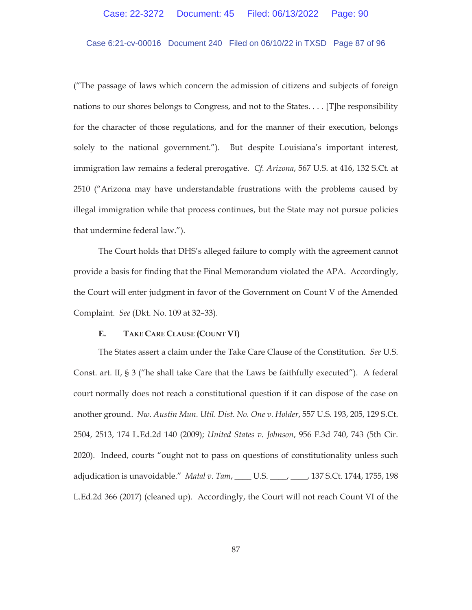## Case 6:21-cv-00016 Document 240 Filed on 06/10/22 in TXSD Page 87 of 96

("The passage of laws which concern the admission of citizens and subjects of foreign nations to our shores belongs to Congress, and not to the States. . . . [T]he responsibility for the character of those regulations, and for the manner of their execution, belongs solely to the national government."). But despite Louisiana's important interest, immigration law remains a federal prerogative. *Cf. Arizona*, 567 U.S. at 416, 132 S.Ct. at 2510 ("Arizona may have understandable frustrations with the problems caused by illegal immigration while that process continues, but the State may not pursue policies that undermine federal law.").

The Court holds that DHS's alleged failure to comply with the agreement cannot provide a basis for finding that the Final Memorandum violated the APA. Accordingly, the Court will enter judgment in favor of the Government on Count V of the Amended Complaint. *See* (Dkt. No. 109 at 32–33).

#### **E. TAKE CARE CLAUSE (COUNT VI)**

The States assert a claim under the Take Care Clause of the Constitution. *See* U.S. Const. art. II, § 3 ("he shall take Care that the Laws be faithfully executed"). A federal court normally does not reach a constitutional question if it can dispose of the case on another ground. *Nw. Austin Mun. Util. Dist. No. One v. Holder*, 557 U.S. 193, 205, 129 S.Ct. 2504, 2513, 174 L.Ed.2d 140 (2009); *United States v. Johnson*, 956 F.3d 740, 743 (5th Cir. 2020). Indeed, courts "ought not to pass on questions of constitutionality unless such adjudication is unavoidable." *Matal v. Tam*, \_\_\_\_ U.S. \_\_\_\_, \_\_\_\_, 137 S.Ct. 1744, 1755, 198 L.Ed.2d 366 (2017) (cleaned up). Accordingly, the Court will not reach Count VI of the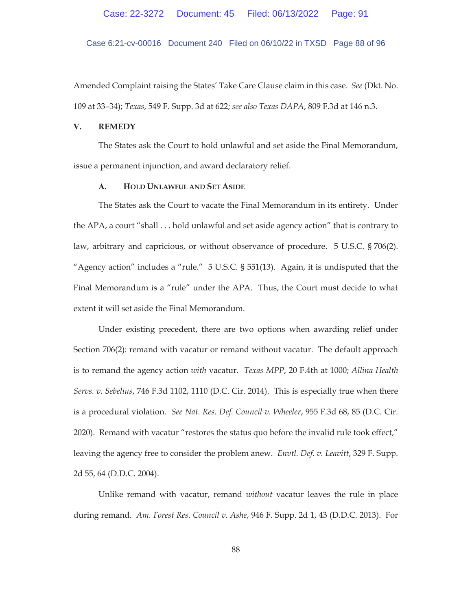Case 6:21-cv-00016 Document 240 Filed on 06/10/22 in TXSD Page 88 of 96

Amended Complaint raising the States' Take Care Clause claim in this case. *See* (Dkt. No. 109 at 33–34); *Texas*, 549 F. Supp. 3d at 622; *see also Texas DAPA*, 809 F.3d at 146 n.3.

## **V. REMEDY**

The States ask the Court to hold unlawful and set aside the Final Memorandum, issue a permanent injunction, and award declaratory relief.

## **A. HOLD UNLAWFUL AND SET ASIDE**

The States ask the Court to vacate the Final Memorandum in its entirety. Under the APA, a court "shall . . . hold unlawful and set aside agency action" that is contrary to law, arbitrary and capricious, or without observance of procedure. 5 U.S.C. § 706(2). "Agency action" includes a "rule." 5 U.S.C. § 551(13). Again, it is undisputed that the Final Memorandum is a "rule" under the APA. Thus, the Court must decide to what extent it will set aside the Final Memorandum.

Under existing precedent, there are two options when awarding relief under Section 706(2): remand with vacatur or remand without vacatur. The default approach is to remand the agency action *with* vacatur. *Texas MPP*, 20 F.4th at 1000; *Allina Health Servs. v. Sebelius*, 746 F.3d 1102, 1110 (D.C. Cir. 2014). This is especially true when there is a procedural violation. *See Nat. Res. Def. Council v. Wheeler*, 955 F.3d 68, 85 (D.C. Cir. 2020). Remand with vacatur "restores the status quo before the invalid rule took effect," leaving the agency free to consider the problem anew. *Envtl. Def. v. Leavitt*, 329 F. Supp. 2d 55, 64 (D.D.C. 2004).

Unlike remand with vacatur, remand *without* vacatur leaves the rule in place during remand. *Am. Forest Res. Council v. Ashe*, 946 F. Supp. 2d 1, 43 (D.D.C. 2013). For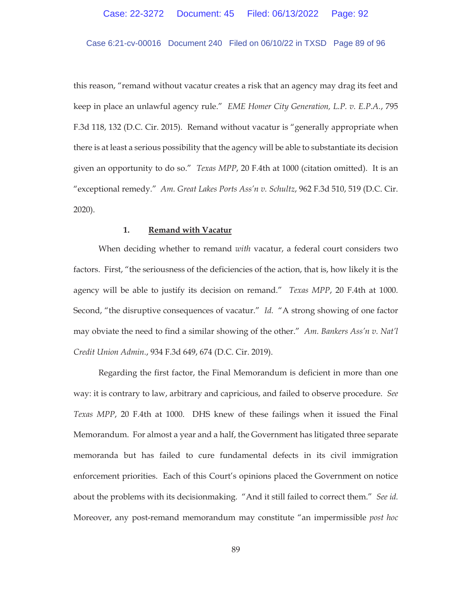### Case 6:21-cv-00016 Document 240 Filed on 06/10/22 in TXSD Page 89 of 96

this reason, "remand without vacatur creates a risk that an agency may drag its feet and keep in place an unlawful agency rule." *EME Homer City Generation, L.P. v. E.P.A.*, 795 F.3d 118, 132 (D.C. Cir. 2015). Remand without vacatur is "generally appropriate when there is at least a serious possibility that the agency will be able to substantiate its decision given an opportunity to do so." *Texas MPP*, 20 F.4th at 1000 (citation omitted). It is an "exceptional remedy." *Am. Great Lakes Ports Ass'n v. Schultz*, 962 F.3d 510, 519 (D.C. Cir. 2020).

### **1. Remand with Vacatur**

When deciding whether to remand *with* vacatur, a federal court considers two factors. First, "the seriousness of the deficiencies of the action, that is, how likely it is the agency will be able to justify its decision on remand." *Texas MPP*, 20 F.4th at 1000. Second, "the disruptive consequences of vacatur." *Id.* "A strong showing of one factor may obviate the need to find a similar showing of the other." *Am. Bankers Ass'n v. Nat'l Credit Union Admin.*, 934 F.3d 649, 674 (D.C. Cir. 2019).

Regarding the first factor, the Final Memorandum is deficient in more than one way: it is contrary to law, arbitrary and capricious, and failed to observe procedure. *See Texas MPP*, 20 F.4th at 1000. DHS knew of these failings when it issued the Final Memorandum. For almost a year and a half, the Government has litigated three separate memoranda but has failed to cure fundamental defects in its civil immigration enforcement priorities. Each of this Court's opinions placed the Government on notice about the problems with its decisionmaking. "And it still failed to correct them." *See id.*  Moreover, any post-remand memorandum may constitute "an impermissible *post hoc*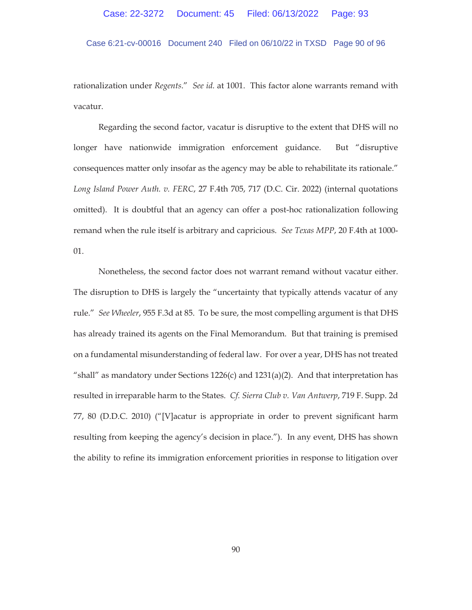Case 6:21-cv-00016 Document 240 Filed on 06/10/22 in TXSD Page 90 of 96

rationalization under *Regents*." *See id.* at 1001. This factor alone warrants remand with vacatur.

Regarding the second factor, vacatur is disruptive to the extent that DHS will no longer have nationwide immigration enforcement guidance. But "disruptive consequences matter only insofar as the agency may be able to rehabilitate its rationale." *Long Island Power Auth. v. FERC*, 27 F.4th 705, 717 (D.C. Cir. 2022) (internal quotations omitted). It is doubtful that an agency can offer a post-hoc rationalization following remand when the rule itself is arbitrary and capricious. *See Texas MPP*, 20 F.4th at 1000- 01.

Nonetheless, the second factor does not warrant remand without vacatur either. The disruption to DHS is largely the "uncertainty that typically attends vacatur of any rule." *See Wheeler*, 955 F.3d at 85. To be sure, the most compelling argument is that DHS has already trained its agents on the Final Memorandum. But that training is premised on a fundamental misunderstanding of federal law. For over a year, DHS has not treated "shall" as mandatory under Sections  $1226(c)$  and  $1231(a)(2)$ . And that interpretation has resulted in irreparable harm to the States. *Cf. Sierra Club v. Van Antwerp*, 719 F. Supp. 2d 77, 80 (D.D.C. 2010) ("[V]acatur is appropriate in order to prevent significant harm resulting from keeping the agency's decision in place."). In any event, DHS has shown the ability to refine its immigration enforcement priorities in response to litigation over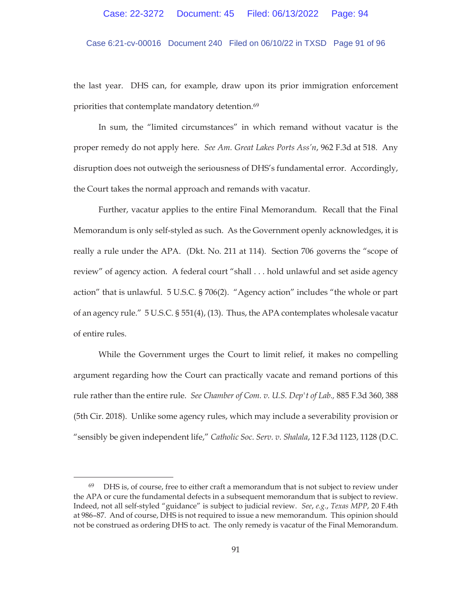## Case 6:21-cv-00016 Document 240 Filed on 06/10/22 in TXSD Page 91 of 96

the last year. DHS can, for example, draw upon its prior immigration enforcement priorities that contemplate mandatory detention.<sup>69</sup>

In sum, the "limited circumstances" in which remand without vacatur is the proper remedy do not apply here. *See Am. Great Lakes Ports Ass'n*, 962 F.3d at 518. Any disruption does not outweigh the seriousness of DHS's fundamental error. Accordingly, the Court takes the normal approach and remands with vacatur.

Further, vacatur applies to the entire Final Memorandum. Recall that the Final Memorandum is only self-styled as such. As the Government openly acknowledges, it is really a rule under the APA. (Dkt. No. 211 at 114). Section 706 governs the "scope of review" of agency action. A federal court "shall . . . hold unlawful and set aside agency action" that is unlawful. 5 U.S.C. § 706(2). "Agency action" includes "the whole or part of an agency rule." 5 U.S.C. § 551(4), (13). Thus, the APA contemplates wholesale vacatur of entire rules.

While the Government urges the Court to limit relief, it makes no compelling argument regarding how the Court can practically vacate and remand portions of this rule rather than the entire rule. *See Chamber of Com. v. U.S. Dep't of Lab.,* 885 F.3d 360, 388 (5th Cir. 2018). Unlike some agency rules, which may include a severability provision or "sensibly be given independent life," *Catholic Soc. Serv. v. Shalala*, 12 F.3d 1123, 1128 (D.C.

 $69$  DHS is, of course, free to either craft a memorandum that is not subject to review under the APA or cure the fundamental defects in a subsequent memorandum that is subject to review. Indeed, not all self-styled "guidance" is subject to judicial review. *See*, *e.g.*, *Texas MPP*, 20 F.4th at 986–87. And of course, DHS is not required to issue a new memorandum. This opinion should not be construed as ordering DHS to act. The only remedy is vacatur of the Final Memorandum.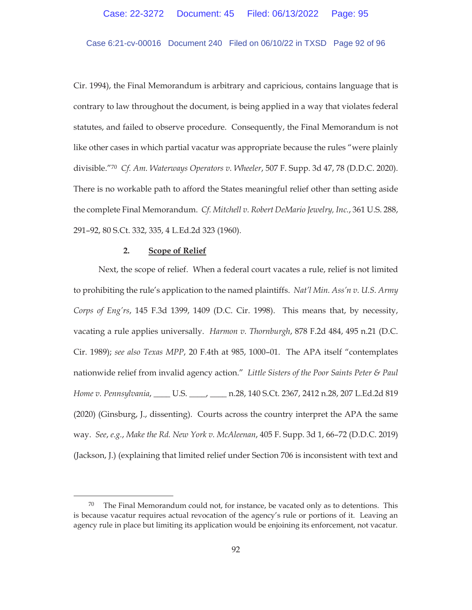## Case 6:21-cv-00016 Document 240 Filed on 06/10/22 in TXSD Page 92 of 96

Cir. 1994), the Final Memorandum is arbitrary and capricious, contains language that is contrary to law throughout the document, is being applied in a way that violates federal statutes, and failed to observe procedure. Consequently, the Final Memorandum is not like other cases in which partial vacatur was appropriate because the rules "were plainly divisible."70 *Cf. Am. Waterways Operators v. Wheeler*, 507 F. Supp. 3d 47, 78 (D.D.C. 2020). There is no workable path to afford the States meaningful relief other than setting aside the complete Final Memorandum. *Cf. Mitchell v. Robert DeMario Jewelry, Inc.*, 361 U.S. 288, 291–92, 80 S.Ct. 332, 335, 4 L.Ed.2d 323 (1960).

### **2. Scope of Relief**

Next, the scope of relief. When a federal court vacates a rule, relief is not limited to prohibiting the rule's application to the named plaintiffs. *Nat'l Min. Ass'n v. U.S. Army Corps of Eng'rs*, 145 F.3d 1399, 1409 (D.C. Cir. 1998). This means that, by necessity, vacating a rule applies universally. *Harmon v. Thornburgh*, 878 F.2d 484, 495 n.21 (D.C. Cir. 1989); *see also Texas MPP*, 20 F.4th at 985, 1000–01. The APA itself "contemplates nationwide relief from invalid agency action." *Little Sisters of the Poor Saints Peter & Paul Home v. Pennsylvania*, \_\_\_\_ U.S. \_\_\_\_, \_\_\_\_ n.28, 140 S.Ct. 2367, 2412 n.28, 207 L.Ed.2d 819 (2020) (Ginsburg, J., dissenting). Courts across the country interpret the APA the same way. *See*, *e.g.*, *Make the Rd. New York v. McAleenan*, 405 F. Supp. 3d 1, 66–72 (D.D.C. 2019) (Jackson, J.) (explaining that limited relief under Section 706 is inconsistent with text and

 $70$  The Final Memorandum could not, for instance, be vacated only as to detentions. This is because vacatur requires actual revocation of the agency's rule or portions of it. Leaving an agency rule in place but limiting its application would be enjoining its enforcement, not vacatur.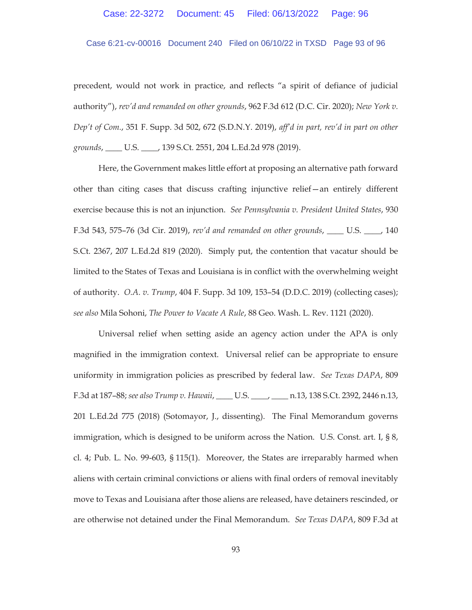# Case 6:21-cv-00016 Document 240 Filed on 06/10/22 in TXSD Page 93 of 96

precedent, would not work in practice, and reflects "a spirit of defiance of judicial authority"), *rev'd and remanded on other grounds*, 962 F.3d 612 (D.C. Cir. 2020); *New York v. Dep't of Com.*, 351 F. Supp. 3d 502, 672 (S.D.N.Y. 2019), *aff'd in part, rev'd in part on other grounds*, \_\_\_\_ U.S. \_\_\_\_, 139 S.Ct. 2551, 204 L.Ed.2d 978 (2019).

Here, the Government makes little effort at proposing an alternative path forward other than citing cases that discuss crafting injunctive relief—an entirely different exercise because this is not an injunction. *See Pennsylvania v. President United States*, 930 F.3d 543, 575–76 (3d Cir. 2019), *rev'd and remanded on other grounds*, \_\_\_\_ U.S. \_\_\_\_, 140 S.Ct. 2367, 207 L.Ed.2d 819 (2020). Simply put, the contention that vacatur should be limited to the States of Texas and Louisiana is in conflict with the overwhelming weight of authority. *O.A. v. Trump*, 404 F. Supp. 3d 109, 153–54 (D.D.C. 2019) (collecting cases); *see also* Mila Sohoni, *The Power to Vacate A Rule*, 88 Geo. Wash. L. Rev. 1121 (2020).

Universal relief when setting aside an agency action under the APA is only magnified in the immigration context. Universal relief can be appropriate to ensure uniformity in immigration policies as prescribed by federal law. *See Texas DAPA*, 809 F.3d at 187–88; *see also Trump v. Hawaii*, \_\_\_\_ U.S. \_\_\_\_, \_\_\_\_ n.13, 138 S.Ct. 2392, 2446 n.13, 201 L.Ed.2d 775 (2018) (Sotomayor, J., dissenting). The Final Memorandum governs immigration, which is designed to be uniform across the Nation. U.S. Const. art. I, § 8, cl. 4; Pub. L. No. 99-603, § 115(1). Moreover, the States are irreparably harmed when aliens with certain criminal convictions or aliens with final orders of removal inevitably move to Texas and Louisiana after those aliens are released, have detainers rescinded, or are otherwise not detained under the Final Memorandum. *See Texas DAPA*, 809 F.3d at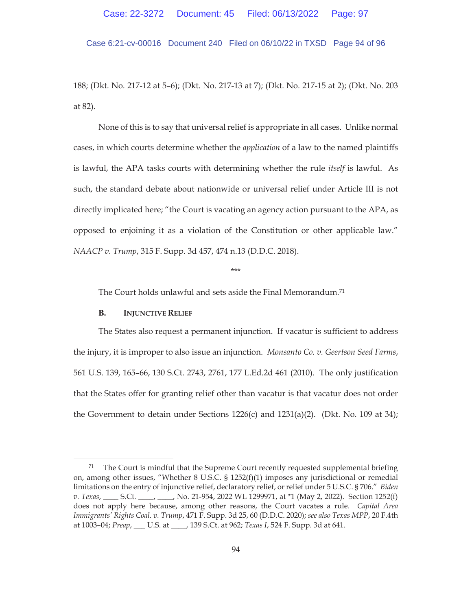Case 6:21-cv-00016 Document 240 Filed on 06/10/22 in TXSD Page 94 of 96

188; (Dkt. No. 217-12 at 5–6); (Dkt. No. 217-13 at 7); (Dkt. No. 217-15 at 2); (Dkt. No. 203 at 82).

None of this is to say that universal relief is appropriate in all cases. Unlike normal cases, in which courts determine whether the *application* of a law to the named plaintiffs is lawful, the APA tasks courts with determining whether the rule *itself* is lawful. As such, the standard debate about nationwide or universal relief under Article III is not directly implicated here; "the Court is vacating an agency action pursuant to the APA, as opposed to enjoining it as a violation of the Constitution or other applicable law." *NAACP v. Trump*, 315 F. Supp. 3d 457, 474 n.13 (D.D.C. 2018).

\*\*\*

The Court holds unlawful and sets aside the Final Memorandum.71

#### **B. INJUNCTIVE RELIEF**

The States also request a permanent injunction. If vacatur is sufficient to address the injury, it is improper to also issue an injunction. *Monsanto Co. v. Geertson Seed Farms*, 561 U.S. 139, 165–66, 130 S.Ct. 2743, 2761, 177 L.Ed.2d 461 (2010). The only justification that the States offer for granting relief other than vacatur is that vacatur does not order the Government to detain under Sections 1226(c) and 1231(a)(2). (Dkt. No. 109 at 34);

 $71$  The Court is mindful that the Supreme Court recently requested supplemental briefing on, among other issues, "Whether 8 U.S.C.  $\S$  1252(f)(1) imposes any jurisdictional or remedial limitations on the entry of injunctive relief, declaratory relief, or relief under 5 U.S.C. § 706." *Biden v. Texas*, \_\_\_\_ S.Ct. \_\_\_\_, \_\_\_, No. 21-954, 2022 WL 1299971, at \*1 (May 2, 2022). Section 1252(f) does not apply here because, among other reasons, the Court vacates a rule. *Capital Area Immigrants' Rights Coal. v. Trump*, 471 F. Supp. 3d 25, 60 (D.D.C. 2020); *see also Texas MPP*, 20 F.4th at 1003–04; *Preap*, \_\_\_ U.S. at \_\_\_\_, 139 S.Ct. at 962; *Texas I*, 524 F. Supp. 3d at 641.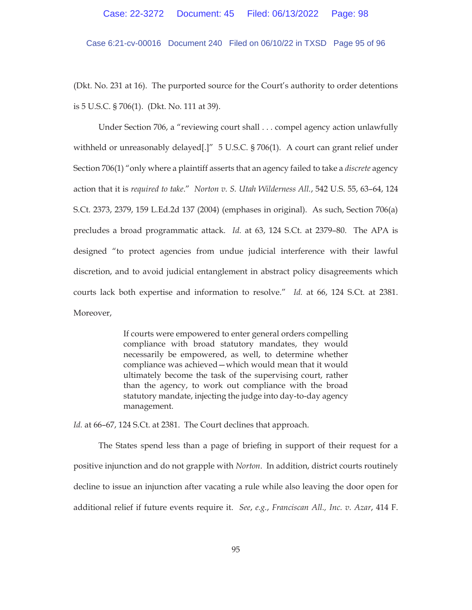Case 6:21-cv-00016 Document 240 Filed on 06/10/22 in TXSD Page 95 of 96

(Dkt. No. 231 at 16). The purported source for the Court's authority to order detentions is 5 U.S.C. § 706(1). (Dkt. No. 111 at 39).

Under Section 706, a "reviewing court shall . . . compel agency action unlawfully withheld or unreasonably delayed[.]" 5 U.S.C. § 706(1). A court can grant relief under Section 706(1) "only where a plaintiff asserts that an agency failed to take a *discrete* agency action that it is *required to take*." *Norton v. S. Utah Wilderness All.*, 542 U.S. 55, 63–64, 124 S.Ct. 2373, 2379, 159 L.Ed.2d 137 (2004) (emphases in original). As such, Section 706(a) precludes a broad programmatic attack. *Id.* at 63, 124 S.Ct. at 2379–80. The APA is designed "to protect agencies from undue judicial interference with their lawful discretion, and to avoid judicial entanglement in abstract policy disagreements which courts lack both expertise and information to resolve." *Id.* at 66, 124 S.Ct. at 2381. Moreover,

> If courts were empowered to enter general orders compelling compliance with broad statutory mandates, they would necessarily be empowered, as well, to determine whether compliance was achieved—which would mean that it would ultimately become the task of the supervising court, rather than the agency, to work out compliance with the broad statutory mandate, injecting the judge into day-to-day agency management.

*Id.* at 66–67, 124 S.Ct. at 2381. The Court declines that approach.

The States spend less than a page of briefing in support of their request for a positive injunction and do not grapple with *Norton*. In addition, district courts routinely decline to issue an injunction after vacating a rule while also leaving the door open for additional relief if future events require it. *See*, *e.g.*, *Franciscan All., Inc. v. Azar*, 414 F.